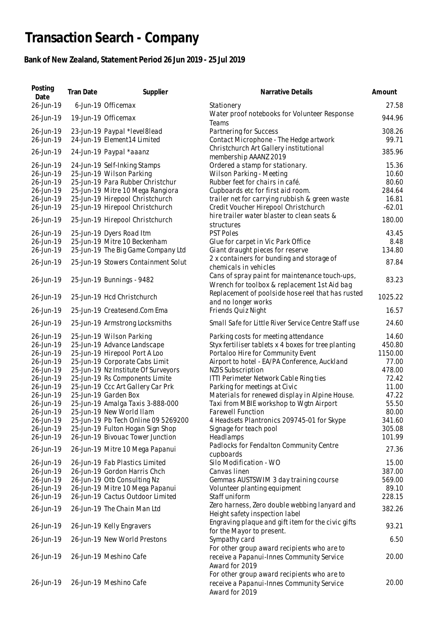## **Transaction Search - Company**

## **Bank of New Zealand, Statement Period 26 Jun 2019 - 25 Jul 2019**

| Posting<br>Date        | Tran Date | Supplier                                                    | Narrative Details                                                                                          | Amount          |
|------------------------|-----------|-------------------------------------------------------------|------------------------------------------------------------------------------------------------------------|-----------------|
| 26-Jun-19              |           | 6-Jun-19 Officemax                                          | Stationery                                                                                                 | 27.58           |
| 26-Jun-19              |           | 19-Jun-19 Officemax                                         | Water proof notebooks for Volunteer Response<br>Teams                                                      | 944.96          |
| 26-Jun-19<br>26-Jun-19 |           | 23-Jun-19 Paypal *level8lead<br>24-Jun-19 Element14 Limited | Partnering for Success<br>Contact Microphone - The Hedge artwork                                           | 308.26<br>99.71 |
| 26-Jun-19              |           | 24-Jun-19 Paypal *aaanz                                     | Christchurch Art Gallery institutional<br>membership AAANZ 2019                                            | 385.96          |
| 26-Jun-19              |           | 24-Jun-19 Self-Inking Stamps                                | Ordered a stamp for stationary.                                                                            | 15.36           |
| 26-Jun-19              |           | 25-Jun-19 Wilson Parking                                    | Wilson Parking - Meeting                                                                                   | 10.60           |
| 26-Jun-19              |           | 25-Jun-19 Para Rubber Christchur                            | Rubber feet for chairs in café.                                                                            | 80.60           |
| 26-Jun-19              |           | 25-Jun-19 Mitre 10 Mega Rangiora                            | Cupboards etc for first aid room.                                                                          | 284.64          |
| 26-Jun-19              |           | 25-Jun-19 Hirepool Christchurch                             | trailer net for carrying rubbish & green waste                                                             | 16.81           |
| 26-Jun-19              |           | 25-Jun-19 Hirepool Christchurch                             | Credit Voucher Hirepool Christchurch<br>hire trailer water blaster to clean seats &                        | $-62.01$        |
| 26-Jun-19              |           | 25-Jun-19 Hirepool Christchurch                             | structures                                                                                                 | 180.00          |
| 26-Jun-19              |           | 25-Jun-19 Dyers Road Itm                                    | <b>PST Poles</b>                                                                                           | 43.45           |
| 26-Jun-19              |           | 25-Jun-19 Mitre 10 Beckenham                                | Glue for carpet in Vic Park Office                                                                         | 8.48            |
| 26-Jun-19              |           | 25-Jun-19 The Big Game Company Ltd                          | Giant draught pieces for reserve                                                                           | 134.80          |
| 26-Jun-19              |           | 25-Jun-19 Stowers Containment Solut                         | 2 x containers for bunding and storage of<br>chemicals in vehicles                                         | 87.84           |
| 26-Jun-19              |           | 25-Jun-19 Bunnings - 9482                                   | Cans of spray paint for maintenance touch-ups,<br>Wrench for toolbox & replacement 1st Aid bag             | 83.23           |
| 26-Jun-19              |           | 25-Jun-19 Hcd Christchurch                                  | Replacement of poolside hose reel that has rusted<br>and no longer works                                   | 1025.22         |
| 26-Jun-19              |           | 25-Jun-19 Createsend.Com Ema                                | Friends Quiz Night                                                                                         | 16.57           |
| 26-Jun-19              |           | 25-Jun-19 Armstrong Locksmiths                              | Small Safe for Little River Service Centre Staff use                                                       | 24.60           |
| 26-Jun-19              |           | 25-Jun-19 Wilson Parking                                    | Parking costs for meeting attendance                                                                       | 14.60           |
| 26-Jun-19              |           | 25-Jun-19 Advance Landscape                                 | Styx fertiliser tablets x 4 boxes for tree planting                                                        | 450.80          |
| 26-Jun-19              |           | 25-Jun-19 Hirepool Port A Loo                               | Portaloo Hire for Community Event                                                                          | 1150.00         |
| 26-Jun-19              |           | 25-Jun-19 Corporate Cabs Limit                              | Airport to hotel - EA/PA Conference, Auckland                                                              | 77.00           |
| 26-Jun-19              |           | 25-Jun-19 Nz Institute Of Surveyors                         | <b>NZIS Subscription</b>                                                                                   | 478.00          |
| 26-Jun-19              |           | 25-Jun-19 Rs Components Limite                              | ITTI Perimeter Network Cable Ring ties                                                                     | 72.42           |
| 26-Jun-19<br>26-Jun-19 |           | 25-Jun-19 Ccc Art Gallery Car Prk<br>25-Jun-19 Garden Box   | Parking for meetings at Civic<br>Materials for renewed display in Alpine House.                            | 11.00<br>47.22  |
| 26-Jun-19              |           | 25-Jun-19 Amalga Taxis 3-888-000                            | Taxi from MBIE workshop to Wgtn Airport                                                                    | 55.50           |
| 26-Jun-19              |           | 25-Jun-19 New World Ilam                                    | Farewell Function                                                                                          | 80.00           |
| 26-Jun-19              |           | 25-Jun-19 Pb Tech Online 09 5269200                         | 4 Headsets Plantronics 209745-01 for Skype                                                                 | 341.60          |
| 26-Jun-19              |           | 25-Jun-19 Fulton Hogan Sign Shop                            | Signage for teach pool                                                                                     | 305.08          |
| 26-Jun-19              |           | 26-Jun-19 Bivouac Tower Junction                            | Headlamps                                                                                                  | 101.99          |
| 26-Jun-19              |           | 26-Jun-19 Mitre 10 Mega Papanui                             | Padlocks for Fendalton Community Centre<br>cupboards                                                       | 27.36           |
| 26-Jun-19              |           | 26-Jun-19 Fab Plastics Limited                              | Silo Modification - WO                                                                                     | 15.00           |
| 26-Jun-19              |           | 26-Jun-19 Gordon Harris Chch                                | Canvas linen                                                                                               | 387.00          |
| 26-Jun-19              |           | 26-Jun-19 Otb Consulting Nz                                 | Gemmas AUSTSWIM 3 day training course                                                                      | 569.00          |
| 26-Jun-19              |           | 26-Jun-19 Mitre 10 Mega Papanui                             | Volunteer planting equipment                                                                               | 89.10           |
| 26-Jun-19              |           | 26-Jun-19 Cactus Outdoor Limited                            | Staff uniform                                                                                              | 228.15          |
| 26-Jun-19              |           | 26-Jun-19 The Chain Man Ltd                                 | Zero harness, Zero double webbing lanyard and<br>Height safety inspection label                            | 382.26          |
| 26-Jun-19              |           | 26-Jun-19 Kelly Engravers                                   | Engraving plaque and gift item for the civic gifts<br>for the Mayor to present.                            | 93.21           |
| 26-Jun-19              |           | 26-Jun-19 New World Prestons                                | Sympathy card                                                                                              | 6.50            |
| 26-Jun-19              |           | 26-Jun-19 Meshino Cafe                                      | For other group award recipients who are to<br>receive a Papanui-Innes Community Service<br>Award for 2019 | 20.00           |
|                        |           |                                                             | For other group award recipients who are to                                                                |                 |
| 26-Jun-19              |           | 26-Jun-19 Meshino Cafe                                      | receive a Papanui-Innes Community Service<br>Award for 2019                                                | 20.00           |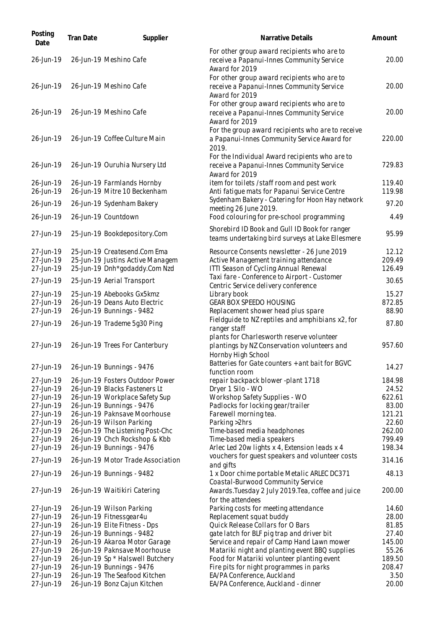| Posting<br>Date        | Tran Date | Supplier                                                      | Narrative Details                                                                                             | Amount           |
|------------------------|-----------|---------------------------------------------------------------|---------------------------------------------------------------------------------------------------------------|------------------|
| 26-Jun-19              |           | 26-Jun-19 Meshino Cafe                                        | For other group award recipients who are to<br>receive a Papanui-Innes Community Service<br>Award for 2019    | 20.00            |
| 26-Jun-19              |           | 26-Jun-19 Meshino Cafe                                        | For other group award recipients who are to<br>receive a Papanui-Innes Community Service<br>Award for 2019    | 20.00            |
| 26-Jun-19              |           | 26-Jun-19 Meshino Cafe                                        | For other group award recipients who are to<br>receive a Papanui-Innes Community Service<br>Award for 2019    | 20.00            |
| 26-Jun-19              |           | 26-Jun-19 Coffee Culture Main                                 | For the group award recipients who are to receive<br>a Papanui-Innes Community Service Award for<br>2019.     | 220.00           |
| 26-Jun-19              |           | 26-Jun-19 Ouruhia Nursery Ltd                                 | For the Individual Award recipients who are to<br>receive a Papanui-Innes Community Service<br>Award for 2019 | 729.83           |
| 26-Jun-19              |           | 26-Jun-19 Farmlands Hornby                                    | item for toilets /staff room and pest work                                                                    | 119.40           |
| 26-Jun-19              |           | 26-Jun-19 Mitre 10 Beckenham                                  | Anti fatigue mats for Papanui Service Centre<br>Sydenham Bakery - Catering for Hoon Hay network               | 119.98           |
| 26-Jun-19              |           | 26-Jun-19 Sydenham Bakery                                     | meeting 26 June 2019.                                                                                         | 97.20            |
| 26-Jun-19              |           | 26-Jun-19 Countdown                                           | Food colouring for pre-school programming                                                                     | 4.49             |
| 27-Jun-19              |           | 25-Jun-19 Bookdepository.Com                                  | Shorebird ID Book and Gull ID Book for ranger<br>teams undertaking bird surveys at Lake Ellesmere             | 95.99            |
| 27-Jun-19              |           | 25-Jun-19 Createsend.Com Ema                                  | Resource Consents newsletter - 26 June 2019                                                                   | 12.12            |
| 27-Jun-19              |           | 25-Jun-19 Justins Active Managem                              | Active Management training attendance                                                                         | 209.49           |
| 27-Jun-19              |           | 25-Jun-19 Dnh*godaddy.Com Nzd                                 | ITTI Season of Cycling Annual Renewal                                                                         | 126.49           |
| 27-Jun-19              |           | 25-Jun-19 Aerial Transport                                    | Taxi fare - Conference to Airport - Customer<br>Centric Service delivery conference                           | 30.65            |
| 27-Jun-19              |           | 25-Jun-19 Abebooks Gx5kmz                                     | Library book                                                                                                  | 15.27            |
| 27-Jun-19              |           | 26-Jun-19 Deans Auto Electric                                 | <b>GEAR BOX SPEEDO HOUSING</b>                                                                                | 872.85           |
| 27-Jun-19              |           | 26-Jun-19 Bunnings - 9482                                     | Replacement shower head plus spare                                                                            | 88.90            |
| 27-Jun-19              |           | 26-Jun-19 Trademe 5g30 Ping                                   | Fieldguide to NZ reptiles and amphibians x2, for<br>ranger staff                                              | 87.80            |
| 27-Jun-19              |           | 26-Jun-19 Trees For Canterbury                                | plants for Charlesworth reserve volunteer<br>plantings by NZ Conservation volunteers and                      | 957.60           |
| 27-Jun-19              |           | 26-Jun-19 Bunnings - 9476                                     | Hornby High School<br>Batteries for Gate counters + ant bait for BGVC<br>function room                        | 14.27            |
| 27-Jun-19              |           | 26-Jun-19 Fosters Outdoor Power                               | repair backpack blower -plant 1718                                                                            | 184.98           |
| 27-Jun-19              |           | 26-Jun-19 Blacks Fasteners Lt                                 | Dryer 1 Silo - WO                                                                                             | 24.52            |
| 27-Jun-19              |           | 26-Jun-19 Workplace Safety Sup                                | Workshop Safety Supplies - WO                                                                                 | 622.61           |
| 27-Jun-19              |           | 26-Jun-19 Bunnings - 9476<br>26-Jun-19 Paknsave Moorhouse     | Padlocks for locking gear/trailer                                                                             | 83.00            |
| 27-Jun-19<br>27-Jun-19 |           | 26-Jun-19 Wilson Parking                                      | Farewell morning tea.<br>Parking > 2hrs                                                                       | 121.21<br>22.60  |
| 27-Jun-19              |           | 26-Jun-19 The Listening Post-Chc                              | Time-based media headphones                                                                                   | 262.00           |
| 27-Jun-19              |           | 26-Jun-19 Chch Rockshop & Kbb                                 | Time-based media speakers                                                                                     | 799.49           |
| 27-Jun-19              |           | 26-Jun-19 Bunnings - 9476                                     | Arlec Led 20w lights x 4, Extension leads x 4                                                                 | 198.34           |
| 27-Jun-19              |           | 26-Jun-19 Motor Trade Association                             | vouchers for guest speakers and volunteer costs<br>and gifts                                                  | 314.16           |
| 27-Jun-19              |           | 26-Jun-19 Bunnings - 9482                                     | 1 x Door chime portable Metalic ARLEC DC371<br>Coastal-Burwood Community Service                              | 48.13            |
| 27-Jun-19              |           | 26-Jun-19 Waitikiri Catering                                  | Awards. Tuesday 2 July 2019. Tea, coffee and juice<br>for the attendees                                       | 200.00           |
| 27-Jun-19              |           | 26-Jun-19 Wilson Parking                                      | Parking costs for meeting attendance                                                                          | 14.60            |
| 27-Jun-19              |           | 26-Jun-19 Fitnessgear4u                                       | Replacement squat buddy                                                                                       | 28.00            |
| 27-Jun-19              |           | 26-Jun-19 Elite Fitness - Dps                                 | Quick Release Collars for O Bars                                                                              | 81.85            |
| 27-Jun-19              |           | 26-Jun-19 Bunnings - 9482                                     | gate latch for BLF pig trap and driver bit                                                                    | 27.40            |
| 27-Jun-19              |           | 26-Jun-19 Akaroa Motor Garage                                 | Service and repair of Camp Hand Lawn mower                                                                    | 145.00           |
| 27-Jun-19              |           | 26-Jun-19 Paknsave Moorhouse                                  | Matariki night and planting event BBQ supplies                                                                | 55.26            |
| 27-Jun-19<br>27-Jun-19 |           | 26-Jun-19 Sp * Halswell Butchery<br>26-Jun-19 Bunnings - 9476 | Food for Matariki volunteer planting event<br>Fire pits for night programmes in parks                         | 189.50<br>208.47 |
| 27-Jun-19              |           | 26-Jun-19 The Seafood Kitchen                                 | EA/PA Conference, Auckland                                                                                    | 3.50             |
| 27-Jun-19              |           | 26-Jun-19 Bonz Cajun Kitchen                                  | EA/PA Conference, Auckland - dinner                                                                           | 20.00            |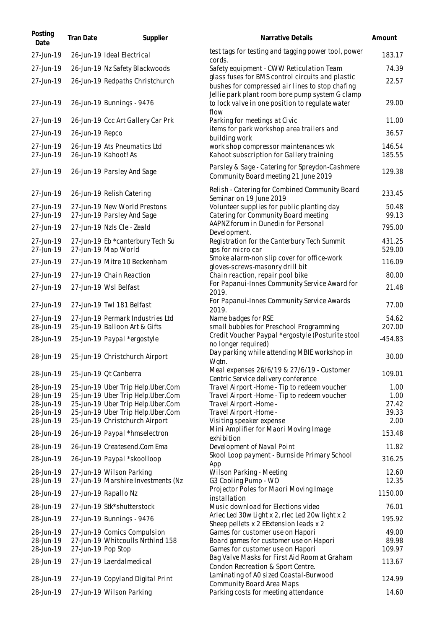| Posting<br>Date        | Tran Date          | Supplier                                                               | Narrative Details                                                                                                                                      | Amount           |
|------------------------|--------------------|------------------------------------------------------------------------|--------------------------------------------------------------------------------------------------------------------------------------------------------|------------------|
| 27-Jun-19              |                    | 26-Jun-19 Ideal Electrical                                             | test tags for testing and tagging power tool, power<br>cords.                                                                                          | 183.17           |
| 27-Jun-19              |                    | 26-Jun-19 Nz Safety Blackwoods                                         | Safety equipment - CWW Reticulation Team                                                                                                               | 74.39            |
| 27-Jun-19              |                    | 26-Jun-19 Redpaths Christchurch                                        | glass fuses for BMS control circuits and plastic<br>bushes for compressed air lines to stop chafing<br>Jellie park plant room bore pump system G clamp | 22.57            |
| 27-Jun-19              |                    | 26-Jun-19 Bunnings - 9476                                              | to lock valve in one position to regulate water<br>flow                                                                                                | 29.00            |
| 27-Jun-19              |                    | 26-Jun-19 Ccc Art Gallery Car Prk                                      | Parking for meetings at Civic                                                                                                                          | 11.00            |
| 27-Jun-19              | 26-Jun-19 Repco    |                                                                        | items for park workshop area trailers and<br>building work                                                                                             | 36.57            |
| 27-Jun-19<br>27-Jun-19 |                    | 26-Jun-19 Ats Pneumatics Ltd<br>26-Jun-19 Kahoot! As                   | work shop compressor maintenances wk<br>Kahoot subscription for Gallery training                                                                       | 146.54<br>185.55 |
| 27-Jun-19              |                    | 26-Jun-19 Parsley And Sage                                             | Parsley & Sage - Catering for Spreydon-Cashmere<br>Community Board meeting 21 June 2019                                                                | 129.38           |
| 27-Jun-19              |                    | 26-Jun-19 Relish Catering                                              | Relish - Catering for Combined Community Board<br>Seminar on 19 June 2019                                                                              | 233.45           |
| 27-Jun-19<br>27-Jun-19 |                    | 27-Jun-19 New World Prestons<br>27-Jun-19 Parsley And Sage             | Volunteer supplies for public planting day<br>Catering for Community Board meeting                                                                     | 50.48<br>99.13   |
| 27-Jun-19              |                    | 27-Jun-19 Nzls Cle - Zeald                                             | AAPNZ forum in Dunedin for Personal                                                                                                                    | 795.00           |
| 27-Jun-19<br>27-Jun-19 |                    | 27-Jun-19 Eb *canterbury Tech Su<br>27-Jun-19 Map World                | Development.<br>Registration for the Canterbury Tech Summit<br>gps for micro car                                                                       | 431.25<br>529.00 |
| 27-Jun-19              |                    | 27-Jun-19 Mitre 10 Beckenham                                           | Smoke alarm-non slip cover for office-work<br>gloves-screws-masonry drill bit                                                                          | 116.09           |
| 27-Jun-19              |                    | 27-Jun-19 Chain Reaction                                               | Chain reaction, repair pool bike                                                                                                                       | 80.00            |
| 27-Jun-19              |                    | 27-Jun-19 Wsl Belfast                                                  | For Papanui-Innes Community Service Award for<br>2019.                                                                                                 | 21.48            |
| 27-Jun-19              |                    | 27-Jun-19 Twl 181 Belfast                                              | For Papanui-Innes Community Service Awards<br>2019.                                                                                                    | 77.00            |
| 27-Jun-19              |                    | 27-Jun-19 Permark Industries Ltd                                       | Name badges for RSE                                                                                                                                    | 54.62            |
| 28-Jun-19              |                    | 25-Jun-19 Balloon Art & Gifts                                          | small bubbles for Preschool Programming<br>Credit Voucher Paypal *ergostyle (Posturite stool                                                           | 207.00           |
| 28-Jun-19              |                    | 25-Jun-19 Paypal *ergostyle                                            | no longer required)                                                                                                                                    | $-454.83$        |
| 28-Jun-19              |                    | 25-Jun-19 Christchurch Airport                                         | Day parking while attending MBIE workshop in<br>Wgtn.                                                                                                  | 30.00            |
| 28-Jun-19              |                    | 25-Jun-19 Qt Canberra                                                  | Meal expenses 26/6/19 & 27/6/19 - Customer<br>Centric Service delivery conference                                                                      | 109.01           |
| 28-Jun-19              |                    | 25-Jun-19 Uber Trip Help.Uber.Com                                      | Travel Airport - Home - Tip to redeem voucher                                                                                                          | 1.00             |
| 28-Jun-19<br>28-Jun-19 |                    | 25-Jun-19 Uber Trip Help.Uber.Com<br>25-Jun-19 Uber Trip Help.Uber.Com | Travel Airport - Home - Tip to redeem voucher<br>Travel Airport - Home -                                                                               | 1.00<br>27.42    |
| 28-Jun-19              |                    | 25-Jun-19 Uber Trip Help.Uber.Com                                      | Travel Airport - Home -                                                                                                                                | 39.33            |
| 28-Jun-19              |                    | 25-Jun-19 Christchurch Airport                                         | Visiting speaker expense                                                                                                                               | 2.00             |
| 28-Jun-19              |                    | 26-Jun-19 Paypal *hmselectron                                          | Mini Amplifier for Maori Moving Image<br>exhibition                                                                                                    | 153.48           |
| 28-Jun-19              |                    | 26-Jun-19 Createsend.Com Ema                                           | Development of Naval Point                                                                                                                             | 11.82            |
| 28-Jun-19              |                    | 26-Jun-19 Paypal *skoolloop                                            | Skool Loop payment - Burnside Primary School<br>App                                                                                                    | 316.25           |
| 28-Jun-19<br>28-Jun-19 |                    | 27-Jun-19 Wilson Parking<br>27-Jun-19 Marshire Investments (Nz         | Wilson Parking - Meeting<br>G3 Cooling Pump - WO                                                                                                       | 12.60<br>12.35   |
| 28-Jun-19              |                    | 27-Jun-19 Rapallo Nz                                                   | Projector Poles for Maori Moving Image<br>installation                                                                                                 | 1150.00          |
| 28-Jun-19              |                    | 27-Jun-19 Stk*shutterstock                                             | Music download for Elections video                                                                                                                     | 76.01            |
| 28-Jun-19              |                    | 27-Jun-19 Bunnings - 9476                                              | Arlec Led 30w Light x 2, rlec Led 20w light x 2<br>Sheep pellets x 2 EExtension leads x 2                                                              | 195.92           |
| 28-Jun-19              |                    | 27-Jun-19 Comics Compulsion                                            | Games for customer use on Hapori                                                                                                                       | 49.00            |
| 28-Jun-19              |                    | 27-Jun-19 Whitcoulls NrthInd 158                                       | Board games for customer use on Hapori                                                                                                                 | 89.98            |
| 28-Jun-19              | 27-Jun-19 Pop Stop |                                                                        | Games for customer use on Hapori                                                                                                                       | 109.97           |
| 28-Jun-19              |                    | 27-Jun-19 Laerdalmedical                                               | Bag Valve Masks for First Aid Room at Graham<br>Condon Recreation & Sport Centre.<br>Laminating of A0 sized Coastal-Burwood                            | 113.67           |
| 28-Jun-19              |                    | 27-Jun-19 Copyland Digital Print                                       | Community Board Area Maps                                                                                                                              | 124.99           |
| 28-Jun-19              |                    | 27-Jun-19 Wilson Parking                                               | Parking costs for meeting attendance                                                                                                                   | 14.60            |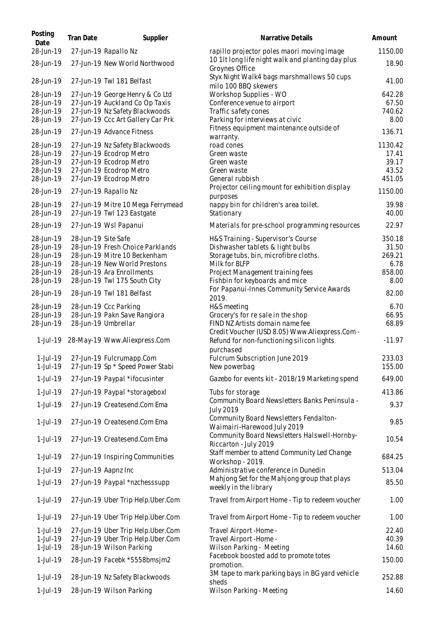| Posting<br>Date        | Tran Date           | Supplier                                                            | Narrative Details                                                                 | Amount         |
|------------------------|---------------------|---------------------------------------------------------------------|-----------------------------------------------------------------------------------|----------------|
| 28-Jun-19              |                     | 27-Jun-19 Rapallo Nz                                                | rapillo projector poles maori moving image                                        | 1150.00        |
| 28-Jun-19              |                     | 27-Jun-19 New World Northwood                                       | 10 1It long life night walk and planting day plus<br>Groynes Office               | 18.90          |
| 28-Jun-19              |                     | 27-Jun-19 Twl 181 Belfast                                           | Styx Night Walk4 bags marshmallows 50 cups<br>milo 100 BBQ skewers                | 41.00          |
| 28-Jun-19              |                     | 27-Jun-19 George Henry & Co Ltd                                     | Workshop Supplies - WO                                                            | 642.28         |
| 28-Jun-19              |                     | 27-Jun-19 Auckland Co Op Taxis                                      | Conference venue to airport                                                       | 67.50          |
| 28-Jun-19<br>28-Jun-19 |                     | 27-Jun-19 Nz Safety Blackwoods<br>27-Jun-19 Ccc Art Gallery Car Prk | Traffic safety cones<br>Parking for interviews at civic                           | 740.62<br>8.00 |
| 28-Jun-19              |                     | 27-Jun-19 Advance Fitness                                           | Fitness equipment maintenance outside of                                          | 136.71         |
| 28-Jun-19              |                     | 27-Jun-19 Nz Safety Blackwoods                                      | warranty.<br>road cones                                                           | 1130.42        |
| 28-Jun-19              |                     | 27-Jun-19 Ecodrop Metro                                             | Green waste                                                                       | 17.41          |
| 28-Jun-19              |                     | 27-Jun-19 Ecodrop Metro                                             | Green waste                                                                       | 39.17          |
| 28-Jun-19              |                     | 27-Jun-19 Ecodrop Metro                                             | Green waste                                                                       | 43.52          |
| 28-Jun-19              |                     | 27-Jun-19 Ecodrop Metro                                             | General rubbish                                                                   | 451.05         |
| 28-Jun-19              |                     | 27-Jun-19 Rapallo Nz                                                | Projector ceiling mount for exhibition display<br>purposes                        | 1150.00        |
| 28-Jun-19              |                     | 27-Jun-19 Mitre 10 Mega Ferrymead                                   | nappy bin for children's area toilet.                                             | 39.98          |
| 28-Jun-19              |                     | 27-Jun-19 Twl 123 Eastgate                                          | Stationary                                                                        | 40.00          |
| 28-Jun-19              |                     | 27-Jun-19 Wsl Papanui                                               | Materials for pre-school programming resources                                    | 22.97          |
| 28-Jun-19              | 28-Jun-19 Site Safe |                                                                     | H&S Training - Supervisor's Course                                                | 350.18         |
| 28-Jun-19              |                     | 28-Jun-19 Fresh Choice Parklands                                    | Dishwasher tablets & light bulbs                                                  | 31.50          |
| 28-Jun-19              |                     | 28-Jun-19 Mitre 10 Beckenham                                        | Storage tubs, bin, microfibre cloths.                                             | 269.21         |
| 28-Jun-19              |                     | 28-Jun-19 New World Prestons                                        | Milk for BLFP                                                                     | 6.78           |
| 28-Jun-19<br>28-Jun-19 |                     | 28-Jun-19 Ara Enrollments<br>28-Jun-19 Twl 175 South City           | Project Management training fees<br>Fishbin for keyboards and mice                | 858.00<br>8.00 |
| 28-Jun-19              |                     | 28-Jun-19 Twl 181 Belfast                                           | For Papanui-Innes Community Service Awards<br>2019.                               | 82.00          |
| 28-Jun-19              |                     | 28-Jun-19 Ccc Parking                                               | H&S meeting                                                                       | 6.70           |
| 28-Jun-19              |                     | 28-Jun-19 Pakn Save Rangiora                                        | Grocery's for re sale in the shop                                                 | 66.95          |
| 28-Jun-19              |                     | 28-Jun-19 Umbrellar                                                 | FIND NZ Artists domain name fee<br>Credit Voucher (USD 8.05) Www.Aliexpress.Com - | 68.89          |
| 1-Jul-19               |                     | 28-May-19 Www.Aliexpress.Com                                        | Refund for non-functioning silicon lights<br>purchased                            | $-11.97$       |
| $1$ -Jul-19            |                     | 27-Jun-19 Fulcrumapp.Com                                            | Fulcrum Subscription June 2019                                                    | 233.03         |
| $1$ -Jul-19            |                     | 27-Jun-19 Sp * Speed Power Stabi                                    | New powerbag                                                                      | 155.00         |
| 1-Jul-19               |                     | 27-Jun-19 Paypal *ifocusinter                                       | Gazebo for events kit - 2018/19 Marketing spend                                   | 649.00         |
| 1-Jul-19               |                     | 27-Jun-19 Paypal *storageboxl                                       | Tubs for storage<br>Community Board Newsletters Banks Peninsula -                 | 413.86         |
| 1-Jul-19               |                     | 27-Jun-19 Createsend.Com Ema                                        | <b>July 2019</b>                                                                  | 9.37           |
| 1-Jul-19               |                     | 27-Jun-19 Createsend.Com Ema                                        | Community Board Newsletters Fendalton-<br>Waimairi-Harewood July 2019             | 9.85           |
| 1-Jul-19               |                     | 27-Jun-19 Createsend.Com Ema                                        | Community Board Newsletters Halswell-Hornby-<br>Riccarton - July 2019             | 10.54          |
| 1-Jul-19               |                     | 27-Jun-19 Inspiring Communities                                     | Staff member to attend Community Led Change<br>Workshop - 2019.                   | 684.25         |
| 1-Jul-19               |                     | 27-Jun-19 Aapnz Inc                                                 | Administrative conference in Dunedin                                              | 513.04         |
| 1-Jul-19               |                     | 27-Jun-19 Paypal *nzchesssupp                                       | Mahjong Set for the Mahjong group that plays<br>weekly in the library             | 85.50          |
| 1-Jul-19               |                     | 27-Jun-19 Uber Trip Help.Uber.Com                                   | Travel from Airport Home - Tip to redeem voucher                                  | 1.00           |
| 1-Jul-19               |                     | 27-Jun-19 Uber Trip Help.Uber.Com                                   | Travel from Airport Home - Tip to redeem voucher                                  | 1.00           |
| $1$ -Jul-19            |                     | 27-Jun-19 Uber Trip Help.Uber.Com                                   | Travel Airport - Home -                                                           | 22.40          |
| 1-Jul-19               |                     | 27-Jun-19 Uber Trip Help.Uber.Com                                   | Travel Airport - Home -                                                           | 40.39          |
| 1-Jul-19               |                     | 28-Jun-19 Wilson Parking                                            | Wilson Parking - Meeting                                                          | 14.60          |
| 1-Jul-19               |                     | 28-Jun-19 Facebk *5558bmsjm2                                        | Facebook boosted add to promote totes<br>promotion.                               | 150.00         |
| 1-Jul-19               |                     | 28-Jun-19 Nz Safety Blackwoods                                      | 3M tape to mark parking bays in BG yard vehicle                                   | 252.88         |
| 1-Jul-19               |                     | 28-Jun-19 Wilson Parking                                            | sheds<br>Wilson Parking - Meeting                                                 | 14.60          |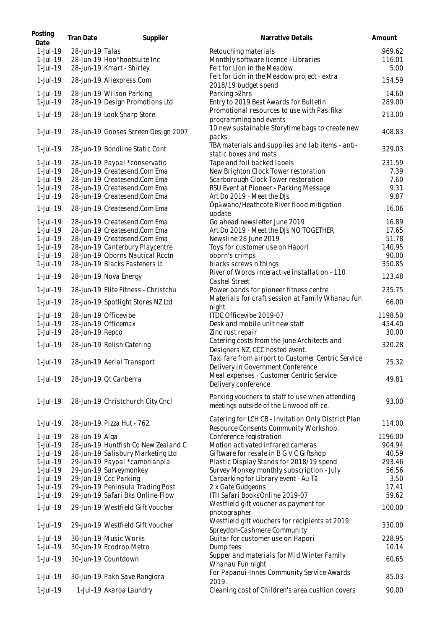| Posting<br>Date | Tran Date       | Supplier                            | Narrative Details                                                                            | Amount  |
|-----------------|-----------------|-------------------------------------|----------------------------------------------------------------------------------------------|---------|
| 1-Jul-19        | 28-Jun-19 Talas |                                     | Retouching materials                                                                         | 969.62  |
| $1$ -Jul-19     |                 | 28-Jun-19 Hoo*hootsuite Inc         | Monthly software licence - Libraries                                                         | 116.01  |
| 1-Jul-19        |                 | 28-Jun-19 Kmart - Shirley           | Felt for Lion in the Meadow                                                                  | 5.00    |
| 1-Jul-19        |                 | 28-Jun-19 Aliexpress.Com            | Felt for Lion in the Meadow project - extra<br>2018/19 budget spend                          | 154.59  |
| 1-Jul-19        |                 | 28-Jun-19 Wilson Parking            | Parking >2hrs                                                                                | 14.60   |
| 1-Jul-19        |                 | 28-Jun-19 Design Promotions Ltd     | Entry to 2019 Best Awards for Bulletin                                                       | 289.00  |
|                 |                 |                                     | Promotional resources to use with Pasifika                                                   |         |
| 1-Jul-19        |                 | 28-Jun-19 Look Sharp Store          | programming and events                                                                       | 213.00  |
| 1-Jul-19        |                 | 28-Jun-19 Gooses Screen Design 2007 | 10 new sustainable Storytime bags to create new<br>packs                                     | 408.83  |
| 1-Jul-19        |                 | 28-Jun-19 Bondline Static Cont      | TBA materials and supplies and lab items - anti-<br>static boxes and mats                    | 329.03  |
| $1$ -Jul-19     |                 | 28-Jun-19 Paypal *conservatio       | Tape and foil backed labels                                                                  | 231.59  |
| 1-Jul-19        |                 | 28-Jun-19 Createsend.Com Ema        | New Brighton Clock Tower restoration                                                         | 7.39    |
| 1-Jul-19        |                 | 28-Jun-19 Createsend.Com Ema        | Scarborough Clock Tower restoration                                                          | 7.60    |
| 1-Jul-19        |                 | 28-Jun-19 Createsend.Com Ema        | RSU Event at Pioneer - Parking Message                                                       | 9.31    |
| 1-Jul-19        |                 | 28-Jun-19 Createsend.Com Ema        | Art Do 2019 - Meet the DJs                                                                   | 9.87    |
|                 |                 |                                     | Ōpāwaho/Heathcote River flood mitigation                                                     |         |
| 1-Jul-19        |                 | 28-Jun-19 Createsend.Com Ema        | update                                                                                       | 16.06   |
| $1$ -Jul-19     |                 | 28-Jun-19 Createsend.Com Ema        | Go ahead newsletter June 2019                                                                | 16.89   |
| $1$ -Jul-19     |                 | 28-Jun-19 Createsend.Com Ema        | Art Do 2019 - Meet the DJs NO TOGETHER                                                       | 17.65   |
| $1$ -Jul-19     |                 | 28-Jun-19 Createsend.Com Ema        | Newsline 28 June 2019                                                                        | 51.78   |
| 1-Jul-19        |                 | 28-Jun-19 Canterbury Playcentre     | Toys for customer use on Hapori                                                              | 140.95  |
| 1-Jul-19        |                 | 28-Jun-19 Oborns Nautical Rcctn     | oborn's crimps                                                                               | 90.00   |
| 1-Jul-19        |                 | 28-Jun-19 Blacks Fasteners Lt       | blacks screws n things                                                                       | 350.85  |
| 1-Jul-19        |                 | 28-Jun-19 Nova Energy               | River of Words interactive installation - 110<br>Cashel Street                               | 123.48  |
| 1-Jul-19        |                 | 28-Jun-19 Elite Fitness - Christchu | Power bands for pioneer fitness centre                                                       | 235.75  |
| 1-Jul-19        |                 | 28-Jun-19 Spotlight Stores NZ Ltd   | Materials for craft session at Family Whanau fun<br>night                                    | 66.00   |
| $1$ -Jul-19     |                 | 28-Jun-19 Officevibe                | ITDC Officevibe 2019-07                                                                      | 1198.50 |
| 1-Jul-19        |                 | 28-Jun-19 Officemax                 | Desk and mobile unit new staff                                                               | 454.40  |
| 1-Jul-19        | 28-Jun-19 Repco |                                     | Zinc rust repair                                                                             | 30.00   |
| 1-Jul-19        |                 | 28-Jun-19 Relish Catering           | Catering costs from the June Architects and<br>Designers NZ, CCC hosted event.               | 320.28  |
|                 |                 |                                     | Taxi fare from airport to Customer Centric Service                                           |         |
| 1-Jul-19        |                 | 28-Jun-19 Aerial Transport          | Delivery in Government Conference                                                            | 25.32   |
| 1-Jul-19        |                 | 28-Jun-19 Qt Canberra               | Meal expenses - Customer Centric Service<br>Delivery conference                              | 49.81   |
| 1-Jul-19        |                 | 28-Jun-19 Christchurch City Cncl    | Parking vouchers to staff to use when attending                                              | 93.00   |
|                 |                 |                                     | meetings outside of the Linwood office.                                                      |         |
| $1$ -Jul-19     |                 | 28-Jun-19 Pizza Hut - 762           | Catering for LCH CB - Invitation Only District Plan<br>Resource Consents Community Workshop. | 114.00  |
| $1$ -Jul-19     | 28-Jun-19 Alga  |                                     | Conference registration                                                                      | 1196.00 |
| 1-Jul-19        |                 | 28-Jun-19 Huntfish Co New Zealand C | Motion activated infrared cameras                                                            | 904.94  |
| 1-Jul-19        |                 | 28-Jun-19 Salisbury Marketing Ltd   | Giftware for resale in B G V C Giftshop                                                      | 40.59   |
| 1-Jul-19        |                 | 29-Jun-19 Paypal *cambrianpla       | Plastic Display Stands for 2018/19 spend                                                     | 293.46  |
| 1-Jul-19        |                 | 29-Jun-19 Surveymonkey              | Survey Monkey monthly subscription - July                                                    | 56.56   |
| 1-Jul-19        |                 | 29-Jun-19 Ccc Parking               | Carparking for Library event - Au Tā                                                         | 3.50    |
| 1-Jul-19        |                 | 29-Jun-19 Peninsula Trading Post    | 2 x Gate Gudgeons                                                                            | 17.41   |
| 1-Jul-19        |                 | 29-Jun-19 Safari Bks Online-Flow    | ITII Safari BooksOnline 2019-07                                                              | 59.62   |
| 1-Jul-19        |                 | 29-Jun-19 Westfield Gift Voucher    | Westfield gift voucher as payment for<br>photographer                                        | 100.00  |
| 1-Jul-19        |                 | 29-Jun-19 Westfield Gift Voucher    | Westfield gift vouchers for recipients at 2019<br>Spreydon-Cashmere Community                | 330.00  |
| 1-Jul-19        |                 | 30-Jun-19 Music Works               | Guitar for customer use on Hapori                                                            | 228.95  |
| 1-Jul-19        |                 | 30-Jun-19 Ecodrop Metro             | Dump fees                                                                                    | 10.14   |
| 1-Jul-19        |                 | 30-Jun-19 Countdown                 | Supper and materials for Mid Winter Family<br>Whanau Fun night                               | 60.65   |
| 1-Jul-19        |                 | 30-Jun-19 Pakn Save Rangiora        | For Papanui-Innes Community Service Awards<br>2019.                                          | 85.03   |
| 1-Jul-19        |                 | 1-Jul-19 Akaroa Laundry             | Cleaning cost of Children's area cushion covers                                              | 90.00   |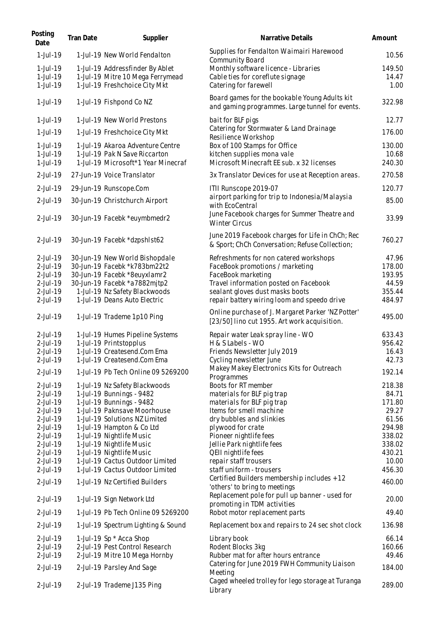| Posting<br>Date         | Tran Date | Supplier                                                          | Narrative Details                                                                                  | Amount          |
|-------------------------|-----------|-------------------------------------------------------------------|----------------------------------------------------------------------------------------------------|-----------------|
| 1-Jul-19                |           | 1-Jul-19 New World Fendalton                                      | Supplies for Fendalton Waimairi Harewood<br>Community Board                                        | 10.56           |
| $1$ -Jul-19             |           | 1-Jul-19 Addressfinder By Ablet                                   | Monthly software licence - Libraries                                                               | 149.50          |
| 1-Jul-19                |           | 1-Jul-19 Mitre 10 Mega Ferrymead                                  | Cable ties for coreflute signage                                                                   | 14.47           |
| 1-Jul-19                |           | 1-Jul-19 Freshchoice City Mkt                                     | Catering for farewell                                                                              | 1.00            |
|                         |           |                                                                   |                                                                                                    |                 |
| 1-Jul-19                |           | 1-Jul-19 Fishpond Co NZ                                           | Board games for the bookable Young Adults kit<br>and gaming programmes. Large tunnel for events.   | 322.98          |
| 1-Jul-19                |           | 1-Jul-19 New World Prestons                                       | bait for BLF pigs                                                                                  | 12.77           |
| 1-Jul-19                |           | 1-Jul-19 Freshchoice City Mkt                                     | Catering for Stormwater & Land Drainage                                                            | 176.00          |
|                         |           |                                                                   | Resilience Workshop                                                                                |                 |
| 1-Jul-19<br>$1$ -Jul-19 |           | 1-Jul-19 Akaroa Adventure Centre<br>1-Jul-19 Pak N Save Riccarton | Box of 100 Stamps for Office<br>kitchen supplies mona vale                                         | 130.00<br>10.68 |
| 1-Jul-19                |           | 1-Jul-19 Microsoft*1 Year Minecraf                                | Microsoft Minecraft EE sub. x 32 licenses                                                          | 240.30          |
|                         |           |                                                                   |                                                                                                    |                 |
| 2-Jul-19                |           | 27-Jun-19 Voice Translator                                        | 3x Translator Devices for use at Reception areas.                                                  | 270.58          |
| 2-Jul-19                |           | 29-Jun-19 Runscope.Com                                            | ITII Runscope 2019-07                                                                              | 120.77          |
| 2-Jul-19                |           | 30-Jun-19 Christchurch Airport                                    | airport parking for trip to Indonesia/Malaysia<br>with EcoCentral                                  | 85.00           |
| 2-Jul-19                |           | 30-Jun-19 Facebk *euymbmedr2                                      | June Facebook charges for Summer Theatre and<br><b>Winter Circus</b>                               | 33.99           |
| 2-Jul-19                |           | 30-Jun-19 Facebk *dzpshlst62                                      | June 2019 Facebook charges for Life in ChCh; Rec<br>& Sport; ChCh Conversation; Refuse Collection; | 760.27          |
| 2-Jul-19                |           | 30-Jun-19 New World Bishopdale                                    | Refreshments for non catered workshops                                                             | 47.96           |
| 2-Jul-19                |           | 30-Jun-19 Facebk *k783bm22t2                                      | FaceBook promotions / marketing                                                                    | 178.00          |
| 2-Jul-19                |           | 30-Jun-19 Facebk *8euyxlamr2                                      | FaceBook marketing                                                                                 | 193.95          |
| 2-Jul-19                |           | 30-Jun-19 Facebk *a7882mjtp2                                      | Travel information posted on Facebook                                                              | 44.59           |
| 2-Jul-19                |           | 1-Jul-19 Nz Safety Blackwoods                                     | sealant gloves dust masks boots                                                                    | 355.44          |
| 2-Jul-19                |           | 1-Jul-19 Deans Auto Electric                                      | repair battery wiring loom and speedo drive                                                        | 484.97          |
| 2-Jul-19                |           | 1-Jul-19 Trademe 1p10 Ping                                        | Online purchase of J. Margaret Parker 'NZ Potter'<br>[23/50] lino cut 1955. Art work acquisition.  | 495.00          |
| 2-Jul-19                |           | 1-Jul-19 Humes Pipeline Systems                                   | Repair water Leak spray line - WO                                                                  | 633.43          |
| 2-Jul-19                |           | 1-Jul-19 Printstopplus                                            | H & S Labels - WO                                                                                  | 956.42          |
| 2-Jul-19                |           | 1-Jul-19 Createsend.Com Ema                                       | Friends Newsletter July 2019                                                                       | 16.43           |
| 2-Jul-19                |           | 1-Jul-19 Createsend.Com Ema                                       | Cycling newsletter June                                                                            | 42.73           |
| 2-Jul-19                |           | 1-Jul-19 Pb Tech Online 09 5269200                                | Makey Makey Electronics Kits for Outreach<br>Programmes                                            | 192.14          |
| 2-Jul-19                |           | 1-Jul-19 Nz Safety Blackwoods                                     | Boots for RT member                                                                                | 218.38          |
| 2-Jul-19                |           | 1-Jul-19 Bunnings - 9482                                          | materials for BLF pig trap                                                                         | 84.71           |
| 2-Jul-19                |           | 1-Jul-19 Bunnings - 9482                                          | materials for BLF pig trap                                                                         | 171.80          |
| 2-Jul-19                |           | 1-Jul-19 Paknsave Moorhouse                                       | Items for smell machine                                                                            | 29.27           |
| 2-Jul-19                |           | 1-Jul-19 Solutions NZ Limited                                     | dry bubbles and slinkies                                                                           | 61.56           |
| 2-Jul-19                |           | 1-Jul-19 Hampton & Co Ltd                                         | plywood for crate                                                                                  | 294.98          |
| 2-Jul-19                |           | 1-Jul-19 Nightlife Music                                          | Pioneer nightlife fees                                                                             | 338.02          |
| 2-Jul-19                |           | 1-Jul-19 Nightlife Music                                          | Jellie Park nightlife fees                                                                         | 338.02          |
| 2-Jul-19                |           | 1-Jul-19 Nightlife Music                                          | QEII nightlife fees                                                                                | 430.21          |
| 2-Jul-19                |           | 1-Jul-19 Cactus Outdoor Limited                                   | repair staff trousers                                                                              | 10.00           |
| 2-Jul-19                |           | 1-Jul-19 Cactus Outdoor Limited                                   | staff uniform - trousers                                                                           | 456.30          |
| 2-Jul-19                |           | 1-Jul-19 Nz Certified Builders                                    | Certified Builders membership includes + 12<br>'others' to bring to meetings                       | 460.00          |
| 2-Jul-19                |           | 1-Jul-19 Sign Network Ltd                                         | Replacement pole for pull up banner - used for<br>promoting in TDM activities                      | 20.00           |
| $2$ -Jul-19             |           | 1-Jul-19 Pb Tech Online 09 5269200                                | Robot motor replacement parts                                                                      | 49.40           |
| 2-Jul-19                |           | 1-Jul-19 Spectrum Lighting & Sound                                | Replacement box and repairs to 24 sec shot clock                                                   | 136.98          |
| 2-Jul-19                |           | 1-Jul-19 Sp * Acca Shop                                           | Library book                                                                                       | 66.14           |
| 2-Jul-19                |           | 2-Jul-19 Pest Control Research                                    | Rodent Blocks 3kg                                                                                  | 160.66          |
| 2-Jul-19                |           | 2-Jul-19 Mitre 10 Mega Hornby                                     | Rubber mat for after hours entrance                                                                | 49.46           |
| 2-Jul-19                |           | 2-Jul-19 Parsley And Sage                                         | Catering for June 2019 FWH Community Liaison<br>Meeting                                            | 184.00          |
| 2-Jul-19                |           | 2-Jul-19 Trademe J135 Ping                                        | Caged wheeled trolley for lego storage at Turanga<br>Library                                       | 289.00          |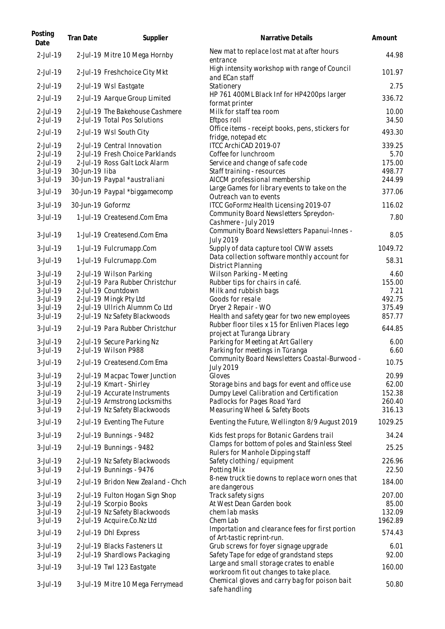| Posting<br>Date      | Tran Date         | Supplier                           | Narrative Details                                                             | Amount           |
|----------------------|-------------------|------------------------------------|-------------------------------------------------------------------------------|------------------|
| 2-Jul-19             |                   | 2-Jul-19 Mitre 10 Mega Hornby      | New mat to replace lost mat at after hours<br>entrance                        | 44.98            |
| 2-Jul-19             |                   | 2-Jul-19 Freshchoice City Mkt      | High intensity workshop with range of Council<br>and ECan staff               | 101.97           |
| 2-Jul-19             |                   | 2-Jul-19 Wsl Eastgate              | Stationery                                                                    | 2.75             |
| 2-Jul-19             |                   | 2-Jul-19 Aarque Group Limited      | HP 761 400ML Black Inf for HP4200ps larger<br>format printer                  | 336.72           |
| 2-Jul-19             |                   | 2-Jul-19 The Bakehouse Cashmere    | Milk for staff tea room                                                       | 10.00            |
| 2-Jul-19             |                   | 2-Jul-19 Total Pos Solutions       | Eftpos roll                                                                   | 34.50            |
| 2-Jul-19             |                   | 2-Jul-19 Wsl South City            | Office items - receipt books, pens, stickers for<br>fridge, notepad etc       | 493.30           |
| 2-Jul-19             |                   | 2-Jul-19 Central Innovation        | ITCC ArchiCAD 2019-07                                                         | 339.25           |
| 2-Jul-19             |                   | 2-Jul-19 Fresh Choice Parklands    | Coffee for lunchroom                                                          | 5.70             |
| 2-Jul-19<br>3-Jul-19 | 30-Jun-19 liba    | 2-Jul-19 Ross Galt Lock Alarm      | Service and change of safe code<br>Staff training - resources                 | 175.00<br>498.77 |
| 3-Jul-19             |                   | 30-Jun-19 Paypal *australiani      | AICCM professional membership                                                 | 244.99           |
|                      |                   |                                    | Large Games for library events to take on the                                 | 377.06           |
| 3-Jul-19             |                   | 30-Jun-19 Paypal *biggamecomp      | Outreach van to events                                                        |                  |
| 3-Jul-19             | 30-Jun-19 Goformz |                                    | ITCC GoFormz Health Licensing 2019-07                                         | 116.02           |
| 3-Jul-19             |                   | 1-Jul-19 Createsend.Com Ema        | Community Board Newsletters Spreydon-                                         | 7.80             |
|                      |                   |                                    | Cashmere - July 2019                                                          |                  |
| 3-Jul-19             |                   | 1-Jul-19 Createsend.Com Ema        | Community Board Newsletters Papanui-Innes -<br><b>July 2019</b>               | 8.05             |
| 3-Jul-19             |                   | 1-Jul-19 Fulcrumapp.Com            | Supply of data capture tool CWW assets                                        | 1049.72          |
| 3-Jul-19             |                   | 1-Jul-19 Fulcrumapp.Com            | Data collection software monthly account for<br>District Planning             | 58.31            |
| 3-Jul-19             |                   | 2-Jul-19 Wilson Parking            | Wilson Parking - Meeting                                                      | 4.60             |
| 3-Jul-19             |                   | 2-Jul-19 Para Rubber Christchur    | Rubber tips for chairs in café.                                               | 155.00           |
| 3-Jul-19             |                   | 2-Jul-19 Countdown                 | Milk and rubbish bags                                                         | 7.21             |
| 3-Jul-19             |                   | 2-Jul-19 Mingk Pty Ltd             | Goods for resale                                                              | 492.75           |
| 3-Jul-19             |                   | 2-Jul-19 Ullrich Alumnm Co Ltd     | Dryer 2 Repair - WO                                                           | 375.49           |
| 3-Jul-19             |                   | 2-Jul-19 Nz Safety Blackwoods      | Health and safety gear for two new employees                                  | 857.77           |
| $3$ -Jul-19          |                   | 2-Jul-19 Para Rubber Christchur    | Rubber floor tiles x 15 for Enliven Places lego<br>project at Turanga Library | 644.85           |
| 3-Jul-19             |                   | 2-Jul-19 Secure Parking Nz         | Parking for Meeting at Art Gallery                                            | 6.00             |
| 3-Jul-19             |                   | 2-Jul-19 Wilson P988               | Parking for meetings in Tūranga                                               | 6.60             |
| 3-Jul-19             |                   | 2-Jul-19 Createsend.Com Ema        | Community Board Newsletters Coastal-Burwood -<br>July 2019                    | 10.75            |
| 3-Jul-19             |                   | 2-Jul-19 Macpac Tower Junction     | Gloves                                                                        | 20.99            |
| 3-Jul-19             |                   | 2-Jul-19 Kmart - Shirley           | Storage bins and bags for event and office use                                | 62.00            |
| 3-Jul-19             |                   | 2-Jul-19 Accurate Instruments      | Dumpy Level Calibration and Certification                                     | 152.38           |
| 3-Jul-19             |                   | 2-Jul-19 Armstrong Locksmiths      | Padlocks for Pages Road Yard                                                  | 260.40           |
| $3$ -Jul-19          |                   | 2-Jul-19 Nz Safety Blackwoods      | Measuring Wheel & Safety Boots                                                | 316.13           |
| 3-Jul-19             |                   | 2-Jul-19 Eventing The Future       | Eventing the Future, Wellington 8/9 August 2019                               | 1029.25          |
| 3-Jul-19             |                   | 2-Jul-19 Bunnings - 9482           | Kids fest props for Botanic Gardens trail                                     | 34.24            |
| 3-Jul-19             |                   | 2-Jul-19 Bunnings - 9482           | Clamps for bottom of poles and Stainless Steel                                | 25.25            |
| 3-Jul-19             |                   | 2-Jul-19 Nz Safety Blackwoods      | Rulers for Manhole Dipping staff<br>Safety clothing / equipment               | 226.96           |
| 3-Jul-19             |                   | 2-Jul-19 Bunnings - 9476           | Potting Mix                                                                   | 22.50            |
| 3-Jul-19             |                   | 2-Jul-19 Bridon New Zealand - Chch | 8-new truck tie downs to replace worn ones that                               | 184.00           |
| $3$ -Jul-19          |                   | 2-Jul-19 Fulton Hogan Sign Shop    | are dangerous<br>Track safety signs                                           | 207.00           |
| $3$ -Jul-19          |                   | 2-Jul-19 Scorpio Books             | At West Dean Garden book                                                      | 85.00            |
| $3$ -Jul-19          |                   | 2-Jul-19 Nz Safety Blackwoods      | chem lab masks                                                                | 132.09           |
| 3-Jul-19             |                   | 2-Jul-19 Acquire.Co.Nz Ltd         | Chem Lab                                                                      | 1962.89          |
| 3-Jul-19             |                   | 2-Jul-19 Dhl Express               | Importation and clearance fees for first portion                              | 574.43           |
| 3-Jul-19             |                   | 2-Jul-19 Blacks Fasteners Lt       | of Art-tastic reprint-run.<br>Grub screws for foyer signage upgrade           | 6.01             |
| 3-Jul-19             |                   | 2-Jul-19 Shardlows Packaging       | Safety Tape for edge of grandstand steps                                      | 92.00            |
|                      |                   |                                    | Large and small storage crates to enable                                      |                  |
| 3-Jul-19             |                   | 3-Jul-19 Twl 123 Eastgate          | workroom fit out changes to take place.                                       | 160.00           |
| 3-Jul-19             |                   | 3-Jul-19 Mitre 10 Mega Ferrymead   | Chemical gloves and carry bag for poison bait<br>safe handling                | 50.80            |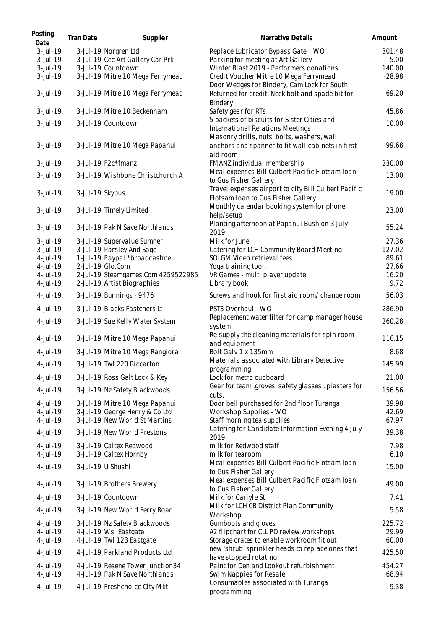| Posting<br>Date      | Tran Date       | Supplier                                                          | Narrative Details                                                                                           | Amount         |
|----------------------|-----------------|-------------------------------------------------------------------|-------------------------------------------------------------------------------------------------------------|----------------|
| 3-Jul-19<br>3-Jul-19 |                 | 3-Jul-19 Norgren Ltd<br>3-Jul-19 Ccc Art Gallery Car Prk          | Replace Lubricator Bypass Gate _ WO<br>Parking for meeting at Art Gallery                                   | 301.48<br>5.00 |
| 3-Jul-19             |                 | 3-Jul-19 Countdown                                                | Winter Blast 2019 - Performers donations                                                                    | 140.00         |
| 3-Jul-19             |                 | 3-Jul-19 Mitre 10 Mega Ferrymead                                  | Credit Voucher Mitre 10 Mega Ferrymead<br>Door Wedges for Bindery, Cam Lock for South                       | $-28.98$       |
| 3-Jul-19             |                 | 3-Jul-19 Mitre 10 Mega Ferrymead                                  | Returned for credit, Neck bolt and spade bit for<br>Bindery                                                 | 69.20          |
| 3-Jul-19             |                 | 3-Jul-19 Mitre 10 Beckenham                                       | Safety gear for RTs                                                                                         | 45.86          |
| 3-Jul-19             |                 | 3-Jul-19 Countdown                                                | 5 packets of biscuits for Sister Cities and<br>International Relations Meetings                             | 10.00          |
| 3-Jul-19             |                 | 3-Jul-19 Mitre 10 Mega Papanui                                    | Masonry drills, nuts, bolts, washers, wall<br>anchors and spanner to fit wall cabinets in first<br>aid room | 99.68          |
| 3-Jul-19             |                 | 3-Jul-19 F2c*fmanz                                                | FMANZ individual membership                                                                                 | 230.00         |
| 3-Jul-19             |                 | 3-Jul-19 Wishbone Christchurch A                                  | Meal expenses Bill Culbert Pacific Flotsam Ioan<br>to Gus Fisher Gallery                                    | 13.00          |
| $3$ -Jul-19          | 3-Jul-19 Skybus |                                                                   | Travel expenses airport to city Bill Culbert Pacific<br>Flotsam Ioan to Gus Fisher Gallery                  | 19.00          |
| $3$ -Jul-19          |                 | 3-Jul-19 Timely Limited                                           | Monthly calendar booking system for phone<br>help/setup                                                     | 23.00          |
| 3-Jul-19             |                 | 3-Jul-19 Pak N Save Northlands                                    | Planting afternoon at Papanui Bush on 3 July<br>2019.                                                       | 55.24          |
| $3$ -Jul-19          |                 | 3-Jul-19 Supervalue Sumner                                        | Milk for June                                                                                               | 27.36          |
| 3-Jul-19             |                 | 3-Jul-19 Parsley And Sage                                         | Catering for LCH Community Board Meeting                                                                    | 127.02         |
| $4$ -Jul-19          |                 | 1-Jul-19 Paypal *broadcastme                                      | SOLGM Video retrieval fees                                                                                  | 89.61          |
| 4-Jul-19             |                 | 2-Jul-19 Glo.Com                                                  | Yoga training tool.                                                                                         | 27.66          |
| 4-Jul-19<br>4-Jul-19 |                 | 2-Jul-19 Steamgames.Com 4259522985<br>2-Jul-19 Artist Biographies | VR Games - multi player update<br>Library book                                                              | 16.20<br>9.72  |
| 4-Jul-19             |                 | 3-Jul-19 Bunnings - 9476                                          | Screws and hook for first aid room/change room                                                              | 56.03          |
| 4-Jul-19             |                 | 3-Jul-19 Blacks Fasteners Lt                                      | PST3 Overhaul - WO                                                                                          | 286.90         |
| 4-Jul-19             |                 | 3-Jul-19 Sue Kelly Water System                                   | Replacement water filter for camp manager house<br>system                                                   | 260.28         |
| 4-Jul-19             |                 | 3-Jul-19 Mitre 10 Mega Papanui                                    | Re-supply the cleaning materials for spin room<br>and equipment                                             | 116.15         |
| 4-Jul-19             |                 | 3-Jul-19 Mitre 10 Mega Rangiora                                   | Bolt Galv 1 x 135mm<br>Materials associated with Library Detective                                          | 8.68           |
| 4-Jul-19             |                 | 3-Jul-19 Twl 220 Riccarton                                        | programming                                                                                                 | 145.99         |
| 4-Jul-19             |                 | 3-Jul-19 Ross Galt Lock & Key                                     | Lock for metro cupboard                                                                                     | 21.00          |
| 4-Jul-19             |                 | 3-Jul-19 Nz Safety Blackwoods                                     | Gear for team, groves, safety glasses, plasters for<br>cuts.                                                | 156.56         |
| 4-Jul-19             |                 | 3-Jul-19 Mitre 10 Mega Papanui                                    | Door bell purchased for 2nd floor Turanga                                                                   | 39.98          |
| 4-Jul-19             |                 | 3-Jul-19 George Henry & Co Ltd                                    | Workshop Supplies - WO                                                                                      | 42.69          |
| 4-Jul-19             |                 | 3-Jul-19 New World St Martins                                     | Staff morning tea supplies                                                                                  | 67.97          |
| 4-Jul-19             |                 | 3-Jul-19 New World Prestons                                       | Catering for Candidate Information Evening 4 July<br>2019                                                   | 39.38          |
| 4-Jul-19<br>4-Jul-19 |                 | 3-Jul-19 Caltex Redwood<br>3-Jul-19 Caltex Hornby                 | milk for Redwood staff<br>milk for tearoom                                                                  | 7.98<br>6.10   |
| 4-Jul-19             |                 | 3-Jul-19 U Shushi                                                 | Meal expenses Bill Culbert Pacific Flotsam Ioan<br>to Gus Fisher Gallery                                    | 15.00          |
| 4-Jul-19             |                 | 3-Jul-19 Brothers Brewery                                         | Meal expenses Bill Culbert Pacific Flotsam Ioan                                                             | 49.00          |
| 4-Jul-19             |                 | 3-Jul-19 Countdown                                                | to Gus Fisher Gallery<br>Milk for Carlyle St                                                                | 7.41           |
| 4-Jul-19             |                 | 3-Jul-19 New World Ferry Road                                     | Milk for LCH CB District Plan Community                                                                     | 5.58           |
| 4-Jul-19             |                 | 3-Jul-19 Nz Safety Blackwoods                                     | Workshop<br>Gumboots and gloves                                                                             | 225.72         |
| 4-Jul-19             |                 | 4-Jul-19 Wsl Eastgate                                             | A2 flipchart for CLL PD review workshops.                                                                   | 29.99          |
| 4-Jul-19             |                 | 4-Jul-19 Twl 123 Eastgate                                         | Storage crates to enable workroom fit out                                                                   | 60.00          |
| 4-Jul-19             |                 | 4-Jul-19 Parkland Products Ltd                                    | new 'shrub' sprinkler heads to replace ones that<br>have stopped rotating                                   | 425.50         |
| 4-Jul-19             |                 | 4-Jul-19 Resene Tower Junction34                                  | Paint for Den and Lookout refurbishment                                                                     | 454.27         |
| 4-Jul-19             |                 | 4-Jul-19 Pak N Save Northlands                                    | Swim Nappies for Resale<br>Consumables associated with Turanga                                              | 68.94<br>9.38  |
| 4-Jul-19             |                 | 4-Jul-19 Freshchoice City Mkt                                     | programming                                                                                                 |                |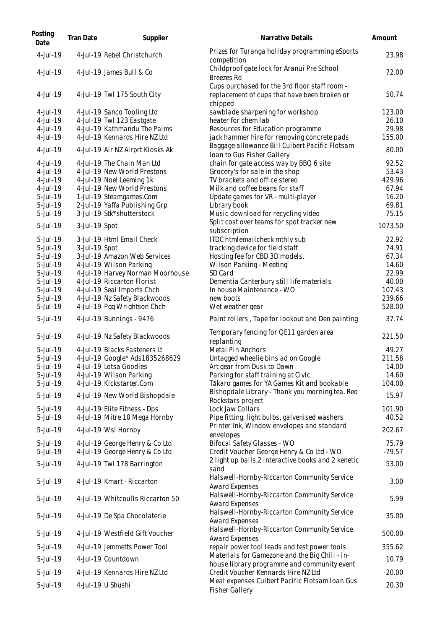| Posting<br>Date      | Tran Date     | Supplier                                                     | Narrative Details                                                                                        | Amount           |
|----------------------|---------------|--------------------------------------------------------------|----------------------------------------------------------------------------------------------------------|------------------|
| 4-Jul-19             |               | 4-Jul-19 Rebel Christchurch                                  | Prizes for Turanga holiday programming eSports<br>competition                                            | 23.98            |
| 4-Jul-19             |               | 4-Jul-19 James Bull & Co                                     | Childproof gate lock for Aranui Pre School<br><b>Breezes Rd</b>                                          | 72.00            |
| 4-Jul-19             |               | 4-Jul-19 Twl 175 South City                                  | Cups purchased for the 3rd floor staff room -<br>replacement of cups that have been broken or<br>chipped | 50.74            |
| 4-Jul-19             |               | 4-Jul-19 Sanco Tooling Ltd                                   | sawblade sharpening for workshop                                                                         | 123.00           |
| 4-Jul-19             |               | 4-Jul-19 Twl 123 Eastgate                                    | heater for chem lab                                                                                      | 26.10            |
| 4-Jul-19             |               | 4-Jul-19 Kathmandu The Palms                                 | Resources for Education programme                                                                        | 29.98            |
| 4-Jul-19             |               | 4-Jul-19 Kennards Hire NZ Ltd                                | jack hammer hire for removing concrete pads                                                              | 155.00           |
| 4-Jul-19             |               | 4-Jul-19 Air NZ Airprt Kiosks Ak                             | Baggage allowance Bill Culbert Pacific Flotsam<br>Ioan to Gus Fisher Gallery                             | 80.00            |
| 4-Jul-19             |               | 4-Jul-19 The Chain Man Ltd                                   | chain for gate access way by BBQ 6 site                                                                  | 92.52            |
| 4-Jul-19             |               | 4-Jul-19 New World Prestons                                  | Grocery's for sale in the shop                                                                           | 53.43            |
| 4-Jul-19             |               | 4-Jul-19 Noel Leeming 1k                                     | TV brackets and office stereo                                                                            | 429.96           |
| 4-Jul-19             |               | 4-Jul-19 New World Prestons                                  | Milk and coffee beans for staff                                                                          | 67.94            |
| 5-Jul-19             |               | 1-Jul-19 Steamgames.Com                                      | Update games for VR - multi-player                                                                       | 16.20            |
| 5-Jul-19             |               | 2-Jul-19 Yaffa Publishing Grp                                | Library book                                                                                             | 69.81            |
| 5-Jul-19             |               | 3-Jul-19 Stk*shutterstock                                    | Music download for recycling video                                                                       | 75.15            |
| 5-Jul-19             | 3-Jul-19 Spot |                                                              | Split cost over teams for spot tracker new<br>subscription                                               | 1073.50          |
| 5-Jul-19             |               | 3-Jul-19 Html Email Check                                    | ITDC htmlemailcheck mthly sub                                                                            | 22.92            |
| 5-Jul-19             | 3-Jul-19 Spot |                                                              | tracking device for field staff                                                                          | 74.91            |
| 5-Jul-19             |               | 3-Jul-19 Amazon Web Services                                 | Hosting fee for CBD 3D models.                                                                           | 67.34            |
| 5-Jul-19             |               | 4-Jul-19 Wilson Parking                                      | Wilson Parking - Meeting                                                                                 | 14.60            |
| 5-Jul-19             |               | 4-Jul-19 Harvey Norman Moorhouse                             | SD Card                                                                                                  | 22.99            |
| 5-Jul-19             |               | 4-Jul-19 Riccarton Florist                                   | Dementia Canterbury still life materials                                                                 | 40.00            |
| 5-Jul-19             |               | 4-Jul-19 Seal Imports Chch                                   | In house Maintenance - WO                                                                                | 107.43           |
| 5-Jul-19<br>5-Jul-19 |               | 4-Jul-19 Nz Safety Blackwoods<br>4-Jul-19 Pgg Wrightson Chch | new boots<br>Wet weather gear                                                                            | 239.66<br>528.00 |
| 5-Jul-19             |               | 4-Jul-19 Bunnings - 9476                                     | Paint rollers, Tape for lookout and Den painting                                                         | 37.74            |
|                      |               |                                                              |                                                                                                          |                  |
| 5-Jul-19             |               | 4-Jul-19 Nz Safety Blackwoods                                | Temporary fencing for QE11 garden area<br>replanting                                                     | 221.50           |
| 5-Jul-19             |               | 4-Jul-19 Blacks Fasteners Lt                                 | Metal Pin Anchors                                                                                        | 49.27            |
| 5-Jul-19             |               | 4-Jul-19 Google* Ads1835268629                               | Untagged wheelie bins ad on Google                                                                       | 211.58           |
| 5-Jul-19             |               | 4-Jul-19 Lotsa Goodies                                       | Art gear from Dusk to Dawn                                                                               | 14.00            |
| 5-Jul-19             |               | 4-Jul-19 Wilson Parking                                      | Parking for staff training at Civic                                                                      | 14.60            |
| 5-Jul-19<br>5-Jul-19 |               | 4-Jul-19 Kickstarter.Com<br>4-Jul-19 New World Bishopdale    | Tākaro games for YA Games Kit and bookable<br>Bishopdale Library - Thank you morning tea. Reo            | 104.00<br>15.97  |
|                      |               |                                                              | Rockstars project                                                                                        |                  |
| 5-Jul-19             |               | 4-Jul-19 Elite Fitness - Dps                                 | Lock Jaw Collars                                                                                         | 101.90           |
| 5-Jul-19             |               | 4-Jul-19 Mitre 10 Mega Hornby                                | Pipe fitting, light bulbs, galvenised washers                                                            | 40.52            |
| 5-Jul-19             |               | 4-Jul-19 Wsl Hornby                                          | Printer Ink, Window envelopes and standard<br>envelopes                                                  | 202.67           |
| 5-Jul-19             |               | 4-Jul-19 George Henry & Co Ltd                               | Bifocal Safety Glasses - WO                                                                              | 75.79            |
| 5-Jul-19             |               | 4-Jul-19 George Henry & Co Ltd                               | Credit Voucher George Henry & Co Ltd - WO                                                                | $-79.57$         |
| 5-Jul-19             |               | 4-Jul-19 Twl 178 Barrington                                  | 2 light up balls, 2 interactive books and 2 kenetic<br>sand                                              | 53.00            |
| 5-Jul-19             |               | 4-Jul-19 Kmart - Riccarton                                   | Halswell-Hornby-Riccarton Community Service<br>Award Expenses                                            | 3.00             |
| 5-Jul-19             |               | 4-Jul-19 Whitcoulls Riccarton 50                             | Halswell-Hornby-Riccarton Community Service<br>Award Expenses                                            | 5.99             |
| 5-Jul-19             |               | 4-Jul-19 De Spa Chocolaterie                                 | Halswell-Hornby-Riccarton Community Service<br>Award Expenses                                            | 35.00            |
| 5-Jul-19             |               | 4-Jul-19 Westfield Gift Voucher                              | Halswell-Hornby-Riccarton Community Service<br>Award Expenses                                            | 500.00           |
| 5-Jul-19             |               | 4-Jul-19 Jemmetts Power Tool                                 | repair power tool leads and test power tools                                                             | 355.62           |
| 5-Jul-19             |               | 4-Jul-19 Countdown                                           | Materials for Gamezone and the Big Chill - in-<br>house library programme and community event            | 10.79            |
| 5-Jul-19             |               | 4-Jul-19 Kennards Hire NZ Ltd                                | Credit Voucher Kennards Hire NZ Ltd                                                                      | $-20.00$         |
| 5-Jul-19             |               | 4-Jul-19 U Shushi                                            | Meal expenses Culbert Pacific Flotsam Ioan Gus<br><b>Fisher Gallery</b>                                  | 20.30            |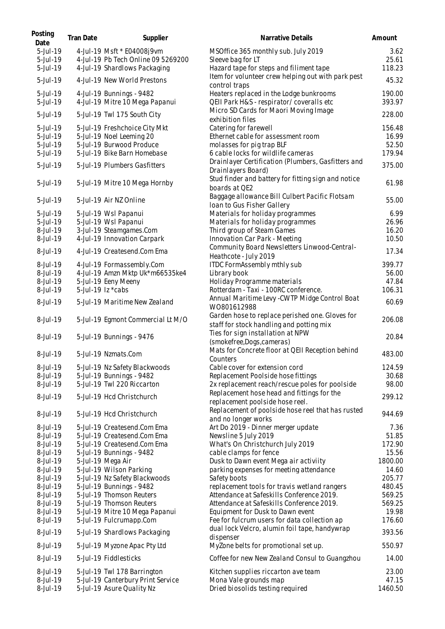| Posting<br>Date | Tran Date | Supplier                           | Narrative Details                                                                           | Amount  |
|-----------------|-----------|------------------------------------|---------------------------------------------------------------------------------------------|---------|
| 5-Jul-19        |           | 4-Jul-19 Msft * E04008j9vm         | MSOffice 365 monthly sub. July 2019                                                         | 3.62    |
| 5-Jul-19        |           | 4-Jul-19 Pb Tech Online 09 5269200 | Sleeve bag for LT                                                                           | 25.61   |
| 5-Jul-19        |           | 4-Jul-19 Shardlows Packaging       | Hazard tape for steps and filiment tape                                                     | 118.23  |
| 5-Jul-19        |           | 4-Jul-19 New World Prestons        | Item for volunteer crew helping out with park pest<br>control traps                         | 45.32   |
| 5-Jul-19        |           | 4-Jul-19 Bunnings - 9482           | Heaters replaced in the Lodge bunkrooms                                                     | 190.00  |
| 5-Jul-19        |           | 4-Jul-19 Mitre 10 Mega Papanui     | QEII Park H&S - respirator/coveralls etc                                                    | 393.97  |
|                 |           |                                    | Micro SD Cards for Maori Moving Image                                                       |         |
| 5-Jul-19        |           | 5-Jul-19 Twl 175 South City        | exhibition files                                                                            | 228.00  |
| 5-Jul-19        |           | 5-Jul-19 Freshchoice City Mkt      | Catering for farewell                                                                       | 156.48  |
| 5-Jul-19        |           | 5-Jul-19 Noel Leeming 20           | Ethernet cable for assessment room                                                          | 16.99   |
| 5-Jul-19        |           | 5-Jul-19 Burwood Produce           | molasses for pig trap BLF                                                                   | 52.50   |
| 5-Jul-19        |           | 5-Jul-19 Bike Barn Homebase        | 6 cable locks for wildlife cameras                                                          | 179.94  |
|                 |           |                                    | Drainlayer Certification (Plumbers, Gasfitters and                                          |         |
| 5-Jul-19        |           | 5-Jul-19 Plumbers Gasfitters       | Drainlayers Board)                                                                          | 375.00  |
| 5-Jul-19        |           | 5-Jul-19 Mitre 10 Mega Hornby      | Stud finder and battery for fitting sign and notice                                         | 61.98   |
|                 |           |                                    | boards at QE2                                                                               |         |
| 5-Jul-19        |           | 5-Jul-19 Air NZ Online             | Baggage allowance Bill Culbert Pacific Flotsam                                              | 55.00   |
|                 |           |                                    | loan to Gus Fisher Gallery                                                                  |         |
| $5$ -Jul $-19$  |           | 5-Jul-19 Wsl Papanui               | Materials for holiday programmes                                                            | 6.99    |
| $5$ -Jul-19     |           | 5-Jul-19 Wsl Papanui               | Materials for holiday programmes                                                            | 26.96   |
| 8-Jul-19        |           | 3-Jul-19 Steamgames.Com            | Third group of Steam Games                                                                  | 16.20   |
| 8-Jul-19        |           | 4-Jul-19 Innovation Carpark        | Innovation Car Park - Meeting                                                               | 10.50   |
| 8-Jul-19        |           | 4-Jul-19 Createsend.Com Ema        | Community Board Newsletters Linwood-Central-<br>Heathcote - July 2019                       | 17.34   |
| 8-Jul-19        |           | 4-Jul-19 Formassembly.Com          | ITDC FormAssembly mthly sub                                                                 | 399.77  |
| 8-Jul-19        |           | 4-Jul-19 Amzn Mktp Uk*m66535ke4    | Library book                                                                                | 56.00   |
| 8-Jul-19        |           | 5-Jul-19 Eeny Meeny                | Holiday Programme materials                                                                 | 47.84   |
| 8-Jul-19        |           | 5-Jul-19 lz *cabs                  | Rotterdam - Taxi - 100RC conference.                                                        | 106.31  |
|                 |           |                                    | Annual Maritime Levy - CWTP Midge Control Boat                                              |         |
| 8-Jul-19        |           | 5-Jul-19 Maritime New Zealand      | W0801612988                                                                                 | 60.69   |
| 8-Jul-19        |           | 5-Jul-19 Egmont Commercial Lt M/O  | Garden hose to replace perished one. Gloves for<br>staff for stock handling and potting mix | 206.08  |
| 8-Jul-19        |           | 5-Jul-19 Bunnings - 9476           | Ties for sign installation at NPW                                                           | 20.84   |
|                 |           |                                    | (smokefree, Dogs, cameras)                                                                  |         |
|                 |           |                                    | Mats for Concrete floor at QEII Reception behind                                            |         |
| 8-Jul-19        |           | 5-Jul-19 Nzmats.Com                | Counters                                                                                    | 483.00  |
| 8-Jul-19        |           | 5-Jul-19 Nz Safety Blackwoods      | Cable cover for extension cord                                                              | 124.59  |
| 8-Jul-19        |           | 5-Jul-19 Bunnings - 9482           | Replacement Poolside hose fittings                                                          | 30.68   |
| 8-Jul-19        |           | 5-Jul-19 Twl 220 Riccarton         | 2x replacement reach/rescue poles for poolside                                              | 98.00   |
|                 |           |                                    | Replacement hose head and fittings for the                                                  |         |
| 8-Jul-19        |           | 5-Jul-19 Hcd Christchurch          | replacement poolside hose reel.                                                             | 299.12  |
|                 |           |                                    | Replacement of poolside hose reel that has rusted                                           |         |
| 8-Jul-19        |           | 5-Jul-19 Hcd Christchurch          | and no longer works                                                                         | 944.69  |
| 8-Jul-19        |           | 5-Jul-19 Createsend.Com Ema        | Art Do 2019 - Dinner merger update                                                          | 7.36    |
| 8-Jul-19        |           | 5-Jul-19 Createsend.Com Ema        | Newsline 5 July 2019                                                                        | 51.85   |
| 8-Jul-19        |           | 5-Jul-19 Createsend.Com Ema        | What's On Christchurch July 2019                                                            | 172.90  |
| 8-Jul-19        |           | 5-Jul-19 Bunnings - 9482           | cable clamps for fence                                                                      | 15.56   |
| 8-Jul-19        |           | 5-Jul-19 Mega Air                  | Dusk to Dawn event Mega air activiity                                                       | 1800.00 |
| 8-Jul-19        |           | 5-Jul-19 Wilson Parking            | parking expenses for meeting attendance                                                     | 14.60   |
| 8-Jul-19        |           | 5-Jul-19 Nz Safety Blackwoods      | Safety boots                                                                                | 205.77  |
| 8-Jul-19        |           | 5-Jul-19 Bunnings - 9482           | replacement tools for travis wetland rangers                                                | 480.45  |
| 8-Jul-19        |           | 5-Jul-19 Thomson Reuters           | Attendance at Safeskills Conference 2019.                                                   | 569.25  |
|                 |           |                                    |                                                                                             |         |
| 8-Jul-19        |           | 5-Jul-19 Thomson Reuters           | Attendance at Safeskills Conference 2019.                                                   | 569.25  |
| 8-Jul-19        |           | 5-Jul-19 Mitre 10 Mega Papanui     | Equipment for Dusk to Dawn event                                                            | 19.98   |
| 8-Jul-19        |           | 5-Jul-19 Fulcrumapp.Com            | Fee for fulcrum users for data collection ap                                                | 176.60  |
| 8-Jul-19        |           | 5-Jul-19 Shardlows Packaging       | dual lock Velcro, alumin foil tape, handywrap<br>dispenser                                  | 393.56  |
| 8-Jul-19        |           | 5-Jul-19 Myzone Apac Pty Ltd       | MyZone belts for promotional set up.                                                        | 550.97  |
| 8-Jul-19        |           | 5-Jul-19 Fiddlesticks              | Coffee for new New Zealand Consul to Guangzhou                                              | 14.00   |
| 8-Jul-19        |           | 5-Jul-19 Twl 178 Barrington        | Kitchen supplies riccarton ave team                                                         | 23.00   |
| 8-Jul-19        |           | 5-Jul-19 Canterbury Print Service  | Mona Vale grounds map                                                                       | 47.15   |
| 8-Jul-19        |           | 5-Jul-19 Asure Quality Nz          | Dried biosolids testing required                                                            | 1460.50 |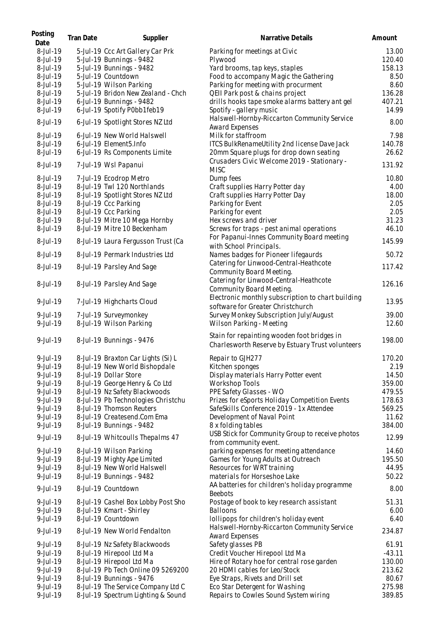| Posting<br>Date | Tran Date | Supplier                           | Narrative Details                                                                               | Amount   |
|-----------------|-----------|------------------------------------|-------------------------------------------------------------------------------------------------|----------|
| 8-Jul-19        |           | 5-Jul-19 Ccc Art Gallery Car Prk   | Parking for meetings at Civic                                                                   | 13.00    |
| 8-Jul-19        |           | 5-Jul-19 Bunnings - 9482           | Plywood                                                                                         | 120.40   |
| 8-Jul-19        |           | 5-Jul-19 Bunnings - 9482           | Yard brooms, tap keys, staples                                                                  | 158.13   |
| 8-Jul-19        |           | 5-Jul-19 Countdown                 | Food to accompany Magic the Gathering                                                           | 8.50     |
| 8-Jul-19        |           | 5-Jul-19 Wilson Parking            | Parking for meeting with procurment                                                             | 8.60     |
| 8-Jul-19        |           | 5-Jul-19 Bridon New Zealand - Chch | QEII Park post & chains project                                                                 | 136.28   |
| 8-Jul-19        |           | 6-Jul-19 Bunnings - 9482           | drills hooks tape smoke alarms battery ant gel                                                  | 407.21   |
| 8-Jul-19        |           | 6-Jul-19 Spotify P0bb1feb19        | Spotify - gallery music                                                                         | 14.99    |
| 8-Jul-19        |           | 6-Jul-19 Spotlight Stores NZ Ltd   | Halswell-Hornby-Riccarton Community Service<br>Award Expenses                                   | 8.00     |
| 8-Jul-19        |           | 6-Jul-19 New World Halswell        | Milk for staffroom                                                                              | 7.98     |
| 8-Jul-19        |           | 6-Jul-19 Element5.Info             | ITCS BulkRenameUtility 2nd license Dave Jack                                                    | 140.78   |
| 8-Jul-19        |           | 6-Jul-19 Rs Components Limite      | 20mm Square plugs for drop down seating                                                         | 26.62    |
|                 |           |                                    | Crusaders Civic Welcome 2019 - Stationary -                                                     |          |
| 8-Jul-19        |           | 7-Jul-19 Wsl Papanui               | <b>MISC</b>                                                                                     | 131.92   |
| 8-Jul-19        |           | 7-Jul-19 Ecodrop Metro             | Dump fees                                                                                       | 10.80    |
| 8-Jul-19        |           | 8-Jul-19 Twl 120 Northlands        | Craft supplies Harry Potter day                                                                 | 4.00     |
| 8-Jul-19        |           | 8-Jul-19 Spotlight Stores NZ Ltd   | Craft supplies Harry Potter Day                                                                 | 18.00    |
| 8-Jul-19        |           | 8-Jul-19 Ccc Parking               | Parking for Event                                                                               | 2.05     |
| 8-Jul-19        |           | 8-Jul-19 Ccc Parking               | Parking for event                                                                               | 2.05     |
| 8-Jul-19        |           | 8-Jul-19 Mitre 10 Mega Hornby      | Hex screws and driver                                                                           | 31.23    |
| 8-Jul-19        |           | 8-Jul-19 Mitre 10 Beckenham        | Screws for traps - pest animal operations                                                       | 46.10    |
|                 |           |                                    | For Papanui-Innes Community Board meeting                                                       |          |
| 8-Jul-19        |           | 8-Jul-19 Laura Fergusson Trust (Ca | with School Principals.                                                                         | 145.99   |
| 8-Jul-19        |           | 8-Jul-19 Permark Industries Ltd    | Names badges for Pioneer lifegaurds                                                             | 50.72    |
| 8-Jul-19        |           | 8-Jul-19 Parsley And Sage          | Catering for Linwood-Central-Heathcote<br>Community Board Meeting.                              | 117.42   |
| 8-Jul-19        |           | 8-Jul-19 Parsley And Sage          | Catering for Linwood-Central-Heathcote<br>Community Board Meeting.                              | 126.16   |
| 9-Jul-19        |           | 7-Jul-19 Highcharts Cloud          | Electronic monthly subscription to chart building<br>software for Greater Christchurch          | 13.95    |
| 9-Jul-19        |           | 7-Jul-19 Surveymonkey              | Survey Monkey Subscription July/August                                                          | 39.00    |
| 9-Jul-19        |           | 8-Jul-19 Wilson Parking            | Wilson Parking - Meeting                                                                        | 12.60    |
|                 |           |                                    |                                                                                                 |          |
| 9-Jul-19        |           | 8-Jul-19 Bunnings - 9476           | Stain for repainting wooden foot bridges in<br>Charlesworth Reserve by Estuary Trust volunteers | 198.00   |
| 9-Jul-19        |           | 8-Jul-19 Braxton Car Lights (Si) L | Repair to GJH277                                                                                | 170.20   |
| 9-Jul-19        |           | 8-Jul-19 New World Bishopdale      | Kitchen sponges                                                                                 | 2.19     |
| 9-Jul-19        |           | 8-Jul-19 Dollar Store              | Display materials Harry Potter event                                                            | 14.50    |
| 9-Jul-19        |           | 8-Jul-19 George Henry & Co Ltd     | <b>Workshop Tools</b>                                                                           | 359.00   |
| 9-Jul-19        |           | 8-Jul-19 Nz Safety Blackwoods      | PPE Safety Glasses - WO                                                                         | 479.55   |
| 9-Jul-19        |           | 8-Jul-19 Pb Technologies Christchu | Prizes for eSports Holiday Competition Events                                                   | 178.63   |
| 9-Jul-19        |           | 8-Jul-19 Thomson Reuters           | SafeSkills Conference 2019 - 1x Attendee                                                        | 569.25   |
| 9-Jul-19        |           | 8-Jul-19 Createsend.Com Ema        | Development of Naval Point                                                                      | 11.62    |
| 9-Jul-19        |           | 8-Jul-19 Bunnings - 9482           | 8 x folding tables                                                                              | 384.00   |
|                 |           |                                    |                                                                                                 |          |
| 9-Jul-19        |           | 8-Jul-19 Whitcoulls Thepalms 47    | USB Stick for Community Group to receive photos<br>from community event.                        | 12.99    |
| $9 -$ Jul - 19  |           | 8-Jul-19 Wilson Parking            | parking expenses for meeting attendance                                                         | 14.60    |
| 9-Jul-19        |           | 8-Jul-19 Mighty Ape Limited        | Games for Young Adults at Outreach                                                              | 195.50   |
| 9-Jul-19        |           | 8-Jul-19 New World Halswell        | Resources for WRT training                                                                      | 44.95    |
| 9-Jul-19        |           | 8-Jul-19 Bunnings - 9482           | materials for Horseshoe Lake                                                                    | 50.22    |
| 9-Jul-19        |           | 8-Jul-19 Countdown                 | AA batteries for children's holiday programme<br><b>Beebots</b>                                 | 8.00     |
| 9-Jul-19        |           | 8-Jul-19 Cashel Box Lobby Post Sho | Postage of book to key research assistant                                                       | 51.31    |
| 9-Jul-19        |           | 8-Jul-19 Kmart - Shirley           | Balloons                                                                                        | 6.00     |
| 9-Jul-19        |           | 8-Jul-19 Countdown                 | lollipops for children's holiday event                                                          | 6.40     |
| 9-Jul-19        |           | 8-Jul-19 New World Fendalton       | Halswell-Hornby-Riccarton Community Service                                                     | 234.87   |
|                 |           |                                    | Award Expenses                                                                                  |          |
| $9$ -Jul-19     |           | 8-Jul-19 Nz Safety Blackwoods      | Safety glasses PB                                                                               | 61.91    |
| 9-Jul-19        |           | 8-Jul-19 Hirepool Ltd Ma           | Credit Voucher Hirepool Ltd Ma                                                                  | $-43.11$ |
| 9-Jul-19        |           | 8-Jul-19 Hirepool Ltd Ma           | Hire of Rotary hoe for central rose garden                                                      | 130.00   |
| 9-Jul-19        |           | 8-Jul-19 Pb Tech Online 09 5269200 | 20 HDMI cables for Leo/Stock                                                                    | 213.62   |
| 9-Jul-19        |           | 8-Jul-19 Bunnings - 9476           | Eye Straps, Rivets and Drill set                                                                | 80.67    |
| 9-Jul-19        |           | 8-Jul-19 The Service Company Ltd C | Eco Star Detergent for Washing                                                                  | 275.98   |
| 9-Jul-19        |           | 8-Jul-19 Spectrum Lighting & Sound | Repairs to Cowles Sound System wiring                                                           | 389.85   |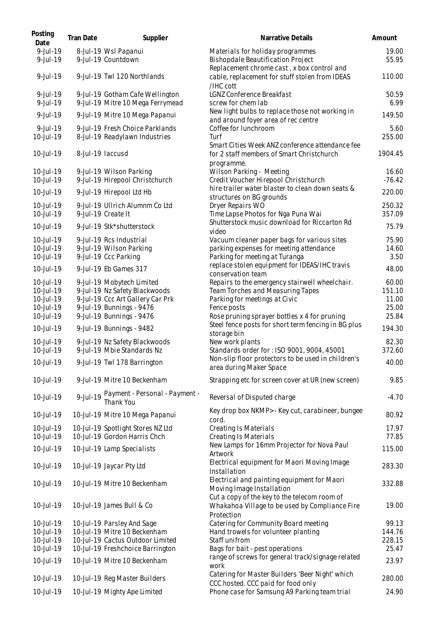| Posting<br>Date        | Tran Date | Supplier                                                            | Narrative Details                                                                                                        | Amount           |
|------------------------|-----------|---------------------------------------------------------------------|--------------------------------------------------------------------------------------------------------------------------|------------------|
| 9-Jul-19<br>9-Jul-19   |           | 8-Jul-19 Wsl Papanui<br>9-Jul-19 Countdown                          | Materials for holiday programmes<br>Bishopdale Beautification Project                                                    | 19.00<br>55.95   |
| 9-Jul-19               |           | 9-Jul-19 Twl 120 Northlands                                         | Replacement chrome cast, x box control and<br>cable, replacement for stuff stolen from IDEAS<br>/IHC cott                | 110.00           |
| 9-Jul-19<br>9-Jul-19   |           | 9-Jul-19 Gotham Cafe Wellington<br>9-Jul-19 Mitre 10 Mega Ferrymead | LGNZ Conference Breakfast<br>screw for chem lab                                                                          | 50.59<br>6.99    |
| 9-Jul-19               |           | 9-Jul-19 Mitre 10 Mega Papanui                                      | New light bulbs to replace those not working in<br>and around foyer area of rec centre                                   | 149.50           |
| 9-Jul-19<br>10-Jul-19  |           | 9-Jul-19 Fresh Choice Parklands<br>8-Jul-19 Readylawn Industries    | Coffee for lunchroom<br>Turf                                                                                             | 5.60<br>255.00   |
| 10-Jul-19              |           | 8-Jul-19 laccusd                                                    | Smart Cities Week ANZ conference attendance fee<br>for 2 staff members of Smart Christchurch                             | 1904.45          |
|                        |           |                                                                     | programme.                                                                                                               |                  |
| 10-Jul-19              |           | 9-Jul-19 Wilson Parking                                             | Wilson Parking - Meeting                                                                                                 | 16.60            |
| 10-Jul-19              |           | 9-Jul-19 Hirepool Christchurch                                      | Credit Voucher Hirepool Christchurch<br>hire trailer water blaster to clean down seats &                                 | $-76.42$         |
| 10-Jul-19              |           | 9-Jul-19 Hirepool Ltd Hb                                            | structures on BG grounds                                                                                                 | 220.00           |
| 10-Jul-19<br>10-Jul-19 |           | 9-Jul-19 Ullrich Alumnm Co Ltd<br>9-Jul-19 Create It                | Dryer Repairs WO<br>Time Lapse Photos for Nga Puna Wai                                                                   | 250.32<br>357.09 |
| 10-Jul-19              |           | 9-Jul-19 Stk*shutterstock                                           | Shutterstock music download for Riccarton Rd<br>video                                                                    | 75.79            |
| 10-Jul-19              |           | 9-Jul-19 Rcs Industrial                                             | Vacuum cleaner paper bags for various sites                                                                              | 75.90            |
| 10-Jul-19              |           | 9-Jul-19 Wilson Parking                                             | parking expenses for meeting attendance                                                                                  | 14.60            |
| 10-Jul-19              |           | 9-Jul-19 Ccc Parking                                                | Parking for meeting at Turanga                                                                                           | 3.50             |
| 10-Jul-19              |           | 9-Jul-19 Eb Games 317                                               | replace stolen equipment for IDEAS/IHC travis<br>conservation team                                                       | 48.00            |
| 10-Jul-19              |           | 9-Jul-19 Mobytech Limited                                           | Repairs to the emergency stairwell wheelchair.                                                                           | 60.00            |
| 10-Jul-19              |           | 9-Jul-19 Nz Safety Blackwoods                                       | Team Torches and Measuring Tapes                                                                                         | 151.10           |
| 10-Jul-19<br>10-Jul-19 |           | 9-Jul-19 Ccc Art Gallery Car Prk<br>9-Jul-19 Bunnings - 9476        | Parking for meetings at Civic<br>Fence posts                                                                             | 11.00<br>25.00   |
| 10-Jul-19              |           | 9-Jul-19 Bunnings - 9476                                            | Rose pruning sprayer bottles x 4 for pruning                                                                             | 25.84            |
| 10-Jul-19              |           | 9-Jul-19 Bunnings - 9482                                            | Steel fence posts for short term fencing in BG plus<br>storage bin                                                       | 194.30           |
| 10-Jul-19<br>10-Jul-19 |           | 9-Jul-19 Nz Safety Blackwoods<br>9-Jul-19 Mbie Standards Nz         | New work plants<br>Standards order for : ISO 9001, 9004, 45001                                                           | 82.30<br>372.60  |
| 10-Jul-19              |           | 9-Jul-19 Twl 178 Barrington                                         | Non-slip floor protectors to be used in children's<br>area during Maker Space                                            | 40.00            |
| 10-Jul-19              |           | 9-Jul-19 Mitre 10 Beckenham                                         | Strapping etc for screen cover at UR (new screen)                                                                        | 9.85             |
| 10-Jul-19              |           | 9-Jul-19 Payment - Personal - Payment -                             | Reversal of Disputed charge                                                                                              | $-4.70$          |
| 10-Jul-19              |           | 10-Jul-19 Mitre 10 Mega Papanui                                     | Key drop box NKMP> - Key cut, carabineer, bungee<br>cord.                                                                | 80.92            |
| 10-Jul-19              |           | 10-Jul-19 Spotlight Stores NZ Ltd                                   | <b>Creating Is Materials</b>                                                                                             | 17.97            |
| 10-Jul-19              |           | 10-Jul-19 Gordon Harris Chch                                        | <b>Creating Is Materials</b>                                                                                             | 77.85            |
| 10-Jul-19              |           | 10-Jul-19 Lamp Specialists                                          | New Lamps for 16mm Projector for Nova Paul<br>Artwork                                                                    | 115.00           |
| 10-Jul-19              |           | 10-Jul-19 Jaycar Pty Ltd                                            | Electrical equipment for Maori Moving Image<br>Installation                                                              | 283.30           |
| 10-Jul-19              |           | 10-Jul-19 Mitre 10 Beckenham                                        | Electrical and painting equipment for Maori<br>Moving Image Installation<br>Cut a copy of the key to the telecom room of | 332.88           |
| 10-Jul-19              |           | 10-Jul-19 James Bull & Co                                           | Whakahoa Village to be used by Compliance Fire<br>Protection                                                             | 19.00            |
| 10-Jul-19              |           | 10-Jul-19 Parsley And Sage                                          | Catering for Community Board meeting                                                                                     | 99.13            |
| 10-Jul-19              |           | 10-Jul-19 Mitre 10 Beckenham                                        | Hand trowels for volunteer planting                                                                                      | 144.76           |
| 10-Jul-19              |           | 10-Jul-19 Cactus Outdoor Limited                                    | Staff unifrom                                                                                                            | 228.15           |
| 10-Jul-19              |           | 10-Jul-19 Freshchoice Barrington                                    | Bags for bait - pest operations                                                                                          | 25.47            |
| 10-Jul-19              |           | 10-Jul-19 Mitre 10 Beckenham                                        | range of screws for general track/signage related<br>work                                                                | 23.97            |
| 10-Jul-19              |           | 10-Jul-19 Reg Master Builders                                       | Catering for Master Builders 'Beer Night' which<br>CCC hosted. CCC paid for food only                                    | 280.00           |
| 10-Jul-19              |           | 10-Jul-19 Mighty Ape Limited                                        | Phone case for Samsung A9 Parking team trial                                                                             | 24.90            |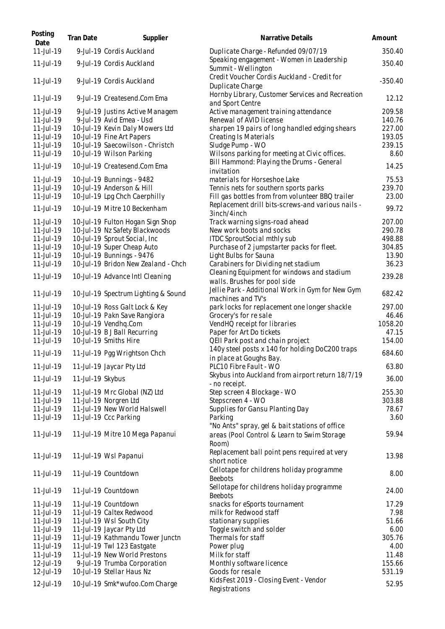| Posting<br>Date           | Tran Date        | Supplier                                                     | Narrative Details                                                          | Amount           |
|---------------------------|------------------|--------------------------------------------------------------|----------------------------------------------------------------------------|------------------|
| 11-Jul-19                 |                  | 9-Jul-19 Cordis Auckland                                     | Duplicate Charge - Refunded 09/07/19                                       | 350.40           |
| 11-Jul-19                 |                  | 9-Jul-19 Cordis Auckland                                     | Speaking engagement - Women in Leadership<br>Summit - Wellington           | 350.40           |
| 11-Jul-19                 |                  | 9-Jul-19 Cordis Auckland                                     | Credit Voucher Cordis Auckland - Credit for<br>Duplicate Charge            | $-350.40$        |
| 11-Jul-19                 |                  | 9-Jul-19 Createsend.Com Ema                                  | Hornby Library, Customer Services and Recreation<br>and Sport Centre       | 12.12            |
| 11-Jul-19                 |                  | 9-Jul-19 Justins Active Managem                              | Active management training attendance                                      | 209.58           |
| 11-Jul-19                 |                  | 9-Jul-19 Avid Emea - Usd                                     | Renewal of AVID license                                                    | 140.76           |
| 11-Jul-19                 |                  | 10-Jul-19 Kevin Daly Mowers Ltd                              | sharpen 19 pairs of long handled edging shears                             | 227.00           |
| 11-Jul-19                 |                  | 10-Jul-19 Fine Art Papers                                    | Creating Is Materials                                                      | 193.05           |
| $11$ -Jul-19<br>11-Jul-19 |                  | 10-Jul-19 Saecowilson - Christch<br>10-Jul-19 Wilson Parking | Sludge Pump - WO<br>Wilsons parking for meeting at Civic offices.          | 239.15<br>8.60   |
|                           |                  |                                                              | Bill Hammond: Playing the Drums - General                                  |                  |
| 11-Jul-19                 |                  | 10-Jul-19 Createsend.Com Ema                                 | invitation                                                                 | 14.25            |
| 11-Jul-19                 |                  | 10-Jul-19 Bunnings - 9482                                    | materials for Horseshoe Lake                                               | 75.53            |
| 11-Jul-19                 |                  | 10-Jul-19 Anderson & Hill                                    | Tennis nets for southern sports parks                                      | 239.70           |
| 11-Jul-19                 |                  | 10-Jul-19 Lpg Chch Caerphilly                                | Fill gas bottles from from volunteer BBQ trailer                           | 23.00            |
| 11-Jul-19                 |                  | 10-Jul-19 Mitre 10 Beckenham                                 | Replacement drill bits-screws-and various nails -                          | 99.72            |
| 11-Jul-19                 |                  | 10-Jul-19 Fulton Hogan Sign Shop                             | 3inch/4inch<br>Track warning signs-road ahead                              | 207.00           |
| 11-Jul-19                 |                  | 10-Jul-19 Nz Safety Blackwoods                               | New work boots and socks                                                   | 290.78           |
| 11-Jul-19                 |                  | 10-Jul-19 Sprout Social, Inc                                 | ITDC SproutSocial mthly sub                                                | 498.88           |
| 11-Jul-19                 |                  | 10-Jul-19 Super Cheap Auto                                   | Purchase of 2 jumpstarter packs for fleet.                                 | 304.85           |
| 11-Jul-19                 |                  | 10-Jul-19 Bunnings - 9476                                    | Light Bulbs for Sauna                                                      | 13.90            |
| 11-Jul-19                 |                  | 10-Jul-19 Bridon New Zealand - Chch                          | Carabiners for Dividing net stadium                                        | 36.23            |
| 11-Jul-19                 |                  | 10-Jul-19 Advance Intl Cleaning                              | Cleaning Equipment for windows and stadium<br>walls. Brushes for pool side | 239.28           |
| 11-Jul-19                 |                  | 10-Jul-19 Spectrum Lighting & Sound                          | Jellie Park - Additional Work in Gym for New Gym<br>machines and TV's      | 682.42           |
| 11-Jul-19                 |                  | 10-Jul-19 Ross Galt Lock & Key                               | park locks for replacement one longer shackle                              | 297.00           |
| 11-Jul-19                 |                  | 10-Jul-19 Pakn Save Rangiora                                 | Grocery's for resale                                                       | 46.46            |
| 11-Jul-19                 |                  | 10-Jul-19 Vendhq.Com                                         | VendHQ receipt for libraries                                               | 1058.20          |
| 11-Jul-19                 |                  | 10-Jul-19 B J Ball Recurring                                 | Paper for Art Do tickets                                                   | 47.15            |
| 11-Jul-19                 |                  | 10-Jul-19 Smiths Hire                                        | QEII Park post and chain project                                           | 154.00           |
| 11-Jul-19                 |                  | 11-Jul-19 Pgg Wrightson Chch                                 | 140y steel posts x 140 for holding DoC200 traps<br>in place at Goughs Bay. | 684.60           |
| 11-Jul-19                 |                  | 11-Jul-19 Jaycar Pty Ltd                                     | PLC10 Fibre Fault - WO                                                     | 63.80            |
| 11-Jul-19                 | 11-Jul-19 Skybus |                                                              | Skybus into Auckland from airport return 18/7/19<br>- no receipt.          | 36.00            |
| 11-Jul-19                 |                  | 11-Jul-19 Mrc Global (NZ) Ltd                                | Step screen 4 Blockage - WO                                                | 255.30           |
| 11-Jul-19                 |                  | 11-Jul-19 Norgren Ltd                                        | Stepscreen 4 - WO                                                          | 303.88           |
| 11-Jul-19                 |                  | 11-Jul-19 New World Halswell                                 | Supplies for Gansu Planting Day                                            | 78.67            |
| 11-Jul-19                 |                  | 11-Jul-19 Ccc Parking                                        | Parking                                                                    | 3.60             |
|                           |                  |                                                              | "No Ants" spray, gel & bait stations of office                             |                  |
| 11-Jul-19                 |                  | 11-Jul-19 Mitre 10 Mega Papanui                              | areas (Pool Control & Learn to Swim Storage<br>Room)                       | 59.94            |
| 11-Jul-19                 |                  | 11-Jul-19 Wsl Papanui                                        | Replacement ball point pens required at very<br>short notice               | 13.98            |
| 11-Jul-19                 |                  | 11-Jul-19 Countdown                                          | Cellotape for childrens holiday programme<br><b>Beebots</b>                | 8.00             |
| 11-Jul-19                 |                  | 11-Jul-19 Countdown                                          | Sellotape for childrens holiday programme<br><b>Beebots</b>                | 24.00            |
| 11-Jul-19                 |                  | 11-Jul-19 Countdown                                          | snacks for eSports tournament                                              | 17.29            |
| 11-Jul-19                 |                  | 11-Jul-19 Caltex Redwood                                     | milk for Redwood staff                                                     | 7.98             |
| 11-Jul-19                 |                  | 11-Jul-19 Wsl South City                                     | stationary supplies                                                        | 51.66            |
| 11-Jul-19                 |                  | 11-Jul-19 Jaycar Pty Ltd                                     | Toggle switch and solder                                                   | 6.00             |
| 11-Jul-19                 |                  | 11-Jul-19 Kathmandu Tower Junctn                             | Thermals for staff                                                         | 305.76           |
| 11-Jul-19                 |                  | 11-Jul-19 Twl 123 Eastgate                                   | Power plug                                                                 | 4.00             |
| 11-Jul-19                 |                  | 11-Jul-19 New World Prestons                                 | Milk for staff                                                             | 11.48            |
| 12-Jul-19<br>12-Jul-19    |                  | 9-Jul-19 Trumba Corporation<br>10-Jul-19 Stellar Haus Nz     | Monthly software licence<br>Goods for resale                               | 155.66<br>531.19 |
|                           |                  |                                                              | KidsFest 2019 - Closing Event - Vendor                                     |                  |
| 12-Jul-19                 |                  | 10-Jul-19 Smk*wufoo.Com Charge                               | Registrations                                                              | 52.95            |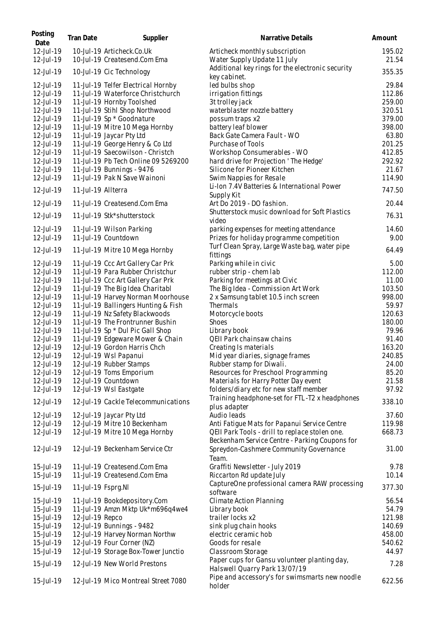| 12-Jul-19<br>10-Jul-19 Articheck.Co.Uk<br>Articheck monthly subscription<br>12-Jul-19<br>10-Jul-19 Createsend.Com Ema<br>Water Supply Update 11 July<br>Additional key rings for the electronic security<br>12-Jul-19<br>10-Jul-19 Cic Technology<br>key cabinet.<br>12-Jul-19<br>led bulbs shop<br>11-Jul-19 Telfer Electrical Hornby<br>12-Jul-19<br>11-Jul-19 Waterforce Christchurch<br>irrigation fittings<br>259.00<br>12-Jul-19<br>11-Jul-19 Hornby Toolshed<br>3t trolley jack<br>12-Jul-19<br>11-Jul-19 Stihl Shop Northwood<br>waterblaster nozzle battery<br>320.51<br>11-Jul-19 Sp * Goodnature<br>379.00<br>12-Jul-19<br>possum traps x2<br>battery leaf blower<br>398.00<br>12-Jul-19<br>11-Jul-19 Mitre 10 Mega Hornby<br>12-Jul-19<br>11-Jul-19 Jaycar Pty Ltd<br>Back Gate Camera Fault - WO<br>63.80<br>12-Jul-19<br>11-Jul-19 George Henry & Co Ltd<br>Purchase of Tools<br>201.25<br>12-Jul-19<br>11-Jul-19 Saecowilson - Christch<br>412.85<br>Workshop Consumerables - WO<br>12-Jul-19<br>11-Jul-19 Pb Tech Online 09 5269200<br>hard drive for Projection ' The Hedge'<br>292.92<br>12-Jul-19<br>11-Jul-19 Bunnings - 9476<br>Silicone for Pioneer Kitchen<br>21.67<br>12-Jul-19<br>11-Jul-19 Pak N Save Wainoni<br>Swim Nappies for Resale<br>114.90<br>Li-Ion 7.4V Batteries & International Power<br>12-Jul-19<br>11-Jul-19 Allterra<br>Supply Kit<br>11-Jul-19 Createsend.Com Ema<br>Art Do 2019 - DO fashion.<br>20.44<br>12-Jul-19<br>Shutterstock music download for Soft Plastics<br>76.31<br>12-Jul-19<br>11-Jul-19 Stk*shutterstock<br>video<br>12-Jul-19<br>11-Jul-19 Wilson Parking<br>parking expenses for meeting attendance<br>11-Jul-19 Countdown<br>12-Jul-19<br>Prizes for holiday programme competition<br>Turf Clean Spray, Large Waste bag, water pipe<br>12-Jul-19<br>64.49<br>11-Jul-19 Mitre 10 Mega Hornby<br>fittings<br>12-Jul-19<br>11-Jul-19 Ccc Art Gallery Car Prk<br>Parking while in civic<br>5.00<br>11-Jul-19 Para Rubber Christchur<br>112.00<br>12-Jul-19<br>rubber strip - chem lab<br>11-Jul-19 Ccc Art Gallery Car Prk<br>Parking for meetings at Civic<br>11.00<br>12-Jul-19<br>The Big Idea - Commission Art Work<br>103.50<br>12-Jul-19<br>11-Jul-19 The Big Idea Charitabl<br>998.00<br>11-Jul-19 Harvey Norman Moorhouse<br>12-Jul-19<br>2 x Samsung tablet 10.5 inch screen<br>12-Jul-19<br>11-Jul-19 Ballingers Hunting & Fish<br>Thermals<br>59.97<br>12-Jul-19<br>11-Jul-19 Nz Safety Blackwoods<br>120.63<br>Motorcycle boots<br>11-Jul-19 The Frontrunner Bushin<br>Shoes<br>180.00<br>12-Jul-19<br>11-Jul-19 Sp * Dul Pic Gall Shop<br>Library book<br>79.96<br>12-Jul-19<br>11-Jul-19 Edgeware Mower & Chain<br>QEII Park chainsaw chains<br>91.40<br>12-Jul-19<br>12-Jul-19 Gordon Harris Chch<br>Creating Is materials<br>163.20<br>12-Jul-19<br>12-Jul-19<br>12-Jul-19 Wsl Papanui<br>Mid year diaries, signage frames<br>240.85<br>12-Jul-19 Rubber Stamps<br>24.00<br>12-Jul-19<br>Rubber stamp for Diwali.<br>12-Jul-19<br>85.20<br>12-Jul-19 Toms Emporium<br>Resources for Preschool Programming<br>12-Jul-19<br>12-Jul-19 Countdown<br>Materials for Harry Potter Day event<br>21.58<br>97.92<br>12-Jul-19<br>12-Jul-19 Wsl Eastgate<br>folders/diary etc for new staff member<br>Training headphone-set for FTL-T2 x headphones<br>12-Jul-19<br>12-Jul-19 Cackle Telecommunications<br>plus adapter<br>Audio leads<br>37.60<br>12-Jul-19<br>12-Jul-19 Jaycar Pty Ltd<br>12-Jul-19 Mitre 10 Beckenham<br>Anti Fatigue Mats for Papanui Service Centre<br>119.98<br>12-Jul-19<br>12-Jul-19<br>12-Jul-19 Mitre 10 Mega Hornby<br>QEII Park Tools - drill to replace stolen one.<br>668.73<br>Beckenham Service Centre - Parking Coupons for<br>12-Jul-19 Beckenham Service Ctr<br>12-Jul-19<br>Spreydon-Cashmere Community Governance<br>Team.<br>11-Jul-19 Createsend.Com Ema<br>9.78<br>15-Jul-19<br>Graffiti Newsletter - July 2019<br>15-Jul-19<br>11-Jul-19 Createsend.Com Ema<br>Riccarton Rd update July<br>10.14<br>CaptureOne professional camera RAW processing<br>377.30<br>15-Jul-19<br>11-Jul-19 Fsprg.NI<br>software<br>15-Jul-19<br>Climate Action Planning<br>56.54<br>11-Jul-19 Bookdepository.Com<br>11-Jul-19 Amzn Mktp Uk*m696q4we4<br>54.79<br>15-Jul-19<br>Library book<br>12-Jul-19 Repco<br>121.98<br>15-Jul-19<br>trailer locks x2<br>12-Jul-19 Bunnings - 9482<br>15-Jul-19<br>sink plug chain hooks<br>140.69<br>12-Jul-19 Harvey Norman Northw<br>electric ceramic hob<br>458.00<br>15-Jul-19<br>12-Jul-19 Four Corner (NZ)<br>Goods for resale<br>15-Jul-19<br>540.62<br>12-Jul-19 Storage Box-Tower Junctio<br>44.97<br>15-Jul-19<br>Classroom Storage<br>Paper cups for Gansu volunteer planting day,<br>15-Jul-19<br>12-Jul-19 New World Prestons<br>Halswell Quarry Park 13/07/19<br>Pipe and accessory's for swimsmarts new noodle<br>15-Jul-19<br>12-Jul-19 Mico Montreal Street 7080<br>holder | Posting<br>Date | Tran Date | Supplier | Narrative Details | Amount          |
|-----------------------------------------------------------------------------------------------------------------------------------------------------------------------------------------------------------------------------------------------------------------------------------------------------------------------------------------------------------------------------------------------------------------------------------------------------------------------------------------------------------------------------------------------------------------------------------------------------------------------------------------------------------------------------------------------------------------------------------------------------------------------------------------------------------------------------------------------------------------------------------------------------------------------------------------------------------------------------------------------------------------------------------------------------------------------------------------------------------------------------------------------------------------------------------------------------------------------------------------------------------------------------------------------------------------------------------------------------------------------------------------------------------------------------------------------------------------------------------------------------------------------------------------------------------------------------------------------------------------------------------------------------------------------------------------------------------------------------------------------------------------------------------------------------------------------------------------------------------------------------------------------------------------------------------------------------------------------------------------------------------------------------------------------------------------------------------------------------------------------------------------------------------------------------------------------------------------------------------------------------------------------------------------------------------------------------------------------------------------------------------------------------------------------------------------------------------------------------------------------------------------------------------------------------------------------------------------------------------------------------------------------------------------------------------------------------------------------------------------------------------------------------------------------------------------------------------------------------------------------------------------------------------------------------------------------------------------------------------------------------------------------------------------------------------------------------------------------------------------------------------------------------------------------------------------------------------------------------------------------------------------------------------------------------------------------------------------------------------------------------------------------------------------------------------------------------------------------------------------------------------------------------------------------------------------------------------------------------------------------------------------------------------------------------------------------------------------------------------------------------------------------------------------------------------------------------------------------------------------------------------------------------------------------------------------------------------------------------------------------------------------------------------------------------------------------------------------------------------------------------------------------------------------------------------------------------------------------------------------------------------------------------------------------------------------------------------------------------------------------------------------------------------------------------------------------------------------------------------------------------------------------------------------------------------------------------------------------------------------------------------------------------------------------------------------------------------------------------------------------------------------------------------------------------------------------------------------------------------------------------------------------------------------------|-----------------|-----------|----------|-------------------|-----------------|
|                                                                                                                                                                                                                                                                                                                                                                                                                                                                                                                                                                                                                                                                                                                                                                                                                                                                                                                                                                                                                                                                                                                                                                                                                                                                                                                                                                                                                                                                                                                                                                                                                                                                                                                                                                                                                                                                                                                                                                                                                                                                                                                                                                                                                                                                                                                                                                                                                                                                                                                                                                                                                                                                                                                                                                                                                                                                                                                                                                                                                                                                                                                                                                                                                                                                                                                                                                                                                                                                                                                                                                                                                                                                                                                                                                                                                                                                                                                                                                                                                                                                                                                                                                                                                                                                                                                                                                                                                                                                                                                                                                                                                                                                                                                                                                                                                                                                                                                       |                 |           |          |                   | 195.02<br>21.54 |
|                                                                                                                                                                                                                                                                                                                                                                                                                                                                                                                                                                                                                                                                                                                                                                                                                                                                                                                                                                                                                                                                                                                                                                                                                                                                                                                                                                                                                                                                                                                                                                                                                                                                                                                                                                                                                                                                                                                                                                                                                                                                                                                                                                                                                                                                                                                                                                                                                                                                                                                                                                                                                                                                                                                                                                                                                                                                                                                                                                                                                                                                                                                                                                                                                                                                                                                                                                                                                                                                                                                                                                                                                                                                                                                                                                                                                                                                                                                                                                                                                                                                                                                                                                                                                                                                                                                                                                                                                                                                                                                                                                                                                                                                                                                                                                                                                                                                                                                       |                 |           |          |                   | 355.35          |
|                                                                                                                                                                                                                                                                                                                                                                                                                                                                                                                                                                                                                                                                                                                                                                                                                                                                                                                                                                                                                                                                                                                                                                                                                                                                                                                                                                                                                                                                                                                                                                                                                                                                                                                                                                                                                                                                                                                                                                                                                                                                                                                                                                                                                                                                                                                                                                                                                                                                                                                                                                                                                                                                                                                                                                                                                                                                                                                                                                                                                                                                                                                                                                                                                                                                                                                                                                                                                                                                                                                                                                                                                                                                                                                                                                                                                                                                                                                                                                                                                                                                                                                                                                                                                                                                                                                                                                                                                                                                                                                                                                                                                                                                                                                                                                                                                                                                                                                       |                 |           |          |                   | 29.84           |
|                                                                                                                                                                                                                                                                                                                                                                                                                                                                                                                                                                                                                                                                                                                                                                                                                                                                                                                                                                                                                                                                                                                                                                                                                                                                                                                                                                                                                                                                                                                                                                                                                                                                                                                                                                                                                                                                                                                                                                                                                                                                                                                                                                                                                                                                                                                                                                                                                                                                                                                                                                                                                                                                                                                                                                                                                                                                                                                                                                                                                                                                                                                                                                                                                                                                                                                                                                                                                                                                                                                                                                                                                                                                                                                                                                                                                                                                                                                                                                                                                                                                                                                                                                                                                                                                                                                                                                                                                                                                                                                                                                                                                                                                                                                                                                                                                                                                                                                       |                 |           |          |                   | 112.86          |
|                                                                                                                                                                                                                                                                                                                                                                                                                                                                                                                                                                                                                                                                                                                                                                                                                                                                                                                                                                                                                                                                                                                                                                                                                                                                                                                                                                                                                                                                                                                                                                                                                                                                                                                                                                                                                                                                                                                                                                                                                                                                                                                                                                                                                                                                                                                                                                                                                                                                                                                                                                                                                                                                                                                                                                                                                                                                                                                                                                                                                                                                                                                                                                                                                                                                                                                                                                                                                                                                                                                                                                                                                                                                                                                                                                                                                                                                                                                                                                                                                                                                                                                                                                                                                                                                                                                                                                                                                                                                                                                                                                                                                                                                                                                                                                                                                                                                                                                       |                 |           |          |                   |                 |
|                                                                                                                                                                                                                                                                                                                                                                                                                                                                                                                                                                                                                                                                                                                                                                                                                                                                                                                                                                                                                                                                                                                                                                                                                                                                                                                                                                                                                                                                                                                                                                                                                                                                                                                                                                                                                                                                                                                                                                                                                                                                                                                                                                                                                                                                                                                                                                                                                                                                                                                                                                                                                                                                                                                                                                                                                                                                                                                                                                                                                                                                                                                                                                                                                                                                                                                                                                                                                                                                                                                                                                                                                                                                                                                                                                                                                                                                                                                                                                                                                                                                                                                                                                                                                                                                                                                                                                                                                                                                                                                                                                                                                                                                                                                                                                                                                                                                                                                       |                 |           |          |                   |                 |
|                                                                                                                                                                                                                                                                                                                                                                                                                                                                                                                                                                                                                                                                                                                                                                                                                                                                                                                                                                                                                                                                                                                                                                                                                                                                                                                                                                                                                                                                                                                                                                                                                                                                                                                                                                                                                                                                                                                                                                                                                                                                                                                                                                                                                                                                                                                                                                                                                                                                                                                                                                                                                                                                                                                                                                                                                                                                                                                                                                                                                                                                                                                                                                                                                                                                                                                                                                                                                                                                                                                                                                                                                                                                                                                                                                                                                                                                                                                                                                                                                                                                                                                                                                                                                                                                                                                                                                                                                                                                                                                                                                                                                                                                                                                                                                                                                                                                                                                       |                 |           |          |                   |                 |
|                                                                                                                                                                                                                                                                                                                                                                                                                                                                                                                                                                                                                                                                                                                                                                                                                                                                                                                                                                                                                                                                                                                                                                                                                                                                                                                                                                                                                                                                                                                                                                                                                                                                                                                                                                                                                                                                                                                                                                                                                                                                                                                                                                                                                                                                                                                                                                                                                                                                                                                                                                                                                                                                                                                                                                                                                                                                                                                                                                                                                                                                                                                                                                                                                                                                                                                                                                                                                                                                                                                                                                                                                                                                                                                                                                                                                                                                                                                                                                                                                                                                                                                                                                                                                                                                                                                                                                                                                                                                                                                                                                                                                                                                                                                                                                                                                                                                                                                       |                 |           |          |                   |                 |
|                                                                                                                                                                                                                                                                                                                                                                                                                                                                                                                                                                                                                                                                                                                                                                                                                                                                                                                                                                                                                                                                                                                                                                                                                                                                                                                                                                                                                                                                                                                                                                                                                                                                                                                                                                                                                                                                                                                                                                                                                                                                                                                                                                                                                                                                                                                                                                                                                                                                                                                                                                                                                                                                                                                                                                                                                                                                                                                                                                                                                                                                                                                                                                                                                                                                                                                                                                                                                                                                                                                                                                                                                                                                                                                                                                                                                                                                                                                                                                                                                                                                                                                                                                                                                                                                                                                                                                                                                                                                                                                                                                                                                                                                                                                                                                                                                                                                                                                       |                 |           |          |                   |                 |
|                                                                                                                                                                                                                                                                                                                                                                                                                                                                                                                                                                                                                                                                                                                                                                                                                                                                                                                                                                                                                                                                                                                                                                                                                                                                                                                                                                                                                                                                                                                                                                                                                                                                                                                                                                                                                                                                                                                                                                                                                                                                                                                                                                                                                                                                                                                                                                                                                                                                                                                                                                                                                                                                                                                                                                                                                                                                                                                                                                                                                                                                                                                                                                                                                                                                                                                                                                                                                                                                                                                                                                                                                                                                                                                                                                                                                                                                                                                                                                                                                                                                                                                                                                                                                                                                                                                                                                                                                                                                                                                                                                                                                                                                                                                                                                                                                                                                                                                       |                 |           |          |                   |                 |
|                                                                                                                                                                                                                                                                                                                                                                                                                                                                                                                                                                                                                                                                                                                                                                                                                                                                                                                                                                                                                                                                                                                                                                                                                                                                                                                                                                                                                                                                                                                                                                                                                                                                                                                                                                                                                                                                                                                                                                                                                                                                                                                                                                                                                                                                                                                                                                                                                                                                                                                                                                                                                                                                                                                                                                                                                                                                                                                                                                                                                                                                                                                                                                                                                                                                                                                                                                                                                                                                                                                                                                                                                                                                                                                                                                                                                                                                                                                                                                                                                                                                                                                                                                                                                                                                                                                                                                                                                                                                                                                                                                                                                                                                                                                                                                                                                                                                                                                       |                 |           |          |                   |                 |
|                                                                                                                                                                                                                                                                                                                                                                                                                                                                                                                                                                                                                                                                                                                                                                                                                                                                                                                                                                                                                                                                                                                                                                                                                                                                                                                                                                                                                                                                                                                                                                                                                                                                                                                                                                                                                                                                                                                                                                                                                                                                                                                                                                                                                                                                                                                                                                                                                                                                                                                                                                                                                                                                                                                                                                                                                                                                                                                                                                                                                                                                                                                                                                                                                                                                                                                                                                                                                                                                                                                                                                                                                                                                                                                                                                                                                                                                                                                                                                                                                                                                                                                                                                                                                                                                                                                                                                                                                                                                                                                                                                                                                                                                                                                                                                                                                                                                                                                       |                 |           |          |                   |                 |
|                                                                                                                                                                                                                                                                                                                                                                                                                                                                                                                                                                                                                                                                                                                                                                                                                                                                                                                                                                                                                                                                                                                                                                                                                                                                                                                                                                                                                                                                                                                                                                                                                                                                                                                                                                                                                                                                                                                                                                                                                                                                                                                                                                                                                                                                                                                                                                                                                                                                                                                                                                                                                                                                                                                                                                                                                                                                                                                                                                                                                                                                                                                                                                                                                                                                                                                                                                                                                                                                                                                                                                                                                                                                                                                                                                                                                                                                                                                                                                                                                                                                                                                                                                                                                                                                                                                                                                                                                                                                                                                                                                                                                                                                                                                                                                                                                                                                                                                       |                 |           |          |                   |                 |
|                                                                                                                                                                                                                                                                                                                                                                                                                                                                                                                                                                                                                                                                                                                                                                                                                                                                                                                                                                                                                                                                                                                                                                                                                                                                                                                                                                                                                                                                                                                                                                                                                                                                                                                                                                                                                                                                                                                                                                                                                                                                                                                                                                                                                                                                                                                                                                                                                                                                                                                                                                                                                                                                                                                                                                                                                                                                                                                                                                                                                                                                                                                                                                                                                                                                                                                                                                                                                                                                                                                                                                                                                                                                                                                                                                                                                                                                                                                                                                                                                                                                                                                                                                                                                                                                                                                                                                                                                                                                                                                                                                                                                                                                                                                                                                                                                                                                                                                       |                 |           |          |                   |                 |
|                                                                                                                                                                                                                                                                                                                                                                                                                                                                                                                                                                                                                                                                                                                                                                                                                                                                                                                                                                                                                                                                                                                                                                                                                                                                                                                                                                                                                                                                                                                                                                                                                                                                                                                                                                                                                                                                                                                                                                                                                                                                                                                                                                                                                                                                                                                                                                                                                                                                                                                                                                                                                                                                                                                                                                                                                                                                                                                                                                                                                                                                                                                                                                                                                                                                                                                                                                                                                                                                                                                                                                                                                                                                                                                                                                                                                                                                                                                                                                                                                                                                                                                                                                                                                                                                                                                                                                                                                                                                                                                                                                                                                                                                                                                                                                                                                                                                                                                       |                 |           |          |                   |                 |
|                                                                                                                                                                                                                                                                                                                                                                                                                                                                                                                                                                                                                                                                                                                                                                                                                                                                                                                                                                                                                                                                                                                                                                                                                                                                                                                                                                                                                                                                                                                                                                                                                                                                                                                                                                                                                                                                                                                                                                                                                                                                                                                                                                                                                                                                                                                                                                                                                                                                                                                                                                                                                                                                                                                                                                                                                                                                                                                                                                                                                                                                                                                                                                                                                                                                                                                                                                                                                                                                                                                                                                                                                                                                                                                                                                                                                                                                                                                                                                                                                                                                                                                                                                                                                                                                                                                                                                                                                                                                                                                                                                                                                                                                                                                                                                                                                                                                                                                       |                 |           |          |                   | 747.50          |
|                                                                                                                                                                                                                                                                                                                                                                                                                                                                                                                                                                                                                                                                                                                                                                                                                                                                                                                                                                                                                                                                                                                                                                                                                                                                                                                                                                                                                                                                                                                                                                                                                                                                                                                                                                                                                                                                                                                                                                                                                                                                                                                                                                                                                                                                                                                                                                                                                                                                                                                                                                                                                                                                                                                                                                                                                                                                                                                                                                                                                                                                                                                                                                                                                                                                                                                                                                                                                                                                                                                                                                                                                                                                                                                                                                                                                                                                                                                                                                                                                                                                                                                                                                                                                                                                                                                                                                                                                                                                                                                                                                                                                                                                                                                                                                                                                                                                                                                       |                 |           |          |                   |                 |
|                                                                                                                                                                                                                                                                                                                                                                                                                                                                                                                                                                                                                                                                                                                                                                                                                                                                                                                                                                                                                                                                                                                                                                                                                                                                                                                                                                                                                                                                                                                                                                                                                                                                                                                                                                                                                                                                                                                                                                                                                                                                                                                                                                                                                                                                                                                                                                                                                                                                                                                                                                                                                                                                                                                                                                                                                                                                                                                                                                                                                                                                                                                                                                                                                                                                                                                                                                                                                                                                                                                                                                                                                                                                                                                                                                                                                                                                                                                                                                                                                                                                                                                                                                                                                                                                                                                                                                                                                                                                                                                                                                                                                                                                                                                                                                                                                                                                                                                       |                 |           |          |                   |                 |
|                                                                                                                                                                                                                                                                                                                                                                                                                                                                                                                                                                                                                                                                                                                                                                                                                                                                                                                                                                                                                                                                                                                                                                                                                                                                                                                                                                                                                                                                                                                                                                                                                                                                                                                                                                                                                                                                                                                                                                                                                                                                                                                                                                                                                                                                                                                                                                                                                                                                                                                                                                                                                                                                                                                                                                                                                                                                                                                                                                                                                                                                                                                                                                                                                                                                                                                                                                                                                                                                                                                                                                                                                                                                                                                                                                                                                                                                                                                                                                                                                                                                                                                                                                                                                                                                                                                                                                                                                                                                                                                                                                                                                                                                                                                                                                                                                                                                                                                       |                 |           |          |                   |                 |
|                                                                                                                                                                                                                                                                                                                                                                                                                                                                                                                                                                                                                                                                                                                                                                                                                                                                                                                                                                                                                                                                                                                                                                                                                                                                                                                                                                                                                                                                                                                                                                                                                                                                                                                                                                                                                                                                                                                                                                                                                                                                                                                                                                                                                                                                                                                                                                                                                                                                                                                                                                                                                                                                                                                                                                                                                                                                                                                                                                                                                                                                                                                                                                                                                                                                                                                                                                                                                                                                                                                                                                                                                                                                                                                                                                                                                                                                                                                                                                                                                                                                                                                                                                                                                                                                                                                                                                                                                                                                                                                                                                                                                                                                                                                                                                                                                                                                                                                       |                 |           |          |                   |                 |
|                                                                                                                                                                                                                                                                                                                                                                                                                                                                                                                                                                                                                                                                                                                                                                                                                                                                                                                                                                                                                                                                                                                                                                                                                                                                                                                                                                                                                                                                                                                                                                                                                                                                                                                                                                                                                                                                                                                                                                                                                                                                                                                                                                                                                                                                                                                                                                                                                                                                                                                                                                                                                                                                                                                                                                                                                                                                                                                                                                                                                                                                                                                                                                                                                                                                                                                                                                                                                                                                                                                                                                                                                                                                                                                                                                                                                                                                                                                                                                                                                                                                                                                                                                                                                                                                                                                                                                                                                                                                                                                                                                                                                                                                                                                                                                                                                                                                                                                       |                 |           |          |                   | 14.60           |
|                                                                                                                                                                                                                                                                                                                                                                                                                                                                                                                                                                                                                                                                                                                                                                                                                                                                                                                                                                                                                                                                                                                                                                                                                                                                                                                                                                                                                                                                                                                                                                                                                                                                                                                                                                                                                                                                                                                                                                                                                                                                                                                                                                                                                                                                                                                                                                                                                                                                                                                                                                                                                                                                                                                                                                                                                                                                                                                                                                                                                                                                                                                                                                                                                                                                                                                                                                                                                                                                                                                                                                                                                                                                                                                                                                                                                                                                                                                                                                                                                                                                                                                                                                                                                                                                                                                                                                                                                                                                                                                                                                                                                                                                                                                                                                                                                                                                                                                       |                 |           |          |                   | 9.00            |
|                                                                                                                                                                                                                                                                                                                                                                                                                                                                                                                                                                                                                                                                                                                                                                                                                                                                                                                                                                                                                                                                                                                                                                                                                                                                                                                                                                                                                                                                                                                                                                                                                                                                                                                                                                                                                                                                                                                                                                                                                                                                                                                                                                                                                                                                                                                                                                                                                                                                                                                                                                                                                                                                                                                                                                                                                                                                                                                                                                                                                                                                                                                                                                                                                                                                                                                                                                                                                                                                                                                                                                                                                                                                                                                                                                                                                                                                                                                                                                                                                                                                                                                                                                                                                                                                                                                                                                                                                                                                                                                                                                                                                                                                                                                                                                                                                                                                                                                       |                 |           |          |                   |                 |
|                                                                                                                                                                                                                                                                                                                                                                                                                                                                                                                                                                                                                                                                                                                                                                                                                                                                                                                                                                                                                                                                                                                                                                                                                                                                                                                                                                                                                                                                                                                                                                                                                                                                                                                                                                                                                                                                                                                                                                                                                                                                                                                                                                                                                                                                                                                                                                                                                                                                                                                                                                                                                                                                                                                                                                                                                                                                                                                                                                                                                                                                                                                                                                                                                                                                                                                                                                                                                                                                                                                                                                                                                                                                                                                                                                                                                                                                                                                                                                                                                                                                                                                                                                                                                                                                                                                                                                                                                                                                                                                                                                                                                                                                                                                                                                                                                                                                                                                       |                 |           |          |                   |                 |
|                                                                                                                                                                                                                                                                                                                                                                                                                                                                                                                                                                                                                                                                                                                                                                                                                                                                                                                                                                                                                                                                                                                                                                                                                                                                                                                                                                                                                                                                                                                                                                                                                                                                                                                                                                                                                                                                                                                                                                                                                                                                                                                                                                                                                                                                                                                                                                                                                                                                                                                                                                                                                                                                                                                                                                                                                                                                                                                                                                                                                                                                                                                                                                                                                                                                                                                                                                                                                                                                                                                                                                                                                                                                                                                                                                                                                                                                                                                                                                                                                                                                                                                                                                                                                                                                                                                                                                                                                                                                                                                                                                                                                                                                                                                                                                                                                                                                                                                       |                 |           |          |                   |                 |
|                                                                                                                                                                                                                                                                                                                                                                                                                                                                                                                                                                                                                                                                                                                                                                                                                                                                                                                                                                                                                                                                                                                                                                                                                                                                                                                                                                                                                                                                                                                                                                                                                                                                                                                                                                                                                                                                                                                                                                                                                                                                                                                                                                                                                                                                                                                                                                                                                                                                                                                                                                                                                                                                                                                                                                                                                                                                                                                                                                                                                                                                                                                                                                                                                                                                                                                                                                                                                                                                                                                                                                                                                                                                                                                                                                                                                                                                                                                                                                                                                                                                                                                                                                                                                                                                                                                                                                                                                                                                                                                                                                                                                                                                                                                                                                                                                                                                                                                       |                 |           |          |                   |                 |
|                                                                                                                                                                                                                                                                                                                                                                                                                                                                                                                                                                                                                                                                                                                                                                                                                                                                                                                                                                                                                                                                                                                                                                                                                                                                                                                                                                                                                                                                                                                                                                                                                                                                                                                                                                                                                                                                                                                                                                                                                                                                                                                                                                                                                                                                                                                                                                                                                                                                                                                                                                                                                                                                                                                                                                                                                                                                                                                                                                                                                                                                                                                                                                                                                                                                                                                                                                                                                                                                                                                                                                                                                                                                                                                                                                                                                                                                                                                                                                                                                                                                                                                                                                                                                                                                                                                                                                                                                                                                                                                                                                                                                                                                                                                                                                                                                                                                                                                       |                 |           |          |                   |                 |
|                                                                                                                                                                                                                                                                                                                                                                                                                                                                                                                                                                                                                                                                                                                                                                                                                                                                                                                                                                                                                                                                                                                                                                                                                                                                                                                                                                                                                                                                                                                                                                                                                                                                                                                                                                                                                                                                                                                                                                                                                                                                                                                                                                                                                                                                                                                                                                                                                                                                                                                                                                                                                                                                                                                                                                                                                                                                                                                                                                                                                                                                                                                                                                                                                                                                                                                                                                                                                                                                                                                                                                                                                                                                                                                                                                                                                                                                                                                                                                                                                                                                                                                                                                                                                                                                                                                                                                                                                                                                                                                                                                                                                                                                                                                                                                                                                                                                                                                       |                 |           |          |                   |                 |
|                                                                                                                                                                                                                                                                                                                                                                                                                                                                                                                                                                                                                                                                                                                                                                                                                                                                                                                                                                                                                                                                                                                                                                                                                                                                                                                                                                                                                                                                                                                                                                                                                                                                                                                                                                                                                                                                                                                                                                                                                                                                                                                                                                                                                                                                                                                                                                                                                                                                                                                                                                                                                                                                                                                                                                                                                                                                                                                                                                                                                                                                                                                                                                                                                                                                                                                                                                                                                                                                                                                                                                                                                                                                                                                                                                                                                                                                                                                                                                                                                                                                                                                                                                                                                                                                                                                                                                                                                                                                                                                                                                                                                                                                                                                                                                                                                                                                                                                       |                 |           |          |                   |                 |
|                                                                                                                                                                                                                                                                                                                                                                                                                                                                                                                                                                                                                                                                                                                                                                                                                                                                                                                                                                                                                                                                                                                                                                                                                                                                                                                                                                                                                                                                                                                                                                                                                                                                                                                                                                                                                                                                                                                                                                                                                                                                                                                                                                                                                                                                                                                                                                                                                                                                                                                                                                                                                                                                                                                                                                                                                                                                                                                                                                                                                                                                                                                                                                                                                                                                                                                                                                                                                                                                                                                                                                                                                                                                                                                                                                                                                                                                                                                                                                                                                                                                                                                                                                                                                                                                                                                                                                                                                                                                                                                                                                                                                                                                                                                                                                                                                                                                                                                       |                 |           |          |                   |                 |
|                                                                                                                                                                                                                                                                                                                                                                                                                                                                                                                                                                                                                                                                                                                                                                                                                                                                                                                                                                                                                                                                                                                                                                                                                                                                                                                                                                                                                                                                                                                                                                                                                                                                                                                                                                                                                                                                                                                                                                                                                                                                                                                                                                                                                                                                                                                                                                                                                                                                                                                                                                                                                                                                                                                                                                                                                                                                                                                                                                                                                                                                                                                                                                                                                                                                                                                                                                                                                                                                                                                                                                                                                                                                                                                                                                                                                                                                                                                                                                                                                                                                                                                                                                                                                                                                                                                                                                                                                                                                                                                                                                                                                                                                                                                                                                                                                                                                                                                       |                 |           |          |                   |                 |
|                                                                                                                                                                                                                                                                                                                                                                                                                                                                                                                                                                                                                                                                                                                                                                                                                                                                                                                                                                                                                                                                                                                                                                                                                                                                                                                                                                                                                                                                                                                                                                                                                                                                                                                                                                                                                                                                                                                                                                                                                                                                                                                                                                                                                                                                                                                                                                                                                                                                                                                                                                                                                                                                                                                                                                                                                                                                                                                                                                                                                                                                                                                                                                                                                                                                                                                                                                                                                                                                                                                                                                                                                                                                                                                                                                                                                                                                                                                                                                                                                                                                                                                                                                                                                                                                                                                                                                                                                                                                                                                                                                                                                                                                                                                                                                                                                                                                                                                       |                 |           |          |                   |                 |
|                                                                                                                                                                                                                                                                                                                                                                                                                                                                                                                                                                                                                                                                                                                                                                                                                                                                                                                                                                                                                                                                                                                                                                                                                                                                                                                                                                                                                                                                                                                                                                                                                                                                                                                                                                                                                                                                                                                                                                                                                                                                                                                                                                                                                                                                                                                                                                                                                                                                                                                                                                                                                                                                                                                                                                                                                                                                                                                                                                                                                                                                                                                                                                                                                                                                                                                                                                                                                                                                                                                                                                                                                                                                                                                                                                                                                                                                                                                                                                                                                                                                                                                                                                                                                                                                                                                                                                                                                                                                                                                                                                                                                                                                                                                                                                                                                                                                                                                       |                 |           |          |                   |                 |
|                                                                                                                                                                                                                                                                                                                                                                                                                                                                                                                                                                                                                                                                                                                                                                                                                                                                                                                                                                                                                                                                                                                                                                                                                                                                                                                                                                                                                                                                                                                                                                                                                                                                                                                                                                                                                                                                                                                                                                                                                                                                                                                                                                                                                                                                                                                                                                                                                                                                                                                                                                                                                                                                                                                                                                                                                                                                                                                                                                                                                                                                                                                                                                                                                                                                                                                                                                                                                                                                                                                                                                                                                                                                                                                                                                                                                                                                                                                                                                                                                                                                                                                                                                                                                                                                                                                                                                                                                                                                                                                                                                                                                                                                                                                                                                                                                                                                                                                       |                 |           |          |                   |                 |
|                                                                                                                                                                                                                                                                                                                                                                                                                                                                                                                                                                                                                                                                                                                                                                                                                                                                                                                                                                                                                                                                                                                                                                                                                                                                                                                                                                                                                                                                                                                                                                                                                                                                                                                                                                                                                                                                                                                                                                                                                                                                                                                                                                                                                                                                                                                                                                                                                                                                                                                                                                                                                                                                                                                                                                                                                                                                                                                                                                                                                                                                                                                                                                                                                                                                                                                                                                                                                                                                                                                                                                                                                                                                                                                                                                                                                                                                                                                                                                                                                                                                                                                                                                                                                                                                                                                                                                                                                                                                                                                                                                                                                                                                                                                                                                                                                                                                                                                       |                 |           |          |                   |                 |
|                                                                                                                                                                                                                                                                                                                                                                                                                                                                                                                                                                                                                                                                                                                                                                                                                                                                                                                                                                                                                                                                                                                                                                                                                                                                                                                                                                                                                                                                                                                                                                                                                                                                                                                                                                                                                                                                                                                                                                                                                                                                                                                                                                                                                                                                                                                                                                                                                                                                                                                                                                                                                                                                                                                                                                                                                                                                                                                                                                                                                                                                                                                                                                                                                                                                                                                                                                                                                                                                                                                                                                                                                                                                                                                                                                                                                                                                                                                                                                                                                                                                                                                                                                                                                                                                                                                                                                                                                                                                                                                                                                                                                                                                                                                                                                                                                                                                                                                       |                 |           |          |                   |                 |
|                                                                                                                                                                                                                                                                                                                                                                                                                                                                                                                                                                                                                                                                                                                                                                                                                                                                                                                                                                                                                                                                                                                                                                                                                                                                                                                                                                                                                                                                                                                                                                                                                                                                                                                                                                                                                                                                                                                                                                                                                                                                                                                                                                                                                                                                                                                                                                                                                                                                                                                                                                                                                                                                                                                                                                                                                                                                                                                                                                                                                                                                                                                                                                                                                                                                                                                                                                                                                                                                                                                                                                                                                                                                                                                                                                                                                                                                                                                                                                                                                                                                                                                                                                                                                                                                                                                                                                                                                                                                                                                                                                                                                                                                                                                                                                                                                                                                                                                       |                 |           |          |                   |                 |
|                                                                                                                                                                                                                                                                                                                                                                                                                                                                                                                                                                                                                                                                                                                                                                                                                                                                                                                                                                                                                                                                                                                                                                                                                                                                                                                                                                                                                                                                                                                                                                                                                                                                                                                                                                                                                                                                                                                                                                                                                                                                                                                                                                                                                                                                                                                                                                                                                                                                                                                                                                                                                                                                                                                                                                                                                                                                                                                                                                                                                                                                                                                                                                                                                                                                                                                                                                                                                                                                                                                                                                                                                                                                                                                                                                                                                                                                                                                                                                                                                                                                                                                                                                                                                                                                                                                                                                                                                                                                                                                                                                                                                                                                                                                                                                                                                                                                                                                       |                 |           |          |                   |                 |
|                                                                                                                                                                                                                                                                                                                                                                                                                                                                                                                                                                                                                                                                                                                                                                                                                                                                                                                                                                                                                                                                                                                                                                                                                                                                                                                                                                                                                                                                                                                                                                                                                                                                                                                                                                                                                                                                                                                                                                                                                                                                                                                                                                                                                                                                                                                                                                                                                                                                                                                                                                                                                                                                                                                                                                                                                                                                                                                                                                                                                                                                                                                                                                                                                                                                                                                                                                                                                                                                                                                                                                                                                                                                                                                                                                                                                                                                                                                                                                                                                                                                                                                                                                                                                                                                                                                                                                                                                                                                                                                                                                                                                                                                                                                                                                                                                                                                                                                       |                 |           |          |                   |                 |
|                                                                                                                                                                                                                                                                                                                                                                                                                                                                                                                                                                                                                                                                                                                                                                                                                                                                                                                                                                                                                                                                                                                                                                                                                                                                                                                                                                                                                                                                                                                                                                                                                                                                                                                                                                                                                                                                                                                                                                                                                                                                                                                                                                                                                                                                                                                                                                                                                                                                                                                                                                                                                                                                                                                                                                                                                                                                                                                                                                                                                                                                                                                                                                                                                                                                                                                                                                                                                                                                                                                                                                                                                                                                                                                                                                                                                                                                                                                                                                                                                                                                                                                                                                                                                                                                                                                                                                                                                                                                                                                                                                                                                                                                                                                                                                                                                                                                                                                       |                 |           |          |                   |                 |
|                                                                                                                                                                                                                                                                                                                                                                                                                                                                                                                                                                                                                                                                                                                                                                                                                                                                                                                                                                                                                                                                                                                                                                                                                                                                                                                                                                                                                                                                                                                                                                                                                                                                                                                                                                                                                                                                                                                                                                                                                                                                                                                                                                                                                                                                                                                                                                                                                                                                                                                                                                                                                                                                                                                                                                                                                                                                                                                                                                                                                                                                                                                                                                                                                                                                                                                                                                                                                                                                                                                                                                                                                                                                                                                                                                                                                                                                                                                                                                                                                                                                                                                                                                                                                                                                                                                                                                                                                                                                                                                                                                                                                                                                                                                                                                                                                                                                                                                       |                 |           |          |                   |                 |
|                                                                                                                                                                                                                                                                                                                                                                                                                                                                                                                                                                                                                                                                                                                                                                                                                                                                                                                                                                                                                                                                                                                                                                                                                                                                                                                                                                                                                                                                                                                                                                                                                                                                                                                                                                                                                                                                                                                                                                                                                                                                                                                                                                                                                                                                                                                                                                                                                                                                                                                                                                                                                                                                                                                                                                                                                                                                                                                                                                                                                                                                                                                                                                                                                                                                                                                                                                                                                                                                                                                                                                                                                                                                                                                                                                                                                                                                                                                                                                                                                                                                                                                                                                                                                                                                                                                                                                                                                                                                                                                                                                                                                                                                                                                                                                                                                                                                                                                       |                 |           |          |                   | 338.10          |
|                                                                                                                                                                                                                                                                                                                                                                                                                                                                                                                                                                                                                                                                                                                                                                                                                                                                                                                                                                                                                                                                                                                                                                                                                                                                                                                                                                                                                                                                                                                                                                                                                                                                                                                                                                                                                                                                                                                                                                                                                                                                                                                                                                                                                                                                                                                                                                                                                                                                                                                                                                                                                                                                                                                                                                                                                                                                                                                                                                                                                                                                                                                                                                                                                                                                                                                                                                                                                                                                                                                                                                                                                                                                                                                                                                                                                                                                                                                                                                                                                                                                                                                                                                                                                                                                                                                                                                                                                                                                                                                                                                                                                                                                                                                                                                                                                                                                                                                       |                 |           |          |                   |                 |
|                                                                                                                                                                                                                                                                                                                                                                                                                                                                                                                                                                                                                                                                                                                                                                                                                                                                                                                                                                                                                                                                                                                                                                                                                                                                                                                                                                                                                                                                                                                                                                                                                                                                                                                                                                                                                                                                                                                                                                                                                                                                                                                                                                                                                                                                                                                                                                                                                                                                                                                                                                                                                                                                                                                                                                                                                                                                                                                                                                                                                                                                                                                                                                                                                                                                                                                                                                                                                                                                                                                                                                                                                                                                                                                                                                                                                                                                                                                                                                                                                                                                                                                                                                                                                                                                                                                                                                                                                                                                                                                                                                                                                                                                                                                                                                                                                                                                                                                       |                 |           |          |                   |                 |
|                                                                                                                                                                                                                                                                                                                                                                                                                                                                                                                                                                                                                                                                                                                                                                                                                                                                                                                                                                                                                                                                                                                                                                                                                                                                                                                                                                                                                                                                                                                                                                                                                                                                                                                                                                                                                                                                                                                                                                                                                                                                                                                                                                                                                                                                                                                                                                                                                                                                                                                                                                                                                                                                                                                                                                                                                                                                                                                                                                                                                                                                                                                                                                                                                                                                                                                                                                                                                                                                                                                                                                                                                                                                                                                                                                                                                                                                                                                                                                                                                                                                                                                                                                                                                                                                                                                                                                                                                                                                                                                                                                                                                                                                                                                                                                                                                                                                                                                       |                 |           |          |                   |                 |
|                                                                                                                                                                                                                                                                                                                                                                                                                                                                                                                                                                                                                                                                                                                                                                                                                                                                                                                                                                                                                                                                                                                                                                                                                                                                                                                                                                                                                                                                                                                                                                                                                                                                                                                                                                                                                                                                                                                                                                                                                                                                                                                                                                                                                                                                                                                                                                                                                                                                                                                                                                                                                                                                                                                                                                                                                                                                                                                                                                                                                                                                                                                                                                                                                                                                                                                                                                                                                                                                                                                                                                                                                                                                                                                                                                                                                                                                                                                                                                                                                                                                                                                                                                                                                                                                                                                                                                                                                                                                                                                                                                                                                                                                                                                                                                                                                                                                                                                       |                 |           |          |                   |                 |
|                                                                                                                                                                                                                                                                                                                                                                                                                                                                                                                                                                                                                                                                                                                                                                                                                                                                                                                                                                                                                                                                                                                                                                                                                                                                                                                                                                                                                                                                                                                                                                                                                                                                                                                                                                                                                                                                                                                                                                                                                                                                                                                                                                                                                                                                                                                                                                                                                                                                                                                                                                                                                                                                                                                                                                                                                                                                                                                                                                                                                                                                                                                                                                                                                                                                                                                                                                                                                                                                                                                                                                                                                                                                                                                                                                                                                                                                                                                                                                                                                                                                                                                                                                                                                                                                                                                                                                                                                                                                                                                                                                                                                                                                                                                                                                                                                                                                                                                       |                 |           |          |                   | 31.00           |
|                                                                                                                                                                                                                                                                                                                                                                                                                                                                                                                                                                                                                                                                                                                                                                                                                                                                                                                                                                                                                                                                                                                                                                                                                                                                                                                                                                                                                                                                                                                                                                                                                                                                                                                                                                                                                                                                                                                                                                                                                                                                                                                                                                                                                                                                                                                                                                                                                                                                                                                                                                                                                                                                                                                                                                                                                                                                                                                                                                                                                                                                                                                                                                                                                                                                                                                                                                                                                                                                                                                                                                                                                                                                                                                                                                                                                                                                                                                                                                                                                                                                                                                                                                                                                                                                                                                                                                                                                                                                                                                                                                                                                                                                                                                                                                                                                                                                                                                       |                 |           |          |                   |                 |
|                                                                                                                                                                                                                                                                                                                                                                                                                                                                                                                                                                                                                                                                                                                                                                                                                                                                                                                                                                                                                                                                                                                                                                                                                                                                                                                                                                                                                                                                                                                                                                                                                                                                                                                                                                                                                                                                                                                                                                                                                                                                                                                                                                                                                                                                                                                                                                                                                                                                                                                                                                                                                                                                                                                                                                                                                                                                                                                                                                                                                                                                                                                                                                                                                                                                                                                                                                                                                                                                                                                                                                                                                                                                                                                                                                                                                                                                                                                                                                                                                                                                                                                                                                                                                                                                                                                                                                                                                                                                                                                                                                                                                                                                                                                                                                                                                                                                                                                       |                 |           |          |                   |                 |
|                                                                                                                                                                                                                                                                                                                                                                                                                                                                                                                                                                                                                                                                                                                                                                                                                                                                                                                                                                                                                                                                                                                                                                                                                                                                                                                                                                                                                                                                                                                                                                                                                                                                                                                                                                                                                                                                                                                                                                                                                                                                                                                                                                                                                                                                                                                                                                                                                                                                                                                                                                                                                                                                                                                                                                                                                                                                                                                                                                                                                                                                                                                                                                                                                                                                                                                                                                                                                                                                                                                                                                                                                                                                                                                                                                                                                                                                                                                                                                                                                                                                                                                                                                                                                                                                                                                                                                                                                                                                                                                                                                                                                                                                                                                                                                                                                                                                                                                       |                 |           |          |                   |                 |
|                                                                                                                                                                                                                                                                                                                                                                                                                                                                                                                                                                                                                                                                                                                                                                                                                                                                                                                                                                                                                                                                                                                                                                                                                                                                                                                                                                                                                                                                                                                                                                                                                                                                                                                                                                                                                                                                                                                                                                                                                                                                                                                                                                                                                                                                                                                                                                                                                                                                                                                                                                                                                                                                                                                                                                                                                                                                                                                                                                                                                                                                                                                                                                                                                                                                                                                                                                                                                                                                                                                                                                                                                                                                                                                                                                                                                                                                                                                                                                                                                                                                                                                                                                                                                                                                                                                                                                                                                                                                                                                                                                                                                                                                                                                                                                                                                                                                                                                       |                 |           |          |                   |                 |
|                                                                                                                                                                                                                                                                                                                                                                                                                                                                                                                                                                                                                                                                                                                                                                                                                                                                                                                                                                                                                                                                                                                                                                                                                                                                                                                                                                                                                                                                                                                                                                                                                                                                                                                                                                                                                                                                                                                                                                                                                                                                                                                                                                                                                                                                                                                                                                                                                                                                                                                                                                                                                                                                                                                                                                                                                                                                                                                                                                                                                                                                                                                                                                                                                                                                                                                                                                                                                                                                                                                                                                                                                                                                                                                                                                                                                                                                                                                                                                                                                                                                                                                                                                                                                                                                                                                                                                                                                                                                                                                                                                                                                                                                                                                                                                                                                                                                                                                       |                 |           |          |                   |                 |
|                                                                                                                                                                                                                                                                                                                                                                                                                                                                                                                                                                                                                                                                                                                                                                                                                                                                                                                                                                                                                                                                                                                                                                                                                                                                                                                                                                                                                                                                                                                                                                                                                                                                                                                                                                                                                                                                                                                                                                                                                                                                                                                                                                                                                                                                                                                                                                                                                                                                                                                                                                                                                                                                                                                                                                                                                                                                                                                                                                                                                                                                                                                                                                                                                                                                                                                                                                                                                                                                                                                                                                                                                                                                                                                                                                                                                                                                                                                                                                                                                                                                                                                                                                                                                                                                                                                                                                                                                                                                                                                                                                                                                                                                                                                                                                                                                                                                                                                       |                 |           |          |                   |                 |
|                                                                                                                                                                                                                                                                                                                                                                                                                                                                                                                                                                                                                                                                                                                                                                                                                                                                                                                                                                                                                                                                                                                                                                                                                                                                                                                                                                                                                                                                                                                                                                                                                                                                                                                                                                                                                                                                                                                                                                                                                                                                                                                                                                                                                                                                                                                                                                                                                                                                                                                                                                                                                                                                                                                                                                                                                                                                                                                                                                                                                                                                                                                                                                                                                                                                                                                                                                                                                                                                                                                                                                                                                                                                                                                                                                                                                                                                                                                                                                                                                                                                                                                                                                                                                                                                                                                                                                                                                                                                                                                                                                                                                                                                                                                                                                                                                                                                                                                       |                 |           |          |                   |                 |
|                                                                                                                                                                                                                                                                                                                                                                                                                                                                                                                                                                                                                                                                                                                                                                                                                                                                                                                                                                                                                                                                                                                                                                                                                                                                                                                                                                                                                                                                                                                                                                                                                                                                                                                                                                                                                                                                                                                                                                                                                                                                                                                                                                                                                                                                                                                                                                                                                                                                                                                                                                                                                                                                                                                                                                                                                                                                                                                                                                                                                                                                                                                                                                                                                                                                                                                                                                                                                                                                                                                                                                                                                                                                                                                                                                                                                                                                                                                                                                                                                                                                                                                                                                                                                                                                                                                                                                                                                                                                                                                                                                                                                                                                                                                                                                                                                                                                                                                       |                 |           |          |                   |                 |
|                                                                                                                                                                                                                                                                                                                                                                                                                                                                                                                                                                                                                                                                                                                                                                                                                                                                                                                                                                                                                                                                                                                                                                                                                                                                                                                                                                                                                                                                                                                                                                                                                                                                                                                                                                                                                                                                                                                                                                                                                                                                                                                                                                                                                                                                                                                                                                                                                                                                                                                                                                                                                                                                                                                                                                                                                                                                                                                                                                                                                                                                                                                                                                                                                                                                                                                                                                                                                                                                                                                                                                                                                                                                                                                                                                                                                                                                                                                                                                                                                                                                                                                                                                                                                                                                                                                                                                                                                                                                                                                                                                                                                                                                                                                                                                                                                                                                                                                       |                 |           |          |                   |                 |
|                                                                                                                                                                                                                                                                                                                                                                                                                                                                                                                                                                                                                                                                                                                                                                                                                                                                                                                                                                                                                                                                                                                                                                                                                                                                                                                                                                                                                                                                                                                                                                                                                                                                                                                                                                                                                                                                                                                                                                                                                                                                                                                                                                                                                                                                                                                                                                                                                                                                                                                                                                                                                                                                                                                                                                                                                                                                                                                                                                                                                                                                                                                                                                                                                                                                                                                                                                                                                                                                                                                                                                                                                                                                                                                                                                                                                                                                                                                                                                                                                                                                                                                                                                                                                                                                                                                                                                                                                                                                                                                                                                                                                                                                                                                                                                                                                                                                                                                       |                 |           |          |                   |                 |
|                                                                                                                                                                                                                                                                                                                                                                                                                                                                                                                                                                                                                                                                                                                                                                                                                                                                                                                                                                                                                                                                                                                                                                                                                                                                                                                                                                                                                                                                                                                                                                                                                                                                                                                                                                                                                                                                                                                                                                                                                                                                                                                                                                                                                                                                                                                                                                                                                                                                                                                                                                                                                                                                                                                                                                                                                                                                                                                                                                                                                                                                                                                                                                                                                                                                                                                                                                                                                                                                                                                                                                                                                                                                                                                                                                                                                                                                                                                                                                                                                                                                                                                                                                                                                                                                                                                                                                                                                                                                                                                                                                                                                                                                                                                                                                                                                                                                                                                       |                 |           |          |                   |                 |
|                                                                                                                                                                                                                                                                                                                                                                                                                                                                                                                                                                                                                                                                                                                                                                                                                                                                                                                                                                                                                                                                                                                                                                                                                                                                                                                                                                                                                                                                                                                                                                                                                                                                                                                                                                                                                                                                                                                                                                                                                                                                                                                                                                                                                                                                                                                                                                                                                                                                                                                                                                                                                                                                                                                                                                                                                                                                                                                                                                                                                                                                                                                                                                                                                                                                                                                                                                                                                                                                                                                                                                                                                                                                                                                                                                                                                                                                                                                                                                                                                                                                                                                                                                                                                                                                                                                                                                                                                                                                                                                                                                                                                                                                                                                                                                                                                                                                                                                       |                 |           |          |                   |                 |
|                                                                                                                                                                                                                                                                                                                                                                                                                                                                                                                                                                                                                                                                                                                                                                                                                                                                                                                                                                                                                                                                                                                                                                                                                                                                                                                                                                                                                                                                                                                                                                                                                                                                                                                                                                                                                                                                                                                                                                                                                                                                                                                                                                                                                                                                                                                                                                                                                                                                                                                                                                                                                                                                                                                                                                                                                                                                                                                                                                                                                                                                                                                                                                                                                                                                                                                                                                                                                                                                                                                                                                                                                                                                                                                                                                                                                                                                                                                                                                                                                                                                                                                                                                                                                                                                                                                                                                                                                                                                                                                                                                                                                                                                                                                                                                                                                                                                                                                       |                 |           |          |                   | 7.28            |
|                                                                                                                                                                                                                                                                                                                                                                                                                                                                                                                                                                                                                                                                                                                                                                                                                                                                                                                                                                                                                                                                                                                                                                                                                                                                                                                                                                                                                                                                                                                                                                                                                                                                                                                                                                                                                                                                                                                                                                                                                                                                                                                                                                                                                                                                                                                                                                                                                                                                                                                                                                                                                                                                                                                                                                                                                                                                                                                                                                                                                                                                                                                                                                                                                                                                                                                                                                                                                                                                                                                                                                                                                                                                                                                                                                                                                                                                                                                                                                                                                                                                                                                                                                                                                                                                                                                                                                                                                                                                                                                                                                                                                                                                                                                                                                                                                                                                                                                       |                 |           |          |                   | 622.56          |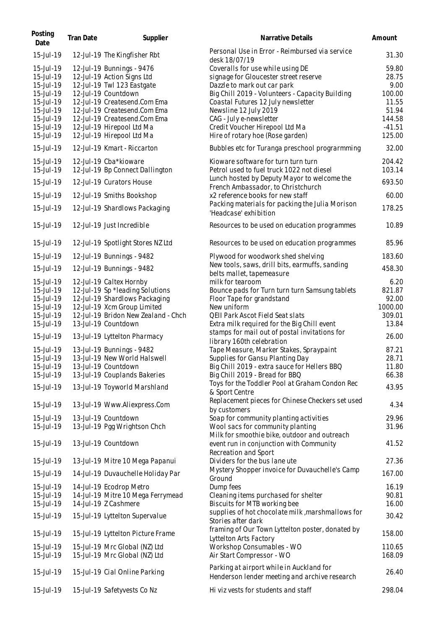| Posting<br>Date                                               | Tran Date | Supplier                                                                                                                                     | Narrative Details                                                                                                                                                                                 | Amount                                    |
|---------------------------------------------------------------|-----------|----------------------------------------------------------------------------------------------------------------------------------------------|---------------------------------------------------------------------------------------------------------------------------------------------------------------------------------------------------|-------------------------------------------|
| 15-Jul-19                                                     |           | 12-Jul-19 The Kingfisher Rbt                                                                                                                 | Personal Use in Error - Reimbursed via service<br>desk 18/07/19                                                                                                                                   | 31.30                                     |
| 15-Jul-19<br>15-Jul-19<br>15-Jul-19<br>15-Jul-19<br>15-Jul-19 |           | 12-Jul-19 Bunnings - 9476<br>12-Jul-19 Action Signs Ltd<br>12-Jul-19 Twl 123 Eastgate<br>12-Jul-19 Countdown<br>12-Jul-19 Createsend.Com Ema | Coveralls for use while using DE<br>signage for Gloucester street reserve<br>Dazzle to mark out car park<br>Big Chill 2019 - Volunteers - Capacity Building<br>Coastal Futures 12 July newsletter | 59.80<br>28.75<br>9.00<br>100.00<br>11.55 |
| 15-Jul-19<br>15-Jul-19<br>15-Jul-19<br>15-Jul-19              |           | 12-Jul-19 Createsend.Com Ema<br>12-Jul-19 Createsend.Com Ema<br>12-Jul-19 Hirepool Ltd Ma<br>12-Jul-19 Hirepool Ltd Ma                       | Newsline 12 July 2019<br>CAG - July e-newsletter<br>Credit Voucher Hirepool Ltd Ma<br>Hire of rotary hoe (Rose garden)                                                                            | 51.94<br>144.58<br>$-41.51$<br>125.00     |
| 15-Jul-19                                                     |           | 12-Jul-19 Kmart - Riccarton                                                                                                                  | Bubbles etc for Turanga preschool prograrmming                                                                                                                                                    | 32.00                                     |
| 15-Jul-19<br>15-Jul-19                                        |           | 12-Jul-19 Cba*kioware<br>12-Jul-19 Bp Connect Dallington                                                                                     | Kioware software for turn turn turn<br>Petrol used to fuel truck 1022 not diesel                                                                                                                  | 204.42<br>103.14                          |
| 15-Jul-19                                                     |           | 12-Jul-19 Curators House                                                                                                                     | Lunch hosted by Deputy Mayor to welcome the<br>French Ambassador, to Christchurch                                                                                                                 | 693.50                                    |
| 15-Jul-19<br>15-Jul-19                                        |           | 12-Jul-19 Smiths Bookshop<br>12-Jul-19 Shardlows Packaging                                                                                   | x2 reference books for new staff<br>Packing materials for packing the Julia Morison<br>'Headcase' exhibition                                                                                      | 60.00<br>178.25                           |
| 15-Jul-19                                                     |           | 12-Jul-19 Just Incredible                                                                                                                    | Resources to be used on education programmes                                                                                                                                                      | 10.89                                     |
| 15-Jul-19                                                     |           | 12-Jul-19 Spotlight Stores NZ Ltd                                                                                                            | Resources to be used on education programmes                                                                                                                                                      | 85.96                                     |
| 15-Jul-19                                                     |           | 12-Jul-19 Bunnings - 9482                                                                                                                    | Plywood for woodwork shed shelving                                                                                                                                                                | 183.60                                    |
| 15-Jul-19                                                     |           | 12-Jul-19 Bunnings - 9482                                                                                                                    | New tools, saws, drill bits, earmuffs, sanding<br>belts mallet, tapemeasure                                                                                                                       | 458.30                                    |
| 15-Jul-19<br>15-Jul-19<br>15-Jul-19<br>15-Jul-19              |           | 12-Jul-19 Caltex Hornby<br>12-Jul-19 Sp *leading Solutions<br>12-Jul-19 Shardlows Packaging<br>12-Jul-19 Xcm Group Limited                   | milk for tearoom<br>Bounce pads for Turn turn turn Samsung tablets<br>Floor Tape for grandstand<br>New uniform                                                                                    | 6.20<br>821.87<br>92.00<br>1000.00        |
| 15-Jul-19<br>15-Jul-19                                        |           | 12-Jul-19 Bridon New Zealand - Chch<br>13-Jul-19 Countdown                                                                                   | QEII Park Ascot Field Seat slats<br>Extra milk required for the Big Chill event                                                                                                                   | 309.01<br>13.84                           |
| 15-Jul-19                                                     |           | 13-Jul-19 Lyttelton Pharmacy                                                                                                                 | stamps for mail out of postal invitations for<br>library 160th celebration                                                                                                                        | 26.00                                     |
| 15-Jul-19<br>15-Jul-19<br>15-Jul-19                           |           | 13-Jul-19 Bunnings - 9482<br>13-Jul-19 New World Halswell<br>13-Jul-19 Countdown                                                             | Tape Measure, Marker Stakes, Spraypaint<br>Supplies for Gansu Planting Day<br>Big Chill 2019 - extra sauce for Hellers BBQ                                                                        | 87.21<br>28.71<br>11.80                   |
| 15-Jul-19                                                     |           | 13-Jul-19 Couplands Bakeries                                                                                                                 | Big Chill 2019 - Bread for BBQ<br>Toys for the Toddler Pool at Graham Condon Rec                                                                                                                  | 66.38                                     |
| 15-Jul-19<br>15-Jul-19                                        |           | 13-Jul-19 Toyworld Marshland<br>13-Jul-19 Www.Aliexpress.Com                                                                                 | & Sport Centre<br>Replacement pieces for Chinese Checkers set used                                                                                                                                | 43.95<br>4.34                             |
| 15-Jul-19                                                     |           | 13-Jul-19 Countdown                                                                                                                          | by customers<br>Soap for community planting activities                                                                                                                                            | 29.96                                     |
| 15-Jul-19<br>15-Jul-19                                        |           | 13-Jul-19 Pgg Wrightson Chch<br>13-Jul-19 Countdown                                                                                          | Wool sacs for community planting<br>Milk for smoothie bike, outdoor and outreach<br>event run in conjunction with Community                                                                       | 31.96<br>41.52                            |
| 15-Jul-19                                                     |           | 13-Jul-19 Mitre 10 Mega Papanui                                                                                                              | Recreation and Sport<br>Dividers for the bus lane ute                                                                                                                                             | 27.36                                     |
| 15-Jul-19                                                     |           | 14-Jul-19 Duvauchelle Holiday Par                                                                                                            | Mystery Shopper invoice for Duvauchelle's Camp<br>Ground                                                                                                                                          | 167.00                                    |
| 15-Jul-19<br>15-Jul-19<br>15-Jul-19                           |           | 14-Jul-19 Ecodrop Metro<br>14-Jul-19 Mitre 10 Mega Ferrymead<br>14-Jul-19 Z Cashmere                                                         | Dump fees<br>Cleaning items purchased for shelter<br>Biscuits for MTB working bee                                                                                                                 | 16.19<br>90.81<br>16.00                   |
| 15-Jul-19                                                     |           | 15-Jul-19 Lyttelton Supervalue                                                                                                               | supplies of hot chocolate milk, marshmallows for<br>Stories after dark                                                                                                                            | 30.42                                     |
| 15-Jul-19                                                     |           | 15-Jul-19 Lyttelton Picture Frame                                                                                                            | framing of Our Town Lyttelton poster, donated by<br>Lyttelton Arts Factory                                                                                                                        | 158.00                                    |
| 15-Jul-19<br>15-Jul-19                                        |           | 15-Jul-19 Mrc Global (NZ) Ltd<br>15-Jul-19 Mrc Global (NZ) Ltd                                                                               | Workshop Consumables - WO<br>Air Start Compressor - WO                                                                                                                                            | 110.65<br>168.09                          |
| 15-Jul-19                                                     |           | 15-Jul-19 Cial Online Parking                                                                                                                | Parking at airport while in Auckland for<br>Henderson lender meeting and archive research                                                                                                         | 26.40                                     |
| 15-Jul-19                                                     |           | 15-Jul-19 Safetyvests Co Nz                                                                                                                  | Hi viz vests for students and staff                                                                                                                                                               | 298.04                                    |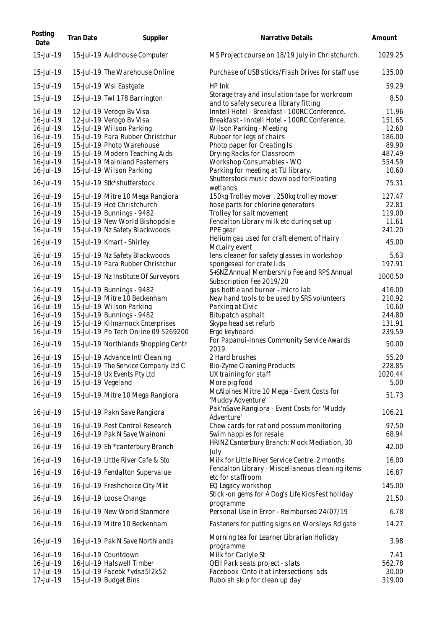| Posting<br>Date        | Tran Date | Supplier                                                           | Narrative Details                                                                       | Amount            |
|------------------------|-----------|--------------------------------------------------------------------|-----------------------------------------------------------------------------------------|-------------------|
| 15-Jul-19              |           | 15-Jul-19 Auldhouse Computer                                       | MS Project course on 18/19 July in Christchurch.                                        | 1029.25           |
| 15-Jul-19              |           | 15-Jul-19 The Warehouse Online                                     | Purchase of USB sticks/Flash Drives for staff use                                       | 135.00            |
| 15-Jul-19              |           | 15-Jul-19 Wsl Eastgate                                             | HP Ink                                                                                  | 59.29             |
| 15-Jul-19              |           | 15-Jul-19 Twl 178 Barrington                                       | Storage tray and insulation tape for workroom<br>and to safely secure a library fitting | 8.50              |
| 16-Jul-19              |           | 12-Jul-19 Verogo Bv Visa                                           | Inntell Hotel - Breakfast - 100RC Conference.                                           | 11.96             |
| 16-Jul-19              |           | 12-Jul-19 Verogo Bv Visa                                           | Breakfast - Inntell Hotel - 100RC Conference.                                           | 151.65            |
| 16-Jul-19              |           | 15-Jul-19 Wilson Parking                                           | Wilson Parking - Meeting                                                                | 12.60             |
| 16-Jul-19              |           | 15-Jul-19 Para Rubber Christchur<br>15-Jul-19 Photo Warehouse      | Rubber for legs of chairs<br>Photo paper for Creating Is                                | 186.00<br>89.90   |
| 16-Jul-19<br>16-Jul-19 |           | 15-Jul-19 Modern Teaching Aids                                     | Drying Racks for Classroom                                                              | 487.49            |
| 16-Jul-19              |           | 15-Jul-19 Mainland Fasterners                                      | Workshop Consumables - WO                                                               | 554.59            |
| 16-Jul-19              |           | 15-Jul-19 Wilson Parking                                           | Parking for meeting at TU library.                                                      | 10.60             |
| 16-Jul-19              |           | 15-Jul-19 Stk*shutterstock                                         | Shutterstock music download forFloating<br>wetlands                                     | 75.31             |
| 16-Jul-19              |           | 15-Jul-19 Mitre 10 Mega Rangiora                                   | 150kg Trolley mover, 250kg trolley mover                                                | 127.47            |
| 16-Jul-19              |           | 15-Jul-19 Hcd Christchurch                                         | hose parts for chlorine generators                                                      | 22.81             |
| 16-Jul-19              |           | 15-Jul-19 Bunnings - 9482                                          | Trolley for salt movement                                                               | 119.00            |
| 16-Jul-19              |           | 15-Jul-19 New World Bishopdale                                     | Fendalton Library milk etc during set up                                                | 11.61             |
| 16-Jul-19<br>16-Jul-19 |           | 15-Jul-19 Nz Safety Blackwoods<br>15-Jul-19 Kmart - Shirley        | PPE gear<br>Helium gas used for craft element of Hairy                                  | 241.20<br>45.00   |
|                        |           |                                                                    | McLairy event                                                                           |                   |
| 16-Jul-19<br>16-Jul-19 |           | 15-Jul-19 Nz Safety Blackwoods<br>15-Jul-19 Para Rubber Christchur | lens cleaner for safety glasses in workshop<br>spongeseal for crate lids                | 5.63<br>197.91    |
| 16-Jul-19              |           | 15-Jul-19 Nz Institute Of Surveyors                                | S+SNZ Annual Membership Fee and RPS Annual<br>Subscription Fee 2019/20                  | 1000.50           |
| 16-Jul-19              |           | 15-Jul-19 Bunnings - 9482                                          | gas bottle and burner - micro lab                                                       | 416.00            |
| 16-Jul-19              |           | 15-Jul-19 Mitre 10 Beckenham                                       | New hand tools to be used by SRS volunteers                                             | 210.92            |
| 16-Jul-19              |           | 15-Jul-19 Wilson Parking                                           | Parking at Civic                                                                        | 10.60             |
| 16-Jul-19              |           | 15-Jul-19 Bunnings - 9482                                          | Bitupatch asphalt                                                                       | 244.80            |
| 16-Jul-19              |           | 15-Jul-19 Kilmarnock Enterprises                                   | Skype head set refurb                                                                   | 131.91            |
| 16-Jul-19              |           | 15-Jul-19 Pb Tech Online 09 5269200                                | Ergo keyboard                                                                           | 239.59            |
| 16-Jul-19              |           | 15-Jul-19 Northlands Shopping Centr                                | For Papanui-Innes Community Service Awards<br>2019.                                     | 50.00             |
| 16-Jul-19              |           | 15-Jul-19 Advance Intl Cleaning                                    | 2 Hard brushes                                                                          | 55.20             |
| 16-Jul-19<br>16-Jul-19 |           | 15-Jul-19 The Service Company Ltd C<br>15-Jul-19 Ux Events Pty Ltd | Bio-Zyme Cleaning Products<br>UX training for staff                                     | 228.85<br>1020.44 |
| 16-Jul-19              |           | 15-Jul-19 Vegeland                                                 | More pig food                                                                           | 5.00              |
|                        |           |                                                                    | McAlpines Mitre 10 Mega - Event Costs for                                               |                   |
| 16-Jul-19              |           | 15-Jul-19 Mitre 10 Mega Rangiora                                   | 'Muddy Adventure'<br>Pak'nSave Rangiora - Event Costs for 'Muddy                        | 51.73             |
| 16-Jul-19<br>16-Jul-19 |           | 15-Jul-19 Pakn Save Rangiora<br>16-Jul-19 Pest Control Research    | Adventure'<br>Chew cards for rat and possum monitoring                                  | 106.21<br>97.50   |
| 16-Jul-19              |           | 16-Jul-19 Pak N Save Wainoni                                       | Swim nappies for resale                                                                 | 68.94             |
| 16-Jul-19              |           | 16-Jul-19 Eb *canterbury Branch                                    | HRINZ Canterbury Branch: Mock Mediation, 30<br>July                                     | 42.00             |
| 16-Jul-19              |           | 16-Jul-19 Little River Cafe & Sto                                  | Milk for Little River Service Centre, 2 months                                          | 16.00             |
| 16-Jul-19              |           | 16-Jul-19 Fendalton Supervalue                                     | Fendalton Library - Miscellaneous cleaning items<br>etc for staffroom                   | 16.87             |
| 16-Jul-19              |           | 16-Jul-19 Freshchoice City Mkt                                     | EQ Legacy workshop                                                                      | 145.00            |
| 16-Jul-19              |           | 16-Jul-19 Loose Change                                             | Stick -on gems for A Dog's Life KidsFest holiday<br>programme                           | 21.50             |
| 16-Jul-19              |           | 16-Jul-19 New World Stanmore                                       | Personal Use in Error - Reimbursed 24/07/19                                             | 6.78              |
| 16-Jul-19              |           | 16-Jul-19 Mitre 10 Beckenham                                       | Fasteners for putting signs on Worsleys Rd gate                                         | 14.27             |
| 16-Jul-19              |           | 16-Jul-19 Pak N Save Northlands                                    | Morning tea for Learner Librarian Holiday<br>programme                                  | 3.98              |
| 16-Jul-19              |           | 16-Jul-19 Countdown                                                | Milk for Carlyle St                                                                     | 7.41              |
| 16-Jul-19              |           | 16-Jul-19 Halswell Timber                                          | QEII Park seats project - slats                                                         | 562.78            |
| 17-Jul-19              |           | 15-Jul-19 Facebk *ydsa5l2k52                                       | Facebook 'Onto it at intersections' ads                                                 | 30.00             |
| 17-Jul-19              |           | 15-Jul-19 Budget Bins                                              | Rubbish skip for clean up day                                                           | 319.00            |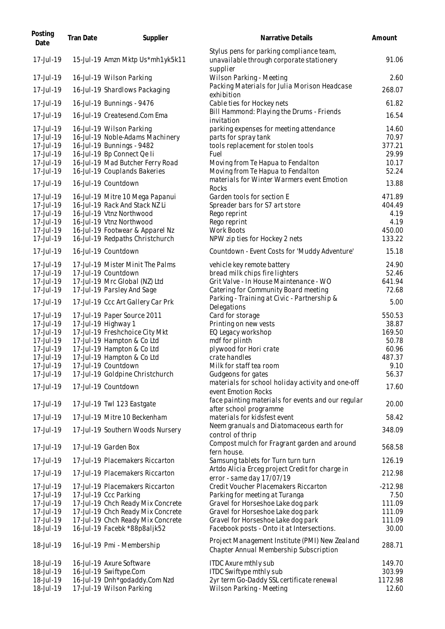| Posting<br>Date                                                                                      | Tran Date | Supplier                                                                                                                                                                                                                                 | Narrative Details                                                                                                                                                                                                                      | Amount                                                       |
|------------------------------------------------------------------------------------------------------|-----------|------------------------------------------------------------------------------------------------------------------------------------------------------------------------------------------------------------------------------------------|----------------------------------------------------------------------------------------------------------------------------------------------------------------------------------------------------------------------------------------|--------------------------------------------------------------|
| 17-Jul-19                                                                                            |           | 15-Jul-19 Amzn Mktp Us*mh1yk5k11                                                                                                                                                                                                         | Stylus pens for parking compliance team,<br>unavailable through corporate stationery<br>supplier                                                                                                                                       | 91.06                                                        |
| 17-Jul-19                                                                                            |           | 16-Jul-19 Wilson Parking                                                                                                                                                                                                                 | Wilson Parking - Meeting                                                                                                                                                                                                               | 2.60                                                         |
| 17-Jul-19                                                                                            |           | 16-Jul-19 Shardlows Packaging                                                                                                                                                                                                            | Packing Materials for Julia Morison Headcase<br>exhibition                                                                                                                                                                             | 268.07                                                       |
| 17-Jul-19                                                                                            |           | 16-Jul-19 Bunnings - 9476                                                                                                                                                                                                                | Cable ties for Hockey nets                                                                                                                                                                                                             | 61.82                                                        |
| 17-Jul-19                                                                                            |           | 16-Jul-19 Createsend.Com Ema                                                                                                                                                                                                             | Bill Hammond: Playing the Drums - Friends<br>invitation                                                                                                                                                                                | 16.54                                                        |
| 17-Jul-19<br>17-Jul-19<br>17-Jul-19<br>17-Jul-19<br>17-Jul-19<br>17-Jul-19                           |           | 16-Jul-19 Wilson Parking<br>16-Jul-19 Noble-Adams Machinery<br>16-Jul-19 Bunnings - 9482<br>16-Jul-19 Bp Connect Qe li<br>16-Jul-19 Mad Butcher Ferry Road<br>16-Jul-19 Couplands Bakeries                                               | parking expenses for meeting attendance<br>parts for spray tank<br>tools replacement for stolen tools<br>Fuel<br>Moving from Te Hapua to Fendalton<br>Moving from Te Hapua to Fendalton                                                | 14.60<br>70.97<br>377.21<br>29.99<br>10.17<br>52.24          |
| 17-Jul-19                                                                                            |           | 16-Jul-19 Countdown                                                                                                                                                                                                                      | materials for Winter Warmers event Emotion                                                                                                                                                                                             | 13.88                                                        |
| 17-Jul-19<br>17-Jul-19<br>17-Jul-19<br>17-Jul-19<br>17-Jul-19<br>17-Jul-19                           |           | 16-Jul-19 Mitre 10 Mega Papanui<br>16-Jul-19 Rack And Stack NZ Li<br>16-Jul-19 Vtnz Northwood<br>16-Jul-19 Vtnz Northwood<br>16-Jul-19 Footwear & Apparel Nz<br>16-Jul-19 Redpaths Christchurch                                          | Rocks<br>Garden tools for section E<br>Spreader bars for S7 art store<br>Rego reprint<br>Rego reprint<br>Work Boots<br>NPW zip ties for Hockey 2 nets                                                                                  | 471.89<br>404.49<br>4.19<br>4.19<br>450.00<br>133.22         |
| 17-Jul-19                                                                                            |           | 16-Jul-19 Countdown                                                                                                                                                                                                                      | Countdown - Event Costs for 'Muddy Adventure'                                                                                                                                                                                          | 15.18                                                        |
| 17-Jul-19<br>17-Jul-19<br>17-Jul-19<br>17-Jul-19<br>17-Jul-19                                        |           | 17-Jul-19 Mister Minit The Palms<br>17-Jul-19 Countdown<br>17-Jul-19 Mrc Global (NZ) Ltd<br>17-Jul-19 Parsley And Sage<br>17-Jul-19 Ccc Art Gallery Car Prk                                                                              | vehicle key remote battery<br>bread milk chips fire lighters<br>Grit Valve - In House Maintenance - WO<br>Catering for Community Board meeting<br>Parking - Training at Civic - Partnership &                                          | 24.90<br>52.46<br>641.94<br>72.68<br>5.00                    |
|                                                                                                      |           |                                                                                                                                                                                                                                          | Delegations                                                                                                                                                                                                                            | 550.53                                                       |
| 17-Jul-19<br>17-Jul-19<br>17-Jul-19<br>17-Jul-19<br>17-Jul-19<br>17-Jul-19<br>17-Jul-19<br>17-Jul-19 |           | 17-Jul-19 Paper Source 2011<br>17-Jul-19 Highway 1<br>17-Jul-19 Freshchoice City Mkt<br>17-Jul-19 Hampton & Co Ltd<br>17-Jul-19 Hampton & Co Ltd<br>17-Jul-19 Hampton & Co Ltd<br>17-Jul-19 Countdown<br>17-Jul-19 Goldpine Christchurch | Card for storage<br>Printing on new vests<br>EQ Legacy workshop<br>mdf for plinth<br>plywood for Hori crate<br>crate handles<br>Milk for staff tea room<br>Gudgeons for gates                                                          | 38.87<br>169.50<br>50.78<br>60.96<br>487.37<br>9.10<br>56.37 |
| 17-Jul-19                                                                                            |           | 17-Jul-19 Countdown                                                                                                                                                                                                                      | materials for school holiday activity and one-off<br>event Emotion Rocks                                                                                                                                                               | 17.60                                                        |
| 17-Jul-19<br>17-Jul-19                                                                               |           | 17-Jul-19 Twl 123 Eastgate<br>17-Jul-19 Mitre 10 Beckenham                                                                                                                                                                               | face painting materials for events and our regular<br>after school programme<br>materials for kidsfest event                                                                                                                           | 20.00<br>58.42                                               |
| 17-Jul-19                                                                                            |           | 17-Jul-19 Southern Woods Nursery                                                                                                                                                                                                         | Neem granuals and Diatomaceous earth for<br>control of thrip                                                                                                                                                                           | 348.09                                                       |
| 17-Jul-19                                                                                            |           | 17-Jul-19 Garden Box                                                                                                                                                                                                                     | Compost mulch for Fragrant garden and around<br>fern house.                                                                                                                                                                            | 568.58                                                       |
| 17-Jul-19                                                                                            |           | 17-Jul-19 Placemakers Riccarton                                                                                                                                                                                                          | Samsung tablets for Turn turn turn                                                                                                                                                                                                     | 126.19                                                       |
| 17-Jul-19                                                                                            |           | 17-Jul-19 Placemakers Riccarton                                                                                                                                                                                                          | Artdo Alicia Erceg project Credit for charge in<br>error - same day 17/07/19                                                                                                                                                           | 212.98                                                       |
| 17-Jul-19<br>17-Jul-19<br>17-Jul-19<br>17-Jul-19<br>17-Jul-19<br>18-Jul-19                           |           | 17-Jul-19 Placemakers Riccarton<br>17-Jul-19 Ccc Parking<br>17-Jul-19 Chch Ready Mix Concrete<br>17-Jul-19 Chch Ready Mix Concrete<br>17-Jul-19 Chch Ready Mix Concrete<br>16-Jul-19 Facebk *88p8aljk52                                  | Credit Voucher Placemakers Riccarton<br>Parking for meeting at Turanga<br>Gravel for Horseshoe Lake dog park<br>Gravel for Horseshoe Lake dog park<br>Gravel for Horseshoe Lake dog park<br>Facebook posts - Onto it at Intersections. | $-212.98$<br>7.50<br>111.09<br>111.09<br>111.09<br>30.00     |
| 18-Jul-19                                                                                            |           | 16-Jul-19 Pmi - Membership                                                                                                                                                                                                               | Project Management Institute (PMI) New Zealand<br>Chapter Annual Membership Subscription                                                                                                                                               | 288.71                                                       |
| 18-Jul-19<br>18-Jul-19<br>18-Jul-19                                                                  |           | 16-Jul-19 Axure Software<br>16-Jul-19 Swiftype.Com<br>16-Jul-19 Dnh*godaddy.Com Nzd                                                                                                                                                      | <b>ITDC Axure mthly sub</b><br>ITDC Swiftype mthly sub<br>2yr term Go-Daddy SSL certificate renewal                                                                                                                                    | 149.70<br>303.99<br>1172.98                                  |
| 18-Jul-19                                                                                            |           | 17-Jul-19 Wilson Parking                                                                                                                                                                                                                 | Wilson Parking - Meeting                                                                                                                                                                                                               | 12.60                                                        |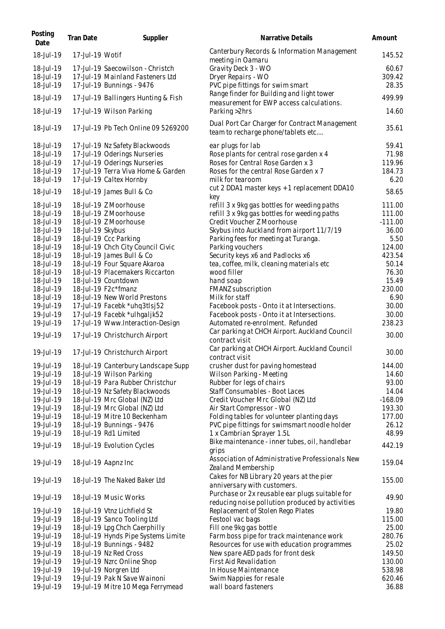| Posting<br>Date        | Tran Date        | Supplier                                               | Narrative Details                                                                                 | Amount          |
|------------------------|------------------|--------------------------------------------------------|---------------------------------------------------------------------------------------------------|-----------------|
| 18-Jul-19              | 17-Jul-19 Wotif  |                                                        | Canterbury Records & Information Management<br>meeting in Oamaru                                  | 145.52          |
| 18-Jul-19              |                  | 17-Jul-19 Saecowilson - Christch                       | Gravity Deck 3 - WO                                                                               | 60.67           |
| 18-Jul-19              |                  | 17-Jul-19 Mainland Fasteners Ltd                       | Dryer Repairs - WO                                                                                | 309.42          |
| 18-Jul-19              |                  | 17-Jul-19 Bunnings - 9476                              | PVC pipe fittings for swim smart                                                                  | 28.35           |
| 18-Jul-19              |                  | 17-Jul-19 Ballingers Hunting & Fish                    | Range finder for Building and light tower<br>measurement for EWP access calculations.             | 499.99          |
| 18-Jul-19              |                  | 17-Jul-19 Wilson Parking                               | Parking > 2hrs                                                                                    | 14.60           |
| 18-Jul-19              |                  | 17-Jul-19 Pb Tech Online 09 5269200                    | Dual Port Car Charger for Contract Management<br>team to recharge phone/tablets etc               | 35.61           |
| 18-Jul-19              |                  | 17-Jul-19 Nz Safety Blackwoods                         | ear plugs for lab                                                                                 | 59.41           |
| 18-Jul-19              |                  | 17-Jul-19 Oderings Nurseries                           | Rose plants for central rose garden x 4                                                           | 71.98           |
| 18-Jul-19              |                  | 17-Jul-19 Oderings Nurseries                           | Roses for Central Rose Garden x 3                                                                 | 119.96          |
| 18-Jul-19              |                  | 17-Jul-19 Terra Viva Home & Garden                     | Roses for the central Rose Garden x 7                                                             | 184.73          |
| 18-Jul-19<br>18-Jul-19 |                  | 17-Jul-19 Caltex Hornby<br>18-Jul-19 James Bull & Co   | milk for tearoom<br>cut 2 DDA1 master keys + 1 replacement DDA10                                  | 6.20<br>58.65   |
|                        |                  |                                                        | key                                                                                               |                 |
| 18-Jul-19              |                  | 18-Jul-19 Z Moorhouse                                  | refill 3 x 9kg gas bottles for weeding paths                                                      | 111.00          |
| 18-Jul-19              |                  | 18-Jul-19 Z Moorhouse                                  | refill 3 x 9kg gas bottles for weeding paths                                                      | 111.00          |
| 18-Jul-19              |                  | 18-Jul-19 Z Moorhouse                                  | Credit Voucher Z Moorhouse                                                                        | $-111.00$       |
| 18-Jul-19              | 18-Jul-19 Skybus |                                                        | Skybus into Auckland from airport 11/7/19                                                         | 36.00           |
| 18-Jul-19              |                  | 18-Jul-19 Ccc Parking                                  | Parking fees for meeting at Turanga.                                                              | 5.50            |
| 18-Jul-19              |                  | 18-Jul-19 Chch City Council Civic                      | Parking vouchers                                                                                  | 124.00          |
| 18-Jul-19              |                  | 18-Jul-19 James Bull & Co                              | Security keys x6 and Padlocks x6                                                                  | 423.54          |
| 18-Jul-19              |                  | 18-Jul-19 Four Square Akaroa                           | tea, coffee, milk, cleaning materials etc                                                         | 50.14           |
| 18-Jul-19<br>18-Jul-19 |                  | 18-Jul-19 Placemakers Riccarton<br>18-Jul-19 Countdown | wood filler<br>hand soap                                                                          | 76.30<br>15.49  |
| 18-Jul-19              |                  | 18-Jul-19 F2c*fmanz                                    | FMANZ subscription                                                                                | 230.00          |
| 18-Jul-19              |                  | 18-Jul-19 New World Prestons                           | Milk for staff                                                                                    | 6.90            |
| 19-Jul-19              |                  | 17-Jul-19 Facebk *uhq3tlsj52                           | Facebook posts - Onto it at Intersections.                                                        | 30.00           |
| 19-Jul-19              |                  | 17-Jul-19 Facebk *ulhgaljk52                           | Facebook posts - Onto it at Intersections.                                                        | 30.00           |
| 19-Jul-19              |                  | 17-Jul-19 Www.Interaction-Design                       | Automated re-enrolment. Refunded                                                                  | 238.23          |
| 19-Jul-19              |                  | 17-Jul-19 Christchurch Airport                         | Car parking at CHCH Airport. Auckland Council<br>contract visit                                   | 30.00           |
| 19-Jul-19              |                  | 17-Jul-19 Christchurch Airport                         | Car parking at CHCH Airport. Auckland Council<br>contract visit                                   | 30.00           |
| 19-Jul-19              |                  | 18-Jul-19 Canterbury Landscape Supp                    | crusher dust for paving homestead                                                                 | 144.00          |
| 19-Jul-19              |                  | 18-Jul-19 Wilson Parking                               | Wilson Parking - Meeting                                                                          | 14.60           |
| 19-Jul-19              |                  | 18-Jul-19 Para Rubber Christchur                       | Rubber for legs of chairs                                                                         | 93.00           |
| 19-Jul-19              |                  | 18-Jul-19 Nz Safety Blackwoods                         | Staff Consumables - Boot Laces                                                                    | 14.04           |
| 19-Jul-19              |                  | 18-Jul-19 Mrc Global (NZ) Ltd                          | Credit Voucher Mrc Global (NZ) Ltd                                                                | $-168.09$       |
| 19-Jul-19              |                  | 18-Jul-19 Mrc Global (NZ) Ltd                          | Air Start Compressor - WO                                                                         | 193.30          |
| 19-Jul-19              |                  | 18-Jul-19 Mitre 10 Beckenham                           | Folding tables for volunteer planting days                                                        | 177.00          |
| 19-Jul-19              |                  | 18-Jul-19 Bunnings - 9476                              | PVC pipe fittings for swimsmart noodle holder                                                     | 26.12           |
| 19-Jul-19              |                  | 18-Jul-19 Rd1 Limited                                  | 1 x Cambrian Sprayer 1.5L                                                                         | 48.99           |
| 19-Jul-19              |                  | 18-Jul-19 Evolution Cycles                             | Bike maintenance - inner tubes, oil, handlebar<br>arips                                           | 442.19          |
| 19-Jul-19              |                  | 18-Jul-19 Aapnz Inc                                    | Association of Administrative Professionals New<br>Zealand Membership                             | 159.04          |
| 19-Jul-19              |                  | 18-Jul-19 The Naked Baker Ltd                          | Cakes for NB Library 20 years at the pier<br>anniversary with customers.                          | 155.00          |
| 19-Jul-19              |                  | 18-Jul-19 Music Works                                  | Purchase or 2x reusable ear plugs suitable for<br>reducing noise pollution produced by activities | 49.90           |
| 19-Jul-19              |                  | 18-Jul-19 Vtnz Lichfield St                            | Replacement of Stolen Rego Plates                                                                 | 19.80           |
| 19-Jul-19              |                  | 18-Jul-19 Sanco Tooling Ltd                            | Festool vac bags                                                                                  | 115.00          |
| 19-Jul-19              |                  | 18-Jul-19 Lpg Chch Caerphilly                          | Fill one 9kg gas bottle                                                                           | 25.00           |
| 19-Jul-19              |                  | 18-Jul-19 Hynds Pipe Systems Limite                    | Farm boss pipe for track maintenance work                                                         | 280.76          |
| 19-Jul-19              |                  | 18-Jul-19 Bunnings - 9482                              | Resources for use with education programmes                                                       | 25.02           |
| 19-Jul-19              |                  | 18-Jul-19 Nz Red Cross                                 | New spare AED pads for front desk                                                                 | 149.50          |
| 19-Jul-19              |                  | 19-Jul-19 Nzrc Online Shop                             | First Aid Revalidation                                                                            | 130.00          |
| 19-Jul-19              |                  | 19-Jul-19 Norgren Ltd                                  | In House Maintenance                                                                              | 538.98          |
| 19-Jul-19<br>19-Jul-19 |                  | 19-Jul-19 Pak N Save Wainoni                           | Swim Nappies for resale<br>wall board fasteners                                                   | 620.46<br>36.88 |
|                        |                  | 19-Jul-19 Mitre 10 Mega Ferrymead                      |                                                                                                   |                 |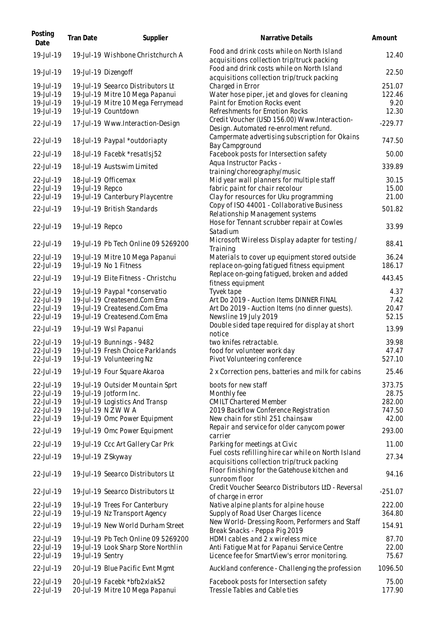| Posting<br>Date                                                            | Tran Date        | Supplier                                                                                                                                                                              | Narrative Details                                                                                                                                                                              | Amount                                                 |
|----------------------------------------------------------------------------|------------------|---------------------------------------------------------------------------------------------------------------------------------------------------------------------------------------|------------------------------------------------------------------------------------------------------------------------------------------------------------------------------------------------|--------------------------------------------------------|
| 19-Jul-19                                                                  |                  | 19-Jul-19 Wishbone Christchurch A                                                                                                                                                     | Food and drink costs while on North Island<br>acquisitions collection trip/truck packing                                                                                                       | 12.40                                                  |
| 19-Jul-19                                                                  |                  | 19-Jul-19 Dizengoff                                                                                                                                                                   | Food and drink costs while on North Island<br>acquisitions collection trip/truck packing                                                                                                       | 22.50                                                  |
| 19-Jul-19<br>19-Jul-19<br>19-Jul-19                                        |                  | 19-Jul-19 Seearco Distributors Lt<br>19-Jul-19 Mitre 10 Mega Papanui<br>19-Jul-19 Mitre 10 Mega Ferrymead                                                                             | Charged in Error<br>Water hose piper, jet and gloves for cleaning<br>Paint for Emotion Rocks event                                                                                             | 251.07<br>122.46<br>9.20                               |
| 19-Jul-19<br>22-Jul-19                                                     |                  | 19-Jul-19 Countdown                                                                                                                                                                   | Refreshments for Emotion Rocks<br>Credit Voucher (USD 156.00) Www.Interaction-                                                                                                                 | 12.30<br>$-229.77$                                     |
|                                                                            |                  | 17-Jul-19 Www.Interaction-Design                                                                                                                                                      | Design. Automated re-enrolment refund.<br>Campermate advertising subscription for Okains                                                                                                       |                                                        |
| 22-Jul-19                                                                  |                  | 18-Jul-19 Paypal *outdoriapty                                                                                                                                                         | Bay Campground                                                                                                                                                                                 | 747.50                                                 |
| 22-Jul-19<br>22-Jul-19                                                     |                  | 18-Jul-19 Facebk *resatlsj52<br>18-Jul-19 Austswim Limited                                                                                                                            | Facebook posts for Intersection safety<br>Aqua Instructor Packs -                                                                                                                              | 50.00<br>339.89                                        |
| 22-Jul-19<br>22-Jul-19                                                     | 19-Jul-19 Repco  | 18-Jul-19 Officemax                                                                                                                                                                   | training/choreography/music<br>Mid year wall planners for multiple staff<br>fabric paint for chair recolour                                                                                    | 30.15<br>15.00                                         |
| 22-Jul-19<br>22-Jul-19                                                     |                  | 19-Jul-19 Canterbury Playcentre<br>19-Jul-19 British Standards                                                                                                                        | Clay for resources for Uku programming<br>Copy of ISO 44001 - Collaborative Business                                                                                                           | 21.00<br>501.82                                        |
| 22-Jul-19                                                                  | 19-Jul-19 Repco  |                                                                                                                                                                                       | Relationship Management systems<br>Hose for Tennant scrubber repair at Cowles<br>Satadium                                                                                                      | 33.99                                                  |
| 22-Jul-19                                                                  |                  | 19-Jul-19 Pb Tech Online 09 5269200                                                                                                                                                   | Microsoft Wireless Display adapter for testing /<br>Training                                                                                                                                   | 88.41                                                  |
| 22-Jul-19<br>22-Jul-19                                                     |                  | 19-Jul-19 Mitre 10 Mega Papanui<br>19-Jul-19 No 1 Fitness                                                                                                                             | Materials to cover up equipment stored outside<br>replace on-going fatigued fitness equipment                                                                                                  | 36.24<br>186.17                                        |
| 22-Jul-19                                                                  |                  | 19-Jul-19 Elite Fitness - Christchu                                                                                                                                                   | Replace on-going fatigued, broken and added                                                                                                                                                    | 443.45                                                 |
| 22-Jul-19<br>22-Jul-19<br>22-Jul-19<br>22-Jul-19                           |                  | 19-Jul-19 Paypal *conservatio<br>19-Jul-19 Createsend.Com Ema<br>19-Jul-19 Createsend.Com Ema<br>19-Jul-19 Createsend.Com Ema                                                         | fitness equipment<br>Tyvek tape<br>Art Do 2019 - Auction Items DINNER FINAL<br>Art Do 2019 - Auction Items (no dinner guests).<br>Newsline 19 July 2019                                        | 4.37<br>7.42<br>20.47<br>52.15                         |
| 22-Jul-19                                                                  |                  | 19-Jul-19 Wsl Papanui                                                                                                                                                                 | Double sided tape required for display at short<br>notice                                                                                                                                      | 13.99                                                  |
| 22-Jul-19<br>22-Jul-19<br>22-Jul-19                                        |                  | 19-Jul-19 Bunnings - 9482<br>19-Jul-19 Fresh Choice Parklands<br>19-Jul-19 Volunteering Nz                                                                                            | two knifes retractable.<br>food for volunteer work day<br>Pivot Volunteering conference                                                                                                        | 39.98<br>47.47<br>527.10                               |
| 22-Jul-19                                                                  |                  | 19-Jul-19 Four Square Akaroa                                                                                                                                                          | 2 x Correction pens, batteries and milk for cabins                                                                                                                                             | 25.46                                                  |
| 22-Jul-19<br>22-Jul-19<br>22-Jul-19<br>22-Jul-19<br>22-Jul-19<br>22-Jul-19 |                  | 19-Jul-19 Outsider Mountain Sprt<br>19-Jul-19 Jotform Inc.<br>19-Jul-19 Logistics And Transp<br>19-Jul-19 N Z W W A<br>19-Jul-19 Omc Power Equipment<br>19-Jul-19 Omc Power Equipment | boots for new staff<br>Monthly fee<br><b>CMILT Chartered Member</b><br>2019 Backflow Conference Registration<br>New chain for stihl 251 chainsaw<br>Repair and service for older canycom power | 373.75<br>28.75<br>282.00<br>747.50<br>42.00<br>293.00 |
| 22-Jul-19                                                                  |                  | 19-Jul-19 Ccc Art Gallery Car Prk                                                                                                                                                     | carrier<br>Parking for meetings at Civic                                                                                                                                                       | 11.00                                                  |
| 22-Jul-19                                                                  |                  | 19-Jul-19 Z Skyway                                                                                                                                                                    | Fuel costs refilling hire car while on North Island<br>acquisitions collection trip/truck packing                                                                                              | 27.34                                                  |
| 22-Jul-19                                                                  |                  | 19-Jul-19 Seearco Distributors Lt                                                                                                                                                     | Floor finishing for the Gatehouse kitchen and<br>sunroom floor                                                                                                                                 | 94.16                                                  |
| 22-Jul-19                                                                  |                  | 19-Jul-19 Seearco Distributors Lt                                                                                                                                                     | Credit Voucher Seearco Distributors LtD - Reversal<br>of charge in error                                                                                                                       | $-251.07$                                              |
| 22-Jul-19<br>22-Jul-19                                                     |                  | 19-Jul-19 Trees For Canterbury<br>19-Jul-19 Nz Transport Agency                                                                                                                       | Native alpine plants for alpine house<br>Supply of Road User Charges licence                                                                                                                   | 222.00<br>364.80                                       |
| 22-Jul-19                                                                  |                  | 19-Jul-19 New World Durham Street                                                                                                                                                     | New World-Dressing Room, Performers and Staff<br>Break Snacks - Peppa Pig 2019                                                                                                                 | 154.91                                                 |
| 22-Jul-19<br>22-Jul-19<br>22-Jul-19                                        | 19-Jul-19 Sentry | 19-Jul-19 Pb Tech Online 09 5269200<br>19-Jul-19 Look Sharp Store Northlin                                                                                                            | HDMI cables and 2 x wireless mice<br>Anti Fatigue Mat for Papanui Service Centre<br>Licence fee for SmartView's error monitoring.                                                              | 87.70<br>22.00<br>75.67                                |
| 22-Jul-19                                                                  |                  | 20-Jul-19 Blue Pacific Evnt Mgmt                                                                                                                                                      | Auckland conference - Challenging the profession                                                                                                                                               | 1096.50                                                |
| 22-Jul-19<br>22-Jul-19                                                     |                  | 20-Jul-19 Facebk *bfb2xlak52<br>20-Jul-19 Mitre 10 Mega Papanui                                                                                                                       | Facebook posts for Intersection safety<br>Tressle Tables and Cable ties                                                                                                                        | 75.00<br>177.90                                        |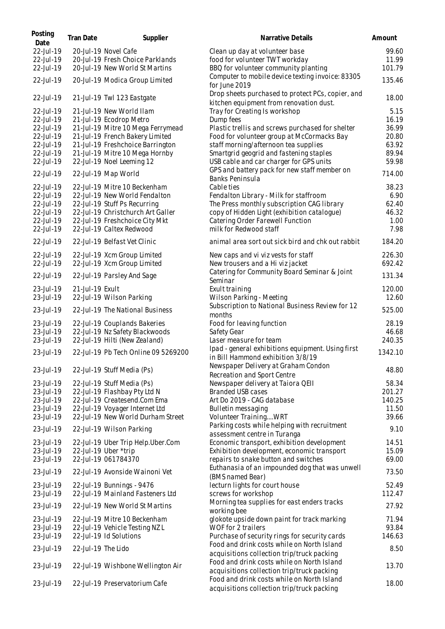| Posting<br>Date | Tran Date          | Supplier                            | Narrative Details                                                                            | Amount       |
|-----------------|--------------------|-------------------------------------|----------------------------------------------------------------------------------------------|--------------|
| 22-Jul-19       |                    | 20-Jul-19 Novel Cafe                | Clean up day at volunteer base                                                               | 99.60        |
| 22-Jul-19       |                    | 20-Jul-19 Fresh Choice Parklands    | food for volunteer TWT workday                                                               | 11.99        |
| 22-Jul-19       |                    | 20-Jul-19 New World St Martins      | BBQ for volunteer community planting                                                         | 101.79       |
| 22-Jul-19       |                    | 20-Jul-19 Modica Group Limited      | Computer to mobile device texting invoice: 83305<br>for June 2019                            | 135.46       |
| 22-Jul-19       |                    | 21-Jul-19 Twl 123 Eastgate          | Drop sheets purchased to protect PCs, copier, and<br>kitchen equipment from renovation dust. | 18.00        |
| 22-Jul-19       |                    | 21-Jul-19 New World Ilam            | Tray for Creating Is workshop                                                                | 5.15         |
| $22 -$ Jul - 19 |                    | 21-Jul-19 Ecodrop Metro             | Dump fees                                                                                    | 16.19        |
| 22-Jul-19       |                    | 21-Jul-19 Mitre 10 Mega Ferrymead   | Plastic trellis and screws purchased for shelter                                             | 36.99        |
| 22-Jul-19       |                    | 21-Jul-19 French Bakery Limited     | Food for volunteer group at McCormacks Bay                                                   | 20.80        |
| 22-Jul-19       |                    | 21-Jul-19 Freshchoice Barrington    | staff morning/afternoon tea supplies                                                         | 63.92        |
| 22-Jul-19       |                    | 21-Jul-19 Mitre 10 Mega Hornby      | Smartgrid geogrid and fastening staples                                                      | 89.94        |
| 22-Jul-19       |                    | 22-Jul-19 Noel Leeming 12           | USB cable and car charger for GPS units                                                      | 59.98        |
|                 |                    |                                     | GPS and battery pack for new staff member on                                                 |              |
| 22-Jul-19       |                    | 22-Jul-19 Map World                 | Banks Peninsula                                                                              | 714.00       |
| 22-Jul-19       |                    | 22-Jul-19 Mitre 10 Beckenham        | Cable ties                                                                                   | 38.23        |
| 22-Jul-19       |                    | 22-Jul-19 New World Fendalton       | Fendalton Library - Milk for staffroom                                                       | 6.90         |
| 22-Jul-19       |                    | 22-Jul-19 Stuff Ps Recurring        | The Press monthly subscription CAG library                                                   | 62.40        |
| 22-Jul-19       |                    | 22-Jul-19 Christchurch Art Galler   | copy of Hidden Light (exhibition catalogue)                                                  | 46.32        |
| 22-Jul-19       |                    | 22-Jul-19 Freshchoice City Mkt      | Catering Order Farewell Function                                                             |              |
| 22-Jul-19       |                    | 22-Jul-19 Caltex Redwood            | milk for Redwood staff                                                                       | 1.00<br>7.98 |
|                 |                    |                                     |                                                                                              |              |
| 22-Jul-19       |                    | 22-Jul-19 Belfast Vet Clinic        | animal area sort out sick bird and chk out rabbit                                            | 184.20       |
| 22-Jul-19       |                    | 22-Jul-19 Xcm Group Limited         | New caps and vi viz vests for staff                                                          | 226.30       |
| 22-Jul-19       |                    | 22-Jul-19 Xcm Group Limited         | New trousers and a Hi viz jacket                                                             | 692.42       |
| 22-Jul-19       |                    | 22-Jul-19 Parsley And Sage          | Catering for Community Board Seminar & Joint<br>Seminar                                      | 131.34       |
| 23-Jul-19       | 21-Jul-19 Exult    |                                     | Exult training                                                                               | 120.00       |
| 23-Jul-19       |                    | 22-Jul-19 Wilson Parking            | Wilson Parking - Meeting                                                                     | 12.60        |
| 23-Jul-19       |                    | 22-Jul-19 The National Business     | Subscription to National Business Review for 12<br>months                                    | 525.00       |
| 23-Jul-19       |                    | 22-Jul-19 Couplands Bakeries        | Food for leaving function                                                                    | 28.19        |
| 23-Jul-19       |                    | 22-Jul-19 Nz Safety Blackwoods      | Safety Gear                                                                                  | 46.68        |
| 23-Jul-19       |                    | 22-Jul-19 Hilti (New Zealand)       | Laser measure for team                                                                       | 240.35       |
| 23-Jul-19       |                    | 22-Jul-19 Pb Tech Online 09 5269200 | Ipad - general exhibitions equipment. Using first<br>in Bill Hammond exhibition 3/8/19       | 1342.10      |
| 23-Jul-19       |                    | 22-Jul-19 Stuff Media (Ps)          | Newspaper Delivery at Graham Condon                                                          | 48.80        |
|                 |                    |                                     | Recreation and Sport Centre                                                                  | 58.34        |
| 23-Jul-19       |                    | 22-Jul-19 Stuff Media (Ps)          | Newspaper delivery at Taiora QEII                                                            |              |
| 23-Jul-19       |                    | 22-Jul-19 Flashbay Pty Ltd N        | Branded USB cases                                                                            | 201.27       |
| 23-Jul-19       |                    | 22-Jul-19 Createsend.Com Ema        | Art Do 2019 - CAG database                                                                   | 140.25       |
| 23-Jul-19       |                    | 22-Jul-19 Voyager Internet Ltd      | Bulletin messaging                                                                           | 11.50        |
| 23-Jul-19       |                    | 22-Jul-19 New World Durham Street   | Volunteer TrainingWRT                                                                        | 39.66        |
| 23-Jul-19       |                    | 22-Jul-19 Wilson Parking            | Parking costs while helping with recruitment<br>assessment centre in Turanga                 | 9.10         |
| 23-Jul-19       |                    | 22-Jul-19 Uber Trip Help.Uber.Com   | Economic transport, exhibition development                                                   | 14.51        |
| 23-Jul-19       |                    | 22-Jul-19 Uber *trip                | Exhibition development, economic transport                                                   | 15.09        |
| 23-Jul-19       |                    | 22-Jul-19 061784370                 | repairs to snake button and switches                                                         | 69.00        |
| 23-Jul-19       |                    | 22-Jul-19 Avonside Wainoni Vet      | Euthanasia of an impounded dog that was unwell<br>(BMS named Bear)                           | 73.50        |
| 23-Jul-19       |                    | 22-Jul-19 Bunnings - 9476           | lecturn lights for court house                                                               | 52.49        |
| 23-Jul-19       |                    | 22-Jul-19 Mainland Fasteners Ltd    | screws for workshop                                                                          | 112.47       |
| 23-Jul-19       |                    | 22-Jul-19 New World St Martins      | Morning tea supplies for east enders tracks<br>working bee                                   | 27.92        |
| 23-Jul-19       |                    | 22-Jul-19 Mitre 10 Beckenham        | glokote upside down paint for track marking                                                  | 71.94        |
| 23-Jul-19       |                    | 22-Jul-19 Vehicle Testing NZL       | WOF for 2 trailers                                                                           | 93.84        |
| 23-Jul-19       |                    | 22-Jul-19 Id Solutions              | Purchase of security rings for security cards                                                | 146.63       |
|                 |                    |                                     | Food and drink costs while on North Island                                                   |              |
| 23-Jul-19       | 22-Jul-19 The Lido |                                     | acquisitions collection trip/truck packing                                                   | 8.50         |
|                 |                    |                                     | Food and drink costs while on North Island                                                   |              |
| 23-Jul-19       |                    | 22-Jul-19 Wishbone Wellington Air   | acquisitions collection trip/truck packing                                                   | 13.70        |
| 23-Jul-19       |                    | 22-Jul-19 Preservatorium Cafe       | Food and drink costs while on North Island<br>acquisitions collection trip/truck packing     | 18.00        |
|                 |                    |                                     |                                                                                              |              |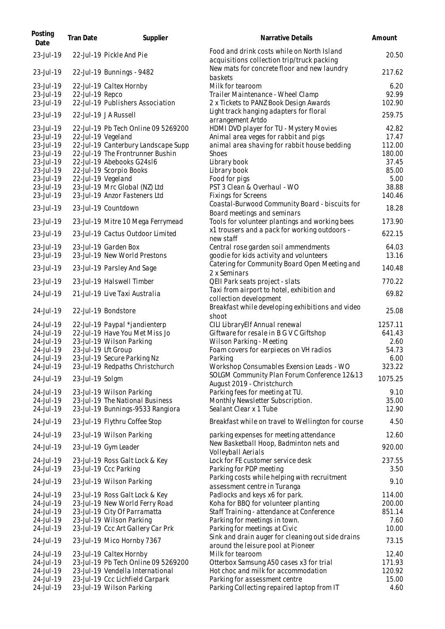| Posting<br>Date        | Tran Date       | Supplier                                                       | Narrative Details                                                                               | Amount         |
|------------------------|-----------------|----------------------------------------------------------------|-------------------------------------------------------------------------------------------------|----------------|
| 23-Jul-19              |                 | 22-Jul-19 Pickle And Pie                                       | Food and drink costs while on North Island<br>acquisitions collection trip/truck packing        | 20.50          |
| 23-Jul-19              |                 | 22-Jul-19 Bunnings - 9482                                      | New mats for concrete floor and new laundry<br>baskets                                          | 217.62         |
| 23-Jul-19              |                 | 22-Jul-19 Caltex Hornby                                        | Milk for tearoom                                                                                | 6.20           |
| 23-Jul-19              | 22-Jul-19 Repco |                                                                | Trailer Maintenance - Wheel Clamp                                                               | 92.99          |
| 23-Jul-19              |                 | 22-Jul-19 Publishers Association                               | 2 x Tickets to PANZ Book Design Awards                                                          | 102.90         |
| 23-Jul-19              |                 | 22-Jul-19 J A Russell                                          | Light track hanging adapters for floral<br>arrangement Artdo                                    | 259.75         |
| 23-Jul-19              |                 | 22-Jul-19 Pb Tech Online 09 5269200                            | HDMI DVD player for TU - Mystery Movies                                                         | 42.82          |
| 23-Jul-19              |                 | 22-Jul-19 Vegeland                                             | Animal area veges for rabbit and pigs                                                           | 17.47          |
| 23-Jul-19              |                 | 22-Jul-19 Canterbury Landscape Supp                            | animal area shaving for rabbit house bedding                                                    | 112.00         |
| 23-Jul-19              |                 | 22-Jul-19 The Frontrunner Bushin                               | <b>Shoes</b>                                                                                    | 180.00         |
| 23-Jul-19              |                 | 22-Jul-19 Abebooks G24s16                                      | Library book                                                                                    | 37.45          |
| 23-Jul-19              |                 | 22-Jul-19 Scorpio Books                                        | Library book                                                                                    | 85.00          |
| 23-Jul-19              |                 | 22-Jul-19 Vegeland                                             | Food for pigs                                                                                   | 5.00           |
| 23-Jul-19              |                 | 23-Jul-19 Mrc Global (NZ) Ltd                                  | PST 3 Clean & Overhaul - WO                                                                     | 38.88          |
| 23-Jul-19              |                 | 23-Jul-19 Anzor Fasteners Ltd                                  | <b>Fixings for Screens</b>                                                                      | 140.46         |
| 23-Jul-19              |                 | 23-Jul-19 Countdown                                            | Coastal-Burwood Community Board - biscuits for                                                  | 18.28          |
|                        |                 |                                                                | Board meetings and seminars                                                                     | 173.90         |
| 23-Jul-19              |                 | 23-Jul-19 Mitre 10 Mega Ferrymead                              | Tools for volunteer plantings and working bees<br>x1 trousers and a pack for working outdoors - |                |
| 23-Jul-19              |                 | 23-Jul-19 Cactus Outdoor Limited                               | new staff                                                                                       | 622.15         |
| 23-Jul-19              |                 | 23-Jul-19 Garden Box                                           | Central rose garden soil ammendments                                                            | 64.03          |
| 23-Jul-19              |                 | 23-Jul-19 New World Prestons                                   | goodie for kids activity and volunteers<br>Catering for Community Board Open Meeting and        | 13.16          |
| 23-Jul-19              |                 | 23-Jul-19 Parsley And Sage                                     | 2 x Seminars                                                                                    | 140.48         |
| 23-Jul-19              |                 | 23-Jul-19 Halswell Timber                                      | QEII Park seats project - slats                                                                 | 770.22         |
| 24-Jul-19              |                 | 21-Jul-19 Live Taxi Australia                                  | Taxi from airport to hotel, exhibition and<br>collection development                            | 69.82          |
| 24-Jul-19              |                 | 22-Jul-19 Bondstore                                            | Breakfast while developing exhibitions and video<br>shoot                                       | 25.08          |
| 24-Jul-19              |                 | 22-Jul-19 Paypal *jandienterp                                  | CILI LibraryElf Annual renewal                                                                  | 1257.11        |
| 24-Jul-19              |                 | 22-Jul-19 Have You Met Miss Jo                                 | Giftware for resale in B G V C Giftshop                                                         | 641.43         |
| 24-Jul-19              |                 | 23-Jul-19 Wilson Parking                                       | Wilson Parking - Meeting                                                                        | 2.60           |
| 24-Jul-19              |                 | 23-Jul-19 Lft Group                                            | Foam covers for earpieces on VH radios                                                          | 54.73          |
| 24-Jul-19              |                 | 23-Jul-19 Secure Parking Nz                                    | Parking                                                                                         | 6.00           |
| 24-Jul-19              |                 | 23-Jul-19 Redpaths Christchurch                                | Workshop Consumables Exension Leads - WO                                                        | 323.22         |
| 24-Jul-19              | 23-Jul-19 Solgm |                                                                | SOLGM Community Plan Forum Conference 12&13<br>August 2019 - Christchurch                       | 1075.25        |
| 24-Jul-19              |                 | 23-Jul-19 Wilson Parking                                       | Parking fees for meeting at TU.                                                                 | 9.10           |
| 24-Jul-19              |                 | 23-Jul-19 The National Business                                | Monthly Newsletter Subscription.                                                                | 35.00          |
| 24-Jul-19              |                 | 23-Jul-19 Bunnings-9533 Rangiora                               | Sealant Clear x 1 Tube                                                                          | 12.90          |
| 24-Jul-19              |                 | 23-Jul-19 Flythru Coffee Stop                                  | Breakfast while on travel to Wellington for course                                              | 4.50           |
| 24-Jul-19              |                 | 23-Jul-19 Wilson Parking                                       | parking expenses for meeting attendance                                                         | 12.60          |
| 24-Jul-19              |                 | 23-Jul-19 Gym Leader                                           | New Basketball Hoop, Badminton nets and<br>Volleyball Aerials                                   | 920.00         |
| 24-Jul-19<br>24-Jul-19 |                 | 23-Jul-19 Ross Galt Lock & Key<br>23-Jul-19 Ccc Parking        | Lock for FE customer service desk<br>Parking for PDP meeting                                    | 237.55<br>3.50 |
| 24-Jul-19              |                 | 23-Jul-19 Wilson Parking                                       | Parking costs while helping with recruitment                                                    | 9.10           |
| 24-Jul-19              |                 | 23-Jul-19 Ross Galt Lock & Key                                 | assessment centre in Turanga<br>Padlocks and keys x6 for park.                                  | 114.00         |
| 24-Jul-19              |                 | 23-Jul-19 New World Ferry Road                                 | Koha for BBQ for volunteer planting                                                             | 200.00         |
| 24-Jul-19              |                 | 23-Jul-19 City Of Parramatta                                   | Staff Training - attendance at Conference                                                       | 851.14         |
| 24-Jul-19              |                 | 23-Jul-19 Wilson Parking                                       | Parking for meetings in town.                                                                   | 7.60           |
| 24-Jul-19              |                 | 23-Jul-19 Ccc Art Gallery Car Prk                              | Parking for meetings at Civic                                                                   | 10.00          |
| 24-Jul-19              |                 | 23-Jul-19 Mico Hornby 7367                                     | Sink and drain auger for cleaning out side drains                                               | 73.15          |
|                        |                 |                                                                | around the leisure pool at Pioneer<br>Milk for tearoom                                          | 12.40          |
| 24-Jul-19<br>24-Jul-19 |                 | 23-Jul-19 Caltex Hornby<br>23-Jul-19 Pb Tech Online 09 5269200 | Otterbox Samsung A50 cases x3 for trial                                                         | 171.93         |
| 24-Jul-19              |                 | 23-Jul-19 Vendella International                               | Hot choc and milk for accommodation                                                             | 120.92         |
| 24-Jul-19              |                 | 23-Jul-19 Ccc Lichfield Carpark                                | Parking for assessment centre                                                                   | 15.00          |
| 24-Jul-19              |                 | 23-Jul-19 Wilson Parking                                       | Parking Collecting repaired laptop from IT                                                      | 4.60           |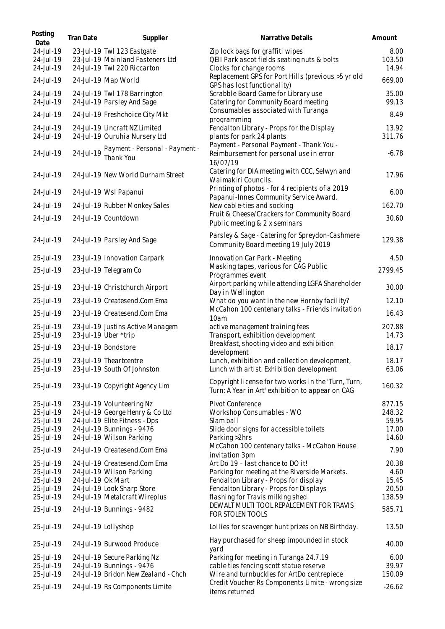| Posting<br>Date                     | Tran Date         | Supplier                                                                                      | Narrative Details                                                                                          | Amount                  |
|-------------------------------------|-------------------|-----------------------------------------------------------------------------------------------|------------------------------------------------------------------------------------------------------------|-------------------------|
| 24-Jul-19<br>24-Jul-19<br>24-Jul-19 |                   | 23-Jul-19 Twl 123 Eastgate<br>23-Jul-19 Mainland Fasteners Ltd<br>24-Jul-19 Twl 220 Riccarton | Zip lock bags for graffiti wipes<br>QEII Park ascot fields seating nuts & bolts<br>Clocks for change rooms | 8.00<br>103.50<br>14.94 |
| 24-Jul-19                           |                   | 24-Jul-19 Map World                                                                           | Replacement GPS for Port Hills (previous >5 yr old<br>GPS has lost functionality)                          | 669.00                  |
| 24-Jul-19<br>24-Jul-19              |                   | 24-Jul-19 Twl 178 Barrington<br>24-Jul-19 Parsley And Sage                                    | Scrabble Board Game for Library use<br>Catering for Community Board meeting                                | 35.00<br>99.13          |
| 24-Jul-19                           |                   | 24-Jul-19 Freshchoice City Mkt                                                                | Consumables associated with Turanga<br>programming                                                         | 8.49                    |
| 24-Jul-19<br>24-Jul-19              |                   | 24-Jul-19 Lincraft NZ Limited<br>24-Jul-19 Ouruhia Nursery Ltd                                | Fendalton Library - Props for the Display<br>plants for park 24 plants                                     | 13.92<br>311.76         |
| 24-Jul-19                           | 24-Jul-19         | Payment - Personal - Payment -<br>Thank You                                                   | Payment - Personal Payment - Thank You -<br>Reimbursement for personal use in error<br>16/07/19            | $-6.78$                 |
| 24-Jul-19                           |                   | 24-Jul-19 New World Durham Street                                                             | Catering for DIA meeting with CCC, Selwyn and<br>Waimakiri Councils.                                       | 17.96                   |
| 24-Jul-19                           |                   | 24-Jul-19 Wsl Papanui                                                                         | Printing of photos - for 4 recipients of a 2019<br>Papanui-Innes Community Service Award.                  | 6.00                    |
| 24-Jul-19                           |                   | 24-Jul-19 Rubber Monkey Sales                                                                 | New cable-ties and socking                                                                                 | 162.70                  |
| 24-Jul-19                           |                   | 24-Jul-19 Countdown                                                                           | Fruit & Cheese/Crackers for Community Board<br>Public meeting & 2 x seminars                               | 30.60                   |
| 24-Jul-19                           |                   | 24-Jul-19 Parsley And Sage                                                                    | Parsley & Sage - Catering for Spreydon-Cashmere<br>Community Board meeting 19 July 2019                    | 129.38                  |
| 25-Jul-19                           |                   | 23-Jul-19 Innovation Carpark                                                                  | Innovation Car Park - Meeting                                                                              | 4.50                    |
| 25-Jul-19                           |                   | 23-Jul-19 Telegram Co                                                                         | Masking tapes, various for CAG Public<br>Programmes event                                                  | 2799.45                 |
| 25-Jul-19                           |                   | 23-Jul-19 Christchurch Airport                                                                | Airport parking while attending LGFA Shareholder<br>Day in Wellington                                      | 30.00                   |
| 25-Jul-19                           |                   | 23-Jul-19 Createsend.Com Ema                                                                  | What do you want in the new Hornby facility?                                                               | 12.10                   |
| 25-Jul-19                           |                   | 23-Jul-19 Createsend.Com Ema                                                                  | McCahon 100 centenary talks - Friends invitation<br>10am                                                   | 16.43                   |
| 25-Jul-19<br>25-Jul-19              |                   | 23-Jul-19 Justins Active Managem<br>23-Jul-19 Uber *trip                                      | active management training fees<br>Transport, exhibition development                                       | 207.88<br>14.73         |
| 25-Jul-19                           |                   | 23-Jul-19 Bondstore                                                                           | Breakfast, shooting video and exhibition<br>development                                                    | 18.17                   |
| 25-Jul-19                           |                   | 23-Jul-19 Theartcentre                                                                        | Lunch, exhibition and collection development,                                                              | 18.17                   |
| 25-Jul-19                           |                   | 23-Jul-19 South Of Johnston                                                                   | Lunch with artist. Exhibition development                                                                  | 63.06                   |
| 25-Jul-19                           |                   | 23-Jul-19 Copyright Agency Lim                                                                | Copyright license for two works in the 'Turn, Turn,<br>Turn: A Year in Art' exhibition to appear on CAG    | 160.32                  |
| 25-Jul-19                           |                   | 23-Jul-19 Volunteering Nz                                                                     | Pivot Conference                                                                                           | 877.15                  |
| 25-Jul-19                           |                   | 24-Jul-19 George Henry & Co Ltd                                                               | Workshop Consumables - WO                                                                                  | 248.32                  |
| 25-Jul-19                           |                   | 24-Jul-19 Elite Fitness - Dps                                                                 | Slam ball<br>Slide door signs for accessible toilets                                                       | 59.95                   |
| 25-Jul-19<br>25-Jul-19              |                   | 24-Jul-19 Bunnings - 9476<br>24-Jul-19 Wilson Parking                                         | Parking > 2hrs                                                                                             | 17.00<br>14.60          |
| 25-Jul-19                           |                   | 24-Jul-19 Createsend.Com Ema                                                                  | McCahon 100 centenary talks - McCahon House<br>invitation 3pm                                              | 7.90                    |
| 25-Jul-19                           |                   | 24-Jul-19 Createsend.Com Ema                                                                  | Art Do 19 - last chance to DO it!                                                                          | 20.38                   |
| 25-Jul-19                           |                   | 24-Jul-19 Wilson Parking                                                                      | Parking for meeting at the Riverside Markets.                                                              | 4.60                    |
| 25-Jul-19                           | 24-Jul-19 Ok Mart |                                                                                               | Fendalton Library - Props for display                                                                      | 15.45                   |
| 25-Jul-19                           |                   | 24-Jul-19 Look Sharp Store                                                                    | Fendalton Library - Props for Displays                                                                     | 20.50                   |
| 25-Jul-19                           |                   | 24-Jul-19 Metalcraft Wireplus                                                                 | flashing for Travis milking shed                                                                           | 138.59                  |
| 25-Jul-19                           |                   | 24-Jul-19 Bunnings - 9482                                                                     | DEWALT MULTI TOOL REPALCEMENT FOR TRAVIS<br>FOR STOLEN TOOLS                                               | 585.71                  |
| 25-Jul-19                           |                   | 24-Jul-19 Lollyshop                                                                           | Lollies for scavenger hunt prizes on NB Birthday.                                                          | 13.50                   |
| 25-Jul-19                           |                   | 24-Jul-19 Burwood Produce                                                                     | Hay purchased for sheep impounded in stock<br>yard                                                         | 40.00                   |
| 25-Jul-19                           |                   | 24-Jul-19 Secure Parking Nz                                                                   | Parking for meeting in Turanga 24.7.19                                                                     | 6.00                    |
| 25-Jul-19                           |                   | 24-Jul-19 Bunnings - 9476                                                                     | cable ties fencing scott statue reserve                                                                    | 39.97                   |
| 25-Jul-19                           |                   | 24-Jul-19 Bridon New Zealand - Chch                                                           | Wire and turnbuckles for ArtDo centrepiece                                                                 | 150.09                  |
| 25-Jul-19                           |                   | 24-Jul-19 Rs Components Limite                                                                | Credit Voucher Rs Components Limite - wrong size<br>items returned                                         | $-26.62$                |